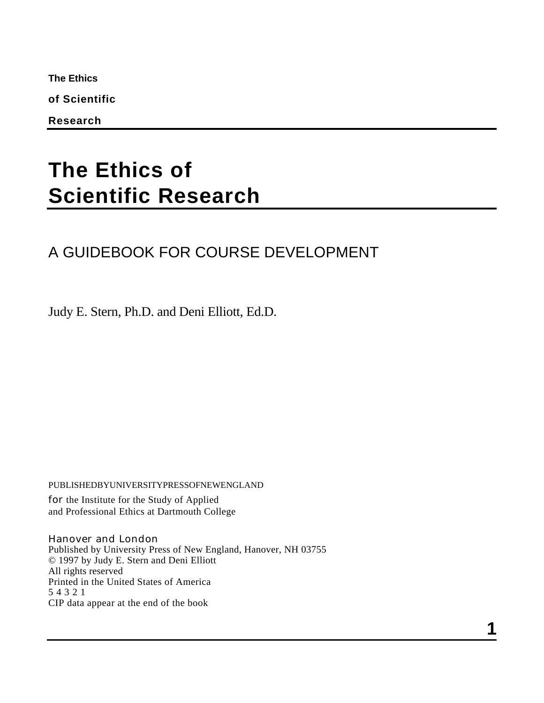**The Ethics**

**of Scientific**

**Research**

# **The Ethics of Scientific Research**

## A GUIDEBOOK FOR COURSE DEVELOPMENT

Judy E. Stern, Ph.D. and Deni Elliott, Ed.D.

PUBLISHEDBYUNIVERSITYPRESSOFNEWENGLAND

for the Institute for the Study of Applied and Professional Ethics at Dartmouth College

Hanover and London Published by University Press of New England, Hanover, NH 03755 © 1997 by Judy E. Stern and Deni Elliott All rights reserved Printed in the United States of America 5 4 3 2 1 CIP data appear at the end of the book

**1**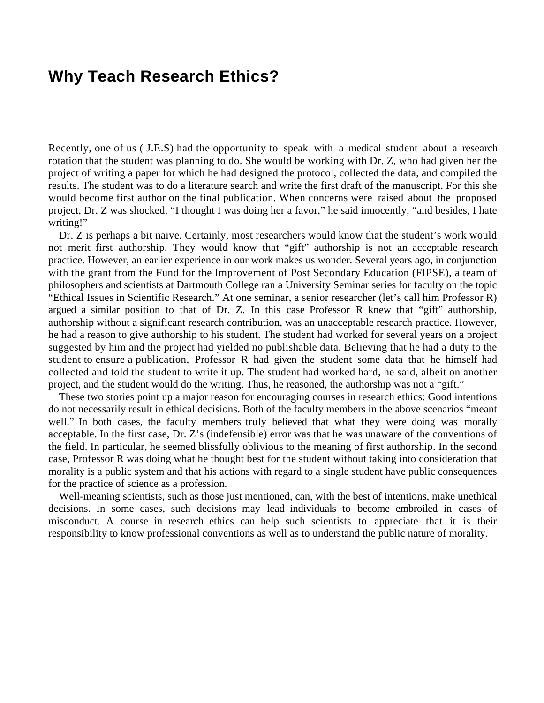## **Why Teach Research Ethics?**

Recently, one of us ( J.E.S) had the opportunity to speak with a medical student about a research rotation that the student was planning to do. She would be working with Dr. Z, who had given her the project of writing a paper for which he had designed the protocol, collected the data, and compiled the results. The student was to do a literature search and write the first draft of the manuscript. For this she would become first author on the final publication. When concerns were raised about the proposed project, Dr. Z was shocked. "I thought I was doing her a favor," he said innocently, "and besides, I hate writing!"

Dr. Z is perhaps a bit naive. Certainly, most researchers would know that the student's work would not merit first authorship. They would know that "gift" authorship is not an acceptable research practice. However, an earlier experience in our work makes us wonder. Several years ago, in conjunction with the grant from the Fund for the Improvement of Post Secondary Education (FIPSE), a team of philosophers and scientists at Dartmouth College ran a University Seminar series for faculty on the topic "Ethical Issues in Scientific Research." At one seminar, a senior researcher (let's call him Professor R) argued a similar position to that of Dr. Z. In this case Professor R knew that "gift" authorship, authorship without a significant research contribution, was an unacceptable research practice. However, he had a reason to give authorship to his student. The student had worked for several years on a project suggested by him and the project had yielded no publishable data. Believing that he had a duty to the student to ensure a publication, Professor R had given the student some data that he himself had collected and told the student to write it up. The student had worked hard, he said, albeit on another project, and the student would do the writing. Thus, he reasoned, the authorship was not a "gift."

These two stories point up a major reason for encouraging courses in research ethics: Good intentions do not necessarily result in ethical decisions. Both of the faculty members in the above scenarios "meant well." In both cases, the faculty members truly believed that what they were doing was morally acceptable. In the first case, Dr. Z's (indefensible) error was that he was unaware of the conventions of the field. In particular, he seemed blissfully oblivious to the meaning of first authorship. In the second case, Professor R was doing what he thought best for the student without taking into consideration that morality is a public system and that his actions with regard to a single student have public consequences for the practice of science as a profession.

Well-meaning scientists, such as those just mentioned, can, with the best of intentions, make unethical decisions. In some cases, such decisions may lead individuals to become embroiled in cases of misconduct. A course in research ethics can help such scientists to appreciate that it is their responsibility to know professional conventions as well as to understand the public nature of morality.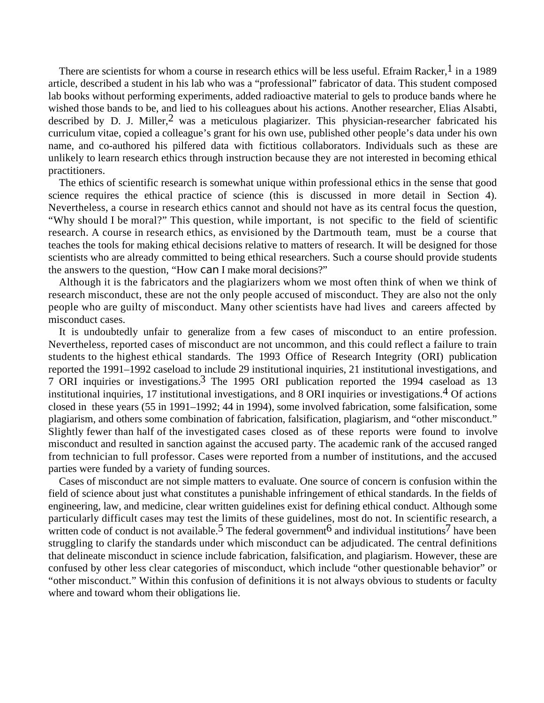There are scientists for whom a course in research ethics will be less useful. Efraim Racker,<sup>1</sup> in a 1989 article, described a student in his lab who was a "professional" fabricator of data. This student composed lab books without performing experiments, added radioactive material to gels to produce bands where he wished those bands to be, and lied to his colleagues about his actions. Another researcher, Elias Alsabti, described by D. J. Miller,  $2$  was a meticulous plagiarizer. This physician-researcher fabricated his curriculum vitae, copied a colleague's grant for his own use, published other people's data under his own name, and co-authored his pilfered data with fictitious collaborators. Individuals such as these are unlikely to learn research ethics through instruction because they are not interested in becoming ethical practitioners.

The ethics of scientific research is somewhat unique within professional ethics in the sense that good science requires the ethical practice of science (this is discussed in more detail in Section 4). Nevertheless, a course in research ethics cannot and should not have as its central focus the question, "Why should I be moral?" This question, while important, is not specific to the field of scientific research. A course in research ethics, as envisioned by the Dartmouth team, must be a course that teaches the tools for making ethical decisions relative to matters of research. It will be designed for those scientists who are already committed to being ethical researchers. Such a course should provide students the answers to the question, "How can I make moral decisions?"

Although it is the fabricators and the plagiarizers whom we most often think of when we think of research misconduct, these are not the only people accused of misconduct. They are also not the only people who are guilty of misconduct. Many other scientists have had lives and careers affected by misconduct cases.

It is undoubtedly unfair to generalize from a few cases of misconduct to an entire profession. Nevertheless, reported cases of misconduct are not uncommon, and this could reflect a failure to train students to the highest ethical standards. The 1993 Office of Research Integrity (ORI) publication reported the 1991–1992 caseload to include 29 institutional inquiries, 21 institutional investigations, and 7 ORI inquiries or investigations.3 The 1995 ORI publication reported the 1994 caseload as 13 institutional inquiries, 17 institutional investigations, and 8 ORI inquiries or investigations.4 Of actions closed in these years (55 in 1991–1992; 44 in 1994), some involved fabrication, some falsification, some plagiarism, and others some combination of fabrication, falsification, plagiarism, and "other misconduct." Slightly fewer than half of the investigated cases closed as of these reports were found to involve misconduct and resulted in sanction against the accused party. The academic rank of the accused ranged from technician to full professor. Cases were reported from a number of institutions, and the accused parties were funded by a variety of funding sources.

Cases of misconduct are not simple matters to evaluate. One source of concern is confusion within the field of science about just what constitutes a punishable infringement of ethical standards. In the fields of engineering, law, and medicine, clear written guidelines exist for defining ethical conduct. Although some particularly difficult cases may test the limits of these guidelines, most do not. In scientific research, a written code of conduct is not available.<sup>5</sup> The federal government  $\overline{6}$  and individual institutions<sup>7</sup> have been struggling to clarify the standards under which misconduct can be adjudicated. The central definitions that delineate misconduct in science include fabrication, falsification, and plagiarism. However, these are confused by other less clear categories of misconduct, which include "other questionable behavior" or "other misconduct." Within this confusion of definitions it is not always obvious to students or faculty where and toward whom their obligations lie.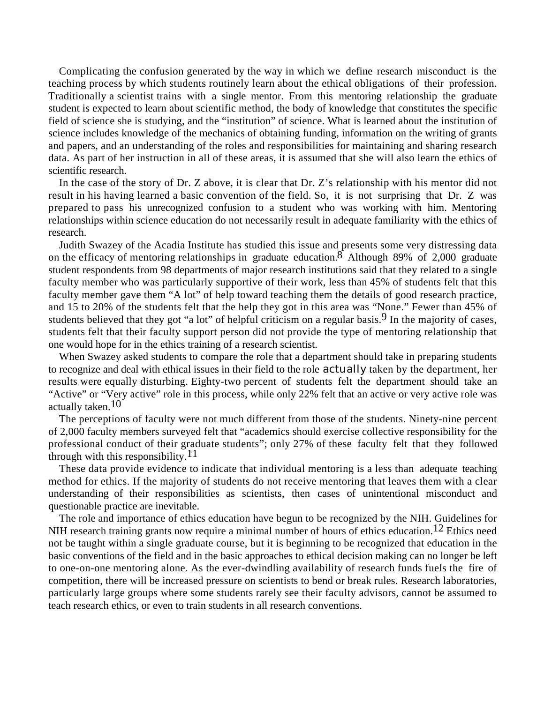Complicating the confusion generated by the way in which we define research misconduct is the teaching process by which students routinely learn about the ethical obligations of their profession. Traditionally a scientist trains with a single mentor. From this mentoring relationship the graduate student is expected to learn about scientific method, the body of knowledge that constitutes the specific field of science she is studying, and the "institution" of science. What is learned about the institution of science includes knowledge of the mechanics of obtaining funding, information on the writing of grants and papers, and an understanding of the roles and responsibilities for maintaining and sharing research data. As part of her instruction in all of these areas, it is assumed that she will also learn the ethics of scientific research.

In the case of the story of Dr. Z above, it is clear that Dr. Z's relationship with his mentor did not result in his having learned a basic convention of the field. So, it is not surprising that Dr. Z was prepared to pass his unrecognized confusion to a student who was working with him. Mentoring relationships within science education do not necessarily result in adequate familiarity with the ethics of research.

Judith Swazey of the Acadia Institute has studied this issue and presents some very distressing data on the efficacy of mentoring relationships in graduate education.  $\delta$  Although 89% of 2,000 graduate student respondents from 98 departments of major research institutions said that they related to a single faculty member who was particularly supportive of their work, less than 45% of students felt that this faculty member gave them "A lot" of help toward teaching them the details of good research practice, and 15 to 20% of the students felt that the help they got in this area was "None." Fewer than 45% of students believed that they got "a lot" of helpful criticism on a regular basis.<sup>9</sup> In the majority of cases, students felt that their faculty support person did not provide the type of mentoring relationship that one would hope for in the ethics training of a research scientist.

When Swazey asked students to compare the role that a department should take in preparing students to recognize and deal with ethical issues in their field to the role actually taken by the department, her results were equally disturbing. Eighty-two percent of students felt the department should take an "Active" or "Very active" role in this process, while only 22% felt that an active or very active role was actually taken.<sup>10</sup>

The perceptions of faculty were not much different from those of the students. Ninety-nine percent of 2,000 faculty members surveyed felt that "academics should exercise collective responsibility for the professional conduct of their graduate students"; only 27% of these faculty felt that they followed through with this responsibility.<sup>11</sup>

These data provide evidence to indicate that individual mentoring is a less than adequate teaching method for ethics. If the majority of students do not receive mentoring that leaves them with a clear understanding of their responsibilities as scientists, then cases of unintentional misconduct and questionable practice are inevitable.

The role and importance of ethics education have begun to be recognized by the NIH. Guidelines for NIH research training grants now require a minimal number of hours of ethics education.<sup>12</sup> Ethics need not be taught within a single graduate course, but it is beginning to be recognized that education in the basic conventions of the field and in the basic approaches to ethical decision making can no longer be left to one-on-one mentoring alone. As the ever-dwindling availability of research funds fuels the fire of competition, there will be increased pressure on scientists to bend or break rules. Research laboratories, particularly large groups where some students rarely see their faculty advisors, cannot be assumed to teach research ethics, or even to train students in all research conventions.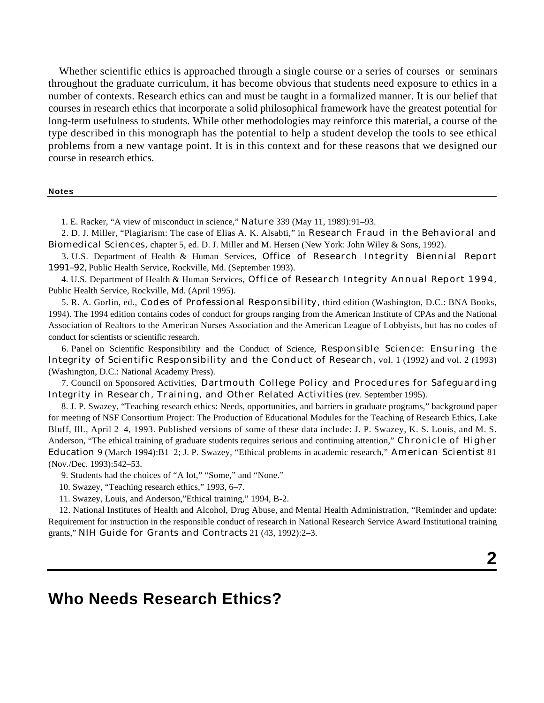Whether scientific ethics is approached through a single course or a series of courses or seminars throughout the graduate curriculum, it has become obvious that students need exposure to ethics in a number of contexts. Research ethics can and must be taught in a formalized manner. It is our belief that courses in research ethics that incorporate a solid philosophical framework have the greatest potential for long-term usefulness to students. While other methodologies may reinforce this material, a course of the type described in this monograph has the potential to help a student develop the tools to see ethical problems from a new vantage point. It is in this context and for these reasons that we designed our course in research ethics.

#### **Notes**

1. E. Racker, "A view of misconduct in science," Nature 339 (May 11, 1989):91–93.

 2. D. J. Miller, "Plagiarism: The case of Elias A. K. Alsabti," in Research Fraud in the Behavioral and Biomedical Sciences, chapter 5, ed. D. J. Miller and M. Hersen (New York: John Wiley & Sons, 1992).

 3. U.S. Department of Health & Human Services, Office of Research Integrity Biennial Report 1991–92, Public Health Service, Rockville, Md. (September 1993).

 4. U.S. Department of Health & Human Services, Office of Research Integrity Annual Report 1994, Public Health Service, Rockville, Md. (April 1995).

 5. R. A. Gorlin, ed., Codes of Professional Responsibility, third edition (Washington, D.C.: BNA Books, 1994). The 1994 edition contains codes of conduct for groups ranging from the American Institute of CPAs and the National Association of Realtors to the American Nurses Association and the American League of Lobbyists, but has no codes of conduct for scientists or scientific research.

 6. Panel on Scientific Responsibility and the Conduct of Science, Responsible Science: Ensuring the Integrity of Scientific Responsibility and the Conduct of Research, vol. 1 (1992) and vol. 2 (1993) (Washington, D.C.: National Academy Press).

 7. Council on Sponsored Activities, Dartmouth College Policy and Procedures for Safeguarding Integrity in Research, Training, and Other Related Activities (rev. September 1995).

 8. J. P. Swazey, "Teaching research ethics: Needs, opportunities, and barriers in graduate programs," background paper for meeting of NSF Consortium Project: The Production of Educational Modules for the Teaching of Research Ethics, Lake Bluff, Ill., April 2–4, 1993. Published versions of some of these data include: J. P. Swazey, K. S. Louis, and M. S. Anderson, "The ethical training of graduate students requires serious and continuing attention," Chronicle of Higher Education 9 (March 1994):B1–2; J. P. Swazey, "Ethical problems in academic research," American Scientist 81 (Nov./Dec. 1993):542–53.

9. Students had the choices of "A lot," "Some," and "None."

10. Swazey, "Teaching research ethics," 1993, 6–7.

11. Swazey, Louis, and Anderson,"Ethical training," 1994, B-2.

12. National Institutes of Health and Alcohol, Drug Abuse, and Mental Health Administration, "Reminder and update: Requirement for instruction in the responsible conduct of research in National Research Service Award Institutional training grants," NIH Guide for Grants and Contracts 21 (43, 1992):2–3.

**2**

## **Who Needs Research Ethics?**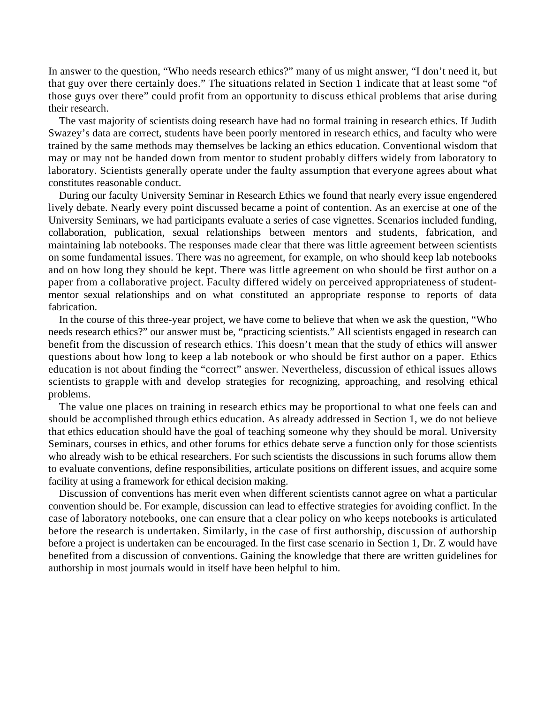In answer to the question, "Who needs research ethics?" many of us might answer, "I don't need it, but that guy over there certainly does." The situations related in Section 1 indicate that at least some "of those guys over there" could profit from an opportunity to discuss ethical problems that arise during their research.

The vast majority of scientists doing research have had no formal training in research ethics. If Judith Swazey's data are correct, students have been poorly mentored in research ethics, and faculty who were trained by the same methods may themselves be lacking an ethics education. Conventional wisdom that may or may not be handed down from mentor to student probably differs widely from laboratory to laboratory. Scientists generally operate under the faulty assumption that everyone agrees about what constitutes reasonable conduct.

During our faculty University Seminar in Research Ethics we found that nearly every issue engendered lively debate. Nearly every point discussed became a point of contention. As an exercise at one of the University Seminars, we had participants evaluate a series of case vignettes. Scenarios included funding, collaboration, publication, sexual relationships between mentors and students, fabrication, and maintaining lab notebooks. The responses made clear that there was little agreement between scientists on some fundamental issues. There was no agreement, for example, on who should keep lab notebooks and on how long they should be kept. There was little agreement on who should be first author on a paper from a collaborative project. Faculty differed widely on perceived appropriateness of studentmentor sexual relationships and on what constituted an appropriate response to reports of data fabrication.

In the course of this three-year project, we have come to believe that when we ask the question, "Who needs research ethics?" our answer must be, "practicing scientists." All scientists engaged in research can benefit from the discussion of research ethics. This doesn't mean that the study of ethics will answer questions about how long to keep a lab notebook or who should be first author on a paper. Ethics education is not about finding the "correct" answer. Nevertheless, discussion of ethical issues allows scientists to grapple with and develop strategies for recognizing, approaching, and resolving ethical problems.

The value one places on training in research ethics may be proportional to what one feels can and should be accomplished through ethics education. As already addressed in Section 1, we do not believe that ethics education should have the goal of teaching someone why they should be moral. University Seminars, courses in ethics, and other forums for ethics debate serve a function only for those scientists who already wish to be ethical researchers. For such scientists the discussions in such forums allow them to evaluate conventions, define responsibilities, articulate positions on different issues, and acquire some facility at using a framework for ethical decision making.

Discussion of conventions has merit even when different scientists cannot agree on what a particular convention should be. For example, discussion can lead to effective strategies for avoiding conflict. In the case of laboratory notebooks, one can ensure that a clear policy on who keeps notebooks is articulated before the research is undertaken. Similarly, in the case of first authorship, discussion of authorship before a project is undertaken can be encouraged. In the first case scenario in Section 1, Dr. Z would have benefited from a discussion of conventions. Gaining the knowledge that there are written guidelines for authorship in most journals would in itself have been helpful to him.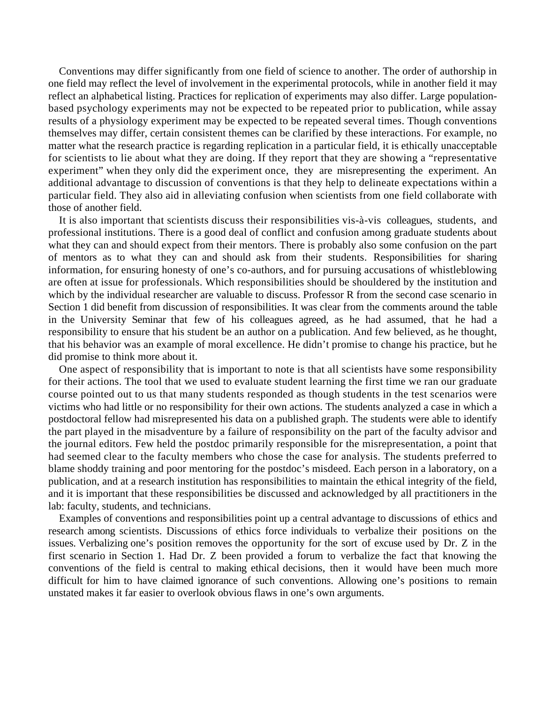Conventions may differ significantly from one field of science to another. The order of authorship in one field may reflect the level of involvement in the experimental protocols, while in another field it may reflect an alphabetical listing. Practices for replication of experiments may also differ. Large populationbased psychology experiments may not be expected to be repeated prior to publication, while assay results of a physiology experiment may be expected to be repeated several times. Though conventions themselves may differ, certain consistent themes can be clarified by these interactions. For example, no matter what the research practice is regarding replication in a particular field, it is ethically unacceptable for scientists to lie about what they are doing. If they report that they are showing a "representative experiment" when they only did the experiment once, they are misrepresenting the experiment. An additional advantage to discussion of conventions is that they help to delineate expectations within a particular field. They also aid in alleviating confusion when scientists from one field collaborate with those of another field.

It is also important that scientists discuss their responsibilities vis-à-vis colleagues, students, and professional institutions. There is a good deal of conflict and confusion among graduate students about what they can and should expect from their mentors. There is probably also some confusion on the part of mentors as to what they can and should ask from their students. Responsibilities for sharing information, for ensuring honesty of one's co-authors, and for pursuing accusations of whistleblowing are often at issue for professionals. Which responsibilities should be shouldered by the institution and which by the individual researcher are valuable to discuss. Professor R from the second case scenario in Section 1 did benefit from discussion of responsibilities. It was clear from the comments around the table in the University Seminar that few of his colleagues agreed, as he had assumed, that he had a responsibility to ensure that his student be an author on a publication. And few believed, as he thought, that his behavior was an example of moral excellence. He didn't promise to change his practice, but he did promise to think more about it.

One aspect of responsibility that is important to note is that all scientists have some responsibility for their actions. The tool that we used to evaluate student learning the first time we ran our graduate course pointed out to us that many students responded as though students in the test scenarios were victims who had little or no responsibility for their own actions. The students analyzed a case in which a postdoctoral fellow had misrepresented his data on a published graph. The students were able to identify the part played in the misadventure by a failure of responsibility on the part of the faculty advisor and the journal editors. Few held the postdoc primarily responsible for the misrepresentation, a point that had seemed clear to the faculty members who chose the case for analysis. The students preferred to blame shoddy training and poor mentoring for the postdoc's misdeed. Each person in a laboratory, on a publication, and at a research institution has responsibilities to maintain the ethical integrity of the field, and it is important that these responsibilities be discussed and acknowledged by all practitioners in the lab: faculty, students, and technicians.

Examples of conventions and responsibilities point up a central advantage to discussions of ethics and research among scientists. Discussions of ethics force individuals to verbalize their positions on the issues. Verbalizing one's position removes the opportunity for the sort of excuse used by Dr. Z in the first scenario in Section 1. Had Dr. Z been provided a forum to verbalize the fact that knowing the conventions of the field is central to making ethical decisions, then it would have been much more difficult for him to have claimed ignorance of such conventions. Allowing one's positions to remain unstated makes it far easier to overlook obvious flaws in one's own arguments.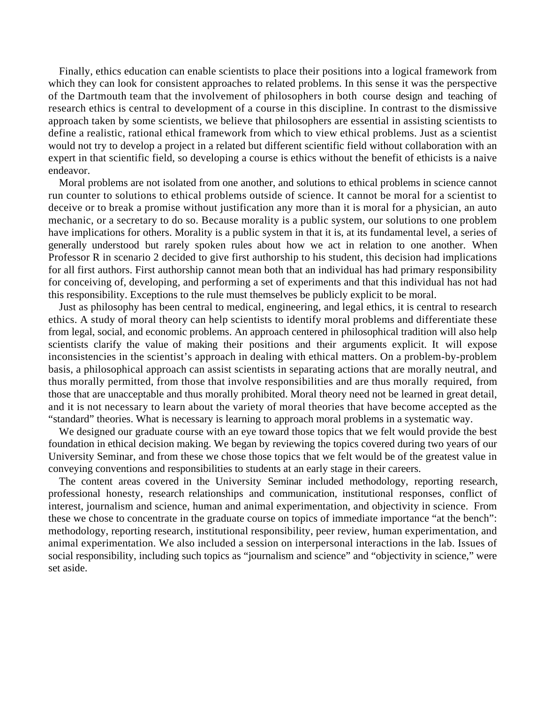Finally, ethics education can enable scientists to place their positions into a logical framework from which they can look for consistent approaches to related problems. In this sense it was the perspective of the Dartmouth team that the involvement of philosophers in both course design and teaching of research ethics is central to development of a course in this discipline. In contrast to the dismissive approach taken by some scientists, we believe that philosophers are essential in assisting scientists to define a realistic, rational ethical framework from which to view ethical problems. Just as a scientist would not try to develop a project in a related but different scientific field without collaboration with an expert in that scientific field, so developing a course is ethics without the benefit of ethicists is a naive endeavor.

Moral problems are not isolated from one another, and solutions to ethical problems in science cannot run counter to solutions to ethical problems outside of science. It cannot be moral for a scientist to deceive or to break a promise without justification any more than it is moral for a physician, an auto mechanic, or a secretary to do so. Because morality is a public system, our solutions to one problem have implications for others. Morality is a public system in that it is, at its fundamental level, a series of generally understood but rarely spoken rules about how we act in relation to one another. When Professor R in scenario 2 decided to give first authorship to his student, this decision had implications for all first authors. First authorship cannot mean both that an individual has had primary responsibility for conceiving of, developing, and performing a set of experiments and that this individual has not had this responsibility. Exceptions to the rule must themselves be publicly explicit to be moral.

Just as philosophy has been central to medical, engineering, and legal ethics, it is central to research ethics. A study of moral theory can help scientists to identify moral problems and differentiate these from legal, social, and economic problems. An approach centered in philosophical tradition will also help scientists clarify the value of making their positions and their arguments explicit. It will expose inconsistencies in the scientist's approach in dealing with ethical matters. On a problem-by-problem basis, a philosophical approach can assist scientists in separating actions that are morally neutral, and thus morally permitted, from those that involve responsibilities and are thus morally required, from those that are unacceptable and thus morally prohibited. Moral theory need not be learned in great detail, and it is not necessary to learn about the variety of moral theories that have become accepted as the "standard" theories. What is necessary is learning to approach moral problems in a systematic way.

We designed our graduate course with an eye toward those topics that we felt would provide the best foundation in ethical decision making. We began by reviewing the topics covered during two years of our University Seminar, and from these we chose those topics that we felt would be of the greatest value in conveying conventions and responsibilities to students at an early stage in their careers.

The content areas covered in the University Seminar included methodology, reporting research, professional honesty, research relationships and communication, institutional responses, conflict of interest, journalism and science, human and animal experimentation, and objectivity in science. From these we chose to concentrate in the graduate course on topics of immediate importance "at the bench": methodology, reporting research, institutional responsibility, peer review, human experimentation, and animal experimentation. We also included a session on interpersonal interactions in the lab. Issues of social responsibility, including such topics as "journalism and science" and "objectivity in science," were set aside.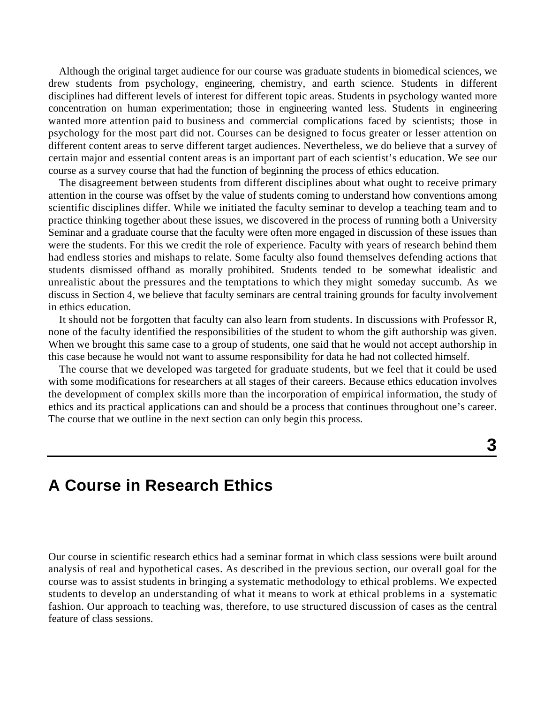Although the original target audience for our course was graduate students in biomedical sciences, we drew students from psychology, engineering, chemistry, and earth science. Students in different disciplines had different levels of interest for different topic areas. Students in psychology wanted more concentration on human experimentation; those in engineering wanted less. Students in engineering wanted more attention paid to business and commercial complications faced by scientists; those in psychology for the most part did not. Courses can be designed to focus greater or lesser attention on different content areas to serve different target audiences. Nevertheless, we do believe that a survey of certain major and essential content areas is an important part of each scientist's education. We see our course as a survey course that had the function of beginning the process of ethics education.

The disagreement between students from different disciplines about what ought to receive primary attention in the course was offset by the value of students coming to understand how conventions among scientific disciplines differ. While we initiated the faculty seminar to develop a teaching team and to practice thinking together about these issues, we discovered in the process of running both a University Seminar and a graduate course that the faculty were often more engaged in discussion of these issues than were the students. For this we credit the role of experience. Faculty with years of research behind them had endless stories and mishaps to relate. Some faculty also found themselves defending actions that students dismissed offhand as morally prohibited. Students tended to be somewhat idealistic and unrealistic about the pressures and the temptations to which they might someday succumb. As we discuss in Section 4, we believe that faculty seminars are central training grounds for faculty involvement in ethics education.

It should not be forgotten that faculty can also learn from students. In discussions with Professor R, none of the faculty identified the responsibilities of the student to whom the gift authorship was given. When we brought this same case to a group of students, one said that he would not accept authorship in this case because he would not want to assume responsibility for data he had not collected himself.

The course that we developed was targeted for graduate students, but we feel that it could be used with some modifications for researchers at all stages of their careers. Because ethics education involves the development of complex skills more than the incorporation of empirical information, the study of ethics and its practical applications can and should be a process that continues throughout one's career. The course that we outline in the next section can only begin this process.

## **3**

## **A Course in Research Ethics**

Our course in scientific research ethics had a seminar format in which class sessions were built around analysis of real and hypothetical cases. As described in the previous section, our overall goal for the course was to assist students in bringing a systematic methodology to ethical problems. We expected students to develop an understanding of what it means to work at ethical problems in a systematic fashion. Our approach to teaching was, therefore, to use structured discussion of cases as the central feature of class sessions.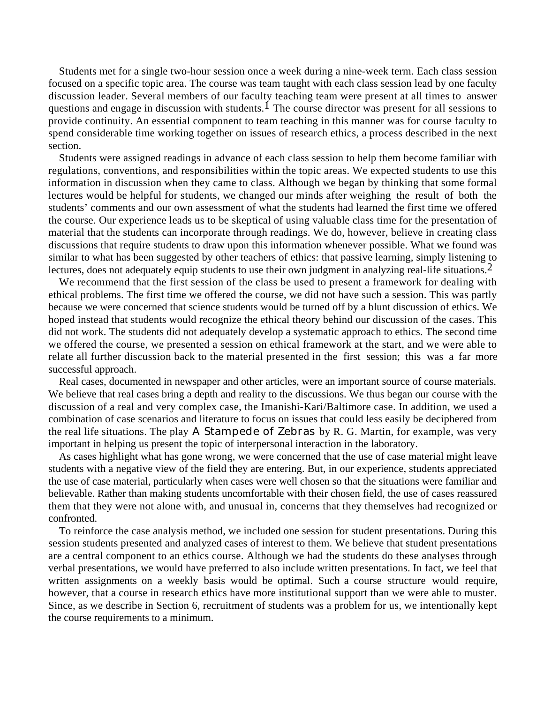Students met for a single two-hour session once a week during a nine-week term. Each class session focused on a specific topic area. The course was team taught with each class session lead by one faculty discussion leader. Several members of our faculty teaching team were present at all times to answer questions and engage in discussion with students.<sup>1</sup> The course director was present for all sessions to provide continuity. An essential component to team teaching in this manner was for course faculty to spend considerable time working together on issues of research ethics, a process described in the next section.

Students were assigned readings in advance of each class session to help them become familiar with regulations, conventions, and responsibilities within the topic areas. We expected students to use this information in discussion when they came to class. Although we began by thinking that some formal lectures would be helpful for students, we changed our minds after weighing the result of both the students' comments and our own assessment of what the students had learned the first time we offered the course. Our experience leads us to be skeptical of using valuable class time for the presentation of material that the students can incorporate through readings. We do, however, believe in creating class discussions that require students to draw upon this information whenever possible. What we found was similar to what has been suggested by other teachers of ethics: that passive learning, simply listening to lectures, does not adequately equip students to use their own judgment in analyzing real-life situations.<sup>2</sup>

We recommend that the first session of the class be used to present a framework for dealing with ethical problems. The first time we offered the course, we did not have such a session. This was partly because we were concerned that science students would be turned off by a blunt discussion of ethics. We hoped instead that students would recognize the ethical theory behind our discussion of the cases. This did not work. The students did not adequately develop a systematic approach to ethics. The second time we offered the course, we presented a session on ethical framework at the start, and we were able to relate all further discussion back to the material presented in the first session; this was a far more successful approach.

Real cases, documented in newspaper and other articles, were an important source of course materials. We believe that real cases bring a depth and reality to the discussions. We thus began our course with the discussion of a real and very complex case, the Imanishi-Kari/Baltimore case. In addition, we used a combination of case scenarios and literature to focus on issues that could less easily be deciphered from the real life situations. The play A Stampede of Zebras by R. G. Martin, for example, was very important in helping us present the topic of interpersonal interaction in the laboratory.

As cases highlight what has gone wrong, we were concerned that the use of case material might leave students with a negative view of the field they are entering. But, in our experience, students appreciated the use of case material, particularly when cases were well chosen so that the situations were familiar and believable. Rather than making students uncomfortable with their chosen field, the use of cases reassured them that they were not alone with, and unusual in, concerns that they themselves had recognized or confronted.

To reinforce the case analysis method, we included one session for student presentations. During this session students presented and analyzed cases of interest to them. We believe that student presentations are a central component to an ethics course. Although we had the students do these analyses through verbal presentations, we would have preferred to also include written presentations. In fact, we feel that written assignments on a weekly basis would be optimal. Such a course structure would require, however, that a course in research ethics have more institutional support than we were able to muster. Since, as we describe in Section 6, recruitment of students was a problem for us, we intentionally kept the course requirements to a minimum.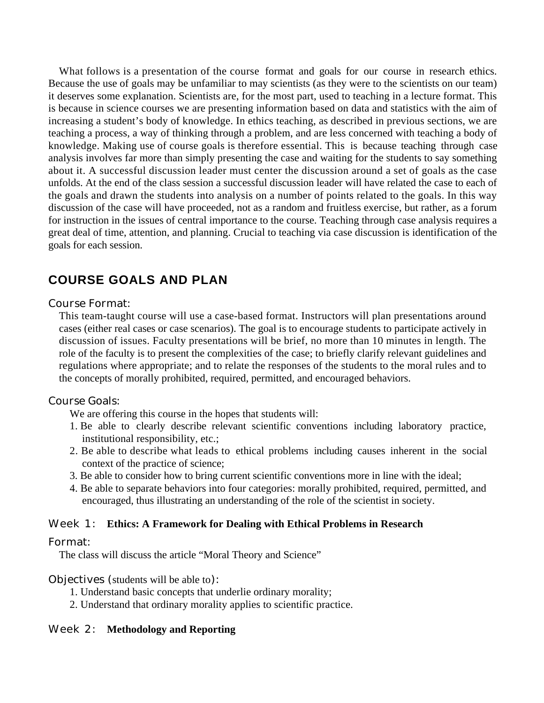What follows is a presentation of the course format and goals for our course in research ethics. Because the use of goals may be unfamiliar to may scientists (as they were to the scientists on our team) it deserves some explanation. Scientists are, for the most part, used to teaching in a lecture format. This is because in science courses we are presenting information based on data and statistics with the aim of increasing a student's body of knowledge. In ethics teaching, as described in previous sections, we are teaching a process, a way of thinking through a problem, and are less concerned with teaching a body of knowledge. Making use of course goals is therefore essential. This is because teaching through case analysis involves far more than simply presenting the case and waiting for the students to say something about it. A successful discussion leader must center the discussion around a set of goals as the case unfolds. At the end of the class session a successful discussion leader will have related the case to each of the goals and drawn the students into analysis on a number of points related to the goals. In this way discussion of the case will have proceeded, not as a random and fruitless exercise, but rather, as a forum for instruction in the issues of central importance to the course. Teaching through case analysis requires a great deal of time, attention, and planning. Crucial to teaching via case discussion is identification of the goals for each session.

## **COURSE GOALS AND PLAN**

#### Course Format:

This team-taught course will use a case-based format. Instructors will plan presentations around cases (either real cases or case scenarios). The goal is to encourage students to participate actively in discussion of issues. Faculty presentations will be brief, no more than 10 minutes in length. The role of the faculty is to present the complexities of the case; to briefly clarify relevant guidelines and regulations where appropriate; and to relate the responses of the students to the moral rules and to the concepts of morally prohibited, required, permitted, and encouraged behaviors.

#### Course Goals:

We are offering this course in the hopes that students will:

- 1. Be able to clearly describe relevant scientific conventions including laboratory practice, institutional responsibility, etc.;
- 2. Be able to describe what leads to ethical problems including causes inherent in the social context of the practice of science;
- 3. Be able to consider how to bring current scientific conventions more in line with the ideal;
- 4. Be able to separate behaviors into four categories: morally prohibited, required, permitted, and encouraged, thus illustrating an understanding of the role of the scientist in society.

#### Week 1: **Ethics: A Framework for Dealing with Ethical Problems in Research**

#### Format:

The class will discuss the article "Moral Theory and Science"

#### Objectives (students will be able to):

- 1. Understand basic concepts that underlie ordinary morality;
- 2. Understand that ordinary morality applies to scientific practice.

#### Week 2: **Methodology and Reporting**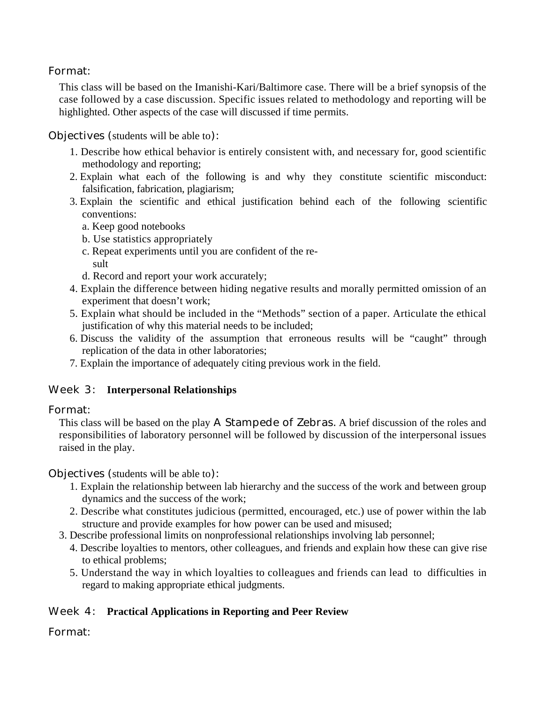## Format:

This class will be based on the Imanishi-Kari/Baltimore case. There will be a brief synopsis of the case followed by a case discussion. Specific issues related to methodology and reporting will be highlighted. Other aspects of the case will discussed if time permits.

Objectives (students will be able to):

- 1. Describe how ethical behavior is entirely consistent with, and necessary for, good scientific methodology and reporting;
- 2. Explain what each of the following is and why they constitute scientific misconduct: falsification, fabrication, plagiarism;
- 3. Explain the scientific and ethical justification behind each of the following scientific conventions:
	- a. Keep good notebooks
	- b. Use statistics appropriately
	- c. Repeat experiments until you are confident of the result
	- d. Record and report your work accurately;
- 4. Explain the difference between hiding negative results and morally permitted omission of an experiment that doesn't work;
- 5. Explain what should be included in the "Methods" section of a paper. Articulate the ethical justification of why this material needs to be included;
- 6. Discuss the validity of the assumption that erroneous results will be "caught" through replication of the data in other laboratories;
- 7. Explain the importance of adequately citing previous work in the field.

## Week 3: **Interpersonal Relationships**

## Format:

This class will be based on the play A Stampede of Zebras. A brief discussion of the roles and responsibilities of laboratory personnel will be followed by discussion of the interpersonal issues raised in the play.

## Objectives (students will be able to):

- 1. Explain the relationship between lab hierarchy and the success of the work and between group dynamics and the success of the work;
- 2. Describe what constitutes judicious (permitted, encouraged, etc.) use of power within the lab structure and provide examples for how power can be used and misused;
- 3. Describe professional limits on nonprofessional relationships involving lab personnel;
	- 4. Describe loyalties to mentors, other colleagues, and friends and explain how these can give rise to ethical problems;
	- 5. Understand the way in which loyalties to colleagues and friends can lead to difficulties in regard to making appropriate ethical judgments.

## Week 4: **Practical Applications in Reporting and Peer Review**

## Format: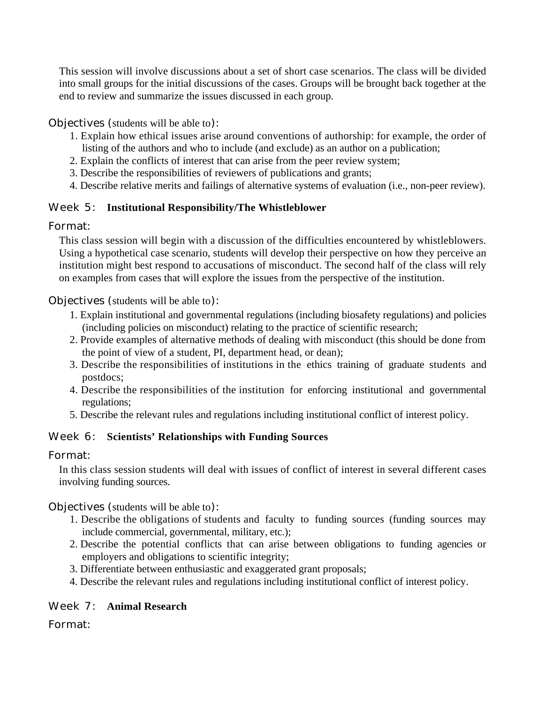This session will involve discussions about a set of short case scenarios. The class will be divided into small groups for the initial discussions of the cases. Groups will be brought back together at the end to review and summarize the issues discussed in each group.

## Objectives (students will be able to):

- 1. Explain how ethical issues arise around conventions of authorship: for example, the order of listing of the authors and who to include (and exclude) as an author on a publication;
- 2. Explain the conflicts of interest that can arise from the peer review system;
- 3. Describe the responsibilities of reviewers of publications and grants;
- 4. Describe relative merits and failings of alternative systems of evaluation (i.e., non-peer review).

## Week 5: **Institutional Responsibility/The Whistleblower**

## Format:

This class session will begin with a discussion of the difficulties encountered by whistleblowers. Using a hypothetical case scenario, students will develop their perspective on how they perceive an institution might best respond to accusations of misconduct. The second half of the class will rely on examples from cases that will explore the issues from the perspective of the institution.

Objectives (students will be able to):

- 1. Explain institutional and governmental regulations (including biosafety regulations) and policies (including policies on misconduct) relating to the practice of scientific research;
- 2. Provide examples of alternative methods of dealing with misconduct (this should be done from the point of view of a student, PI, department head, or dean);
- 3. Describe the responsibilities of institutions in the ethics training of graduate students and postdocs;
- 4. Describe the responsibilities of the institution for enforcing institutional and governmental regulations;
- 5. Describe the relevant rules and regulations including institutional conflict of interest policy.

## Week 6: **Scientists' Relationships with Funding Sources**

## Format:

In this class session students will deal with issues of conflict of interest in several different cases involving funding sources.

Objectives (students will be able to):

- 1. Describe the obligations of students and faculty to funding sources (funding sources may include commercial, governmental, military, etc.);
- 2. Describe the potential conflicts that can arise between obligations to funding agencies or employers and obligations to scientific integrity;
- 3. Differentiate between enthusiastic and exaggerated grant proposals;
- 4. Describe the relevant rules and regulations including institutional conflict of interest policy.

## Week 7: **Animal Research**

Format: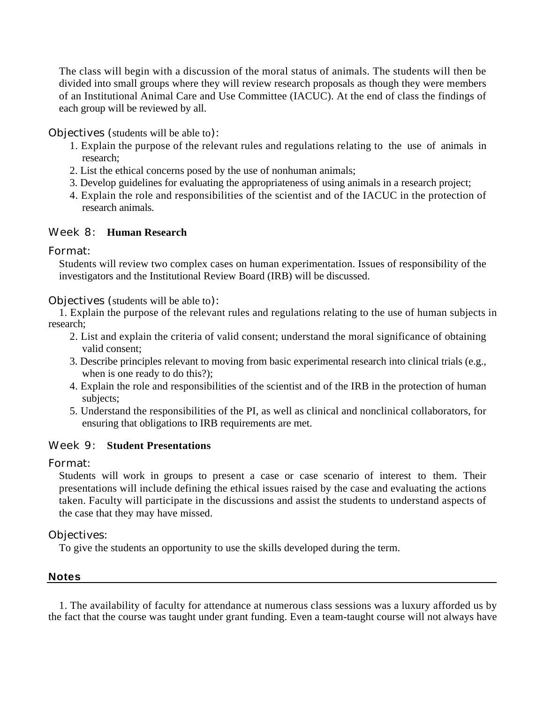The class will begin with a discussion of the moral status of animals. The students will then be divided into small groups where they will review research proposals as though they were members of an Institutional Animal Care and Use Committee (IACUC). At the end of class the findings of each group will be reviewed by all.

Objectives (students will be able to):

- 1. Explain the purpose of the relevant rules and regulations relating to the use of animals in research;
- 2. List the ethical concerns posed by the use of nonhuman animals;
- 3. Develop guidelines for evaluating the appropriateness of using animals in a research project;
- 4. Explain the role and responsibilities of the scientist and of the IACUC in the protection of research animals.

## Week 8: **Human Research**

### Format:

Students will review two complex cases on human experimentation. Issues of responsibility of the investigators and the Institutional Review Board (IRB) will be discussed.

### Objectives (students will be able to):

1. Explain the purpose of the relevant rules and regulations relating to the use of human subjects in research;

- 2. List and explain the criteria of valid consent; understand the moral significance of obtaining valid consent;
- 3. Describe principles relevant to moving from basic experimental research into clinical trials (e.g., when is one ready to do this?);
- 4. Explain the role and responsibilities of the scientist and of the IRB in the protection of human subjects;
- 5. Understand the responsibilities of the PI, as well as clinical and nonclinical collaborators, for ensuring that obligations to IRB requirements are met.

## Week 9: **Student Presentations**

## Format:

Students will work in groups to present a case or case scenario of interest to them. Their presentations will include defining the ethical issues raised by the case and evaluating the actions taken. Faculty will participate in the discussions and assist the students to understand aspects of the case that they may have missed.

## Objectives:

To give the students an opportunity to use the skills developed during the term.

#### **Notes**

1. The availability of faculty for attendance at numerous class sessions was a luxury afforded us by the fact that the course was taught under grant funding. Even a team-taught course will not always have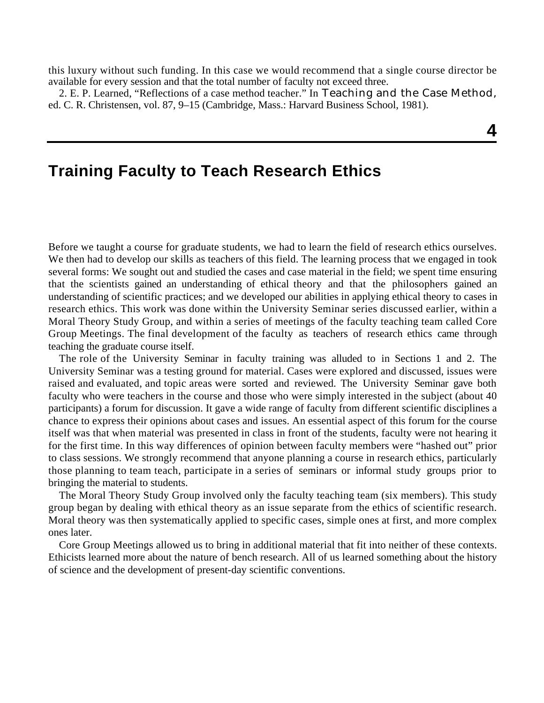this luxury without such funding. In this case we would recommend that a single course director be available for every session and that the total number of faculty not exceed three.

2. E. P. Learned, "Reflections of a case method teacher." In Teaching and the Case Method, ed. C. R. Christensen, vol. 87, 9–15 (Cambridge, Mass.: Harvard Business School, 1981).

## **4**

## **Training Faculty to Teach Research Ethics**

Before we taught a course for graduate students, we had to learn the field of research ethics ourselves. We then had to develop our skills as teachers of this field. The learning process that we engaged in took several forms: We sought out and studied the cases and case material in the field; we spent time ensuring that the scientists gained an understanding of ethical theory and that the philosophers gained an understanding of scientific practices; and we developed our abilities in applying ethical theory to cases in research ethics. This work was done within the University Seminar series discussed earlier, within a Moral Theory Study Group, and within a series of meetings of the faculty teaching team called Core Group Meetings. The final development of the faculty as teachers of research ethics came through teaching the graduate course itself.

The role of the University Seminar in faculty training was alluded to in Sections 1 and 2. The University Seminar was a testing ground for material. Cases were explored and discussed, issues were raised and evaluated, and topic areas were sorted and reviewed. The University Seminar gave both faculty who were teachers in the course and those who were simply interested in the subject (about 40 participants) a forum for discussion. It gave a wide range of faculty from different scientific disciplines a chance to express their opinions about cases and issues. An essential aspect of this forum for the course itself was that when material was presented in class in front of the students, faculty were not hearing it for the first time. In this way differences of opinion between faculty members were "hashed out" prior to class sessions. We strongly recommend that anyone planning a course in research ethics, particularly those planning to team teach, participate in a series of seminars or informal study groups prior to bringing the material to students.

The Moral Theory Study Group involved only the faculty teaching team (six members). This study group began by dealing with ethical theory as an issue separate from the ethics of scientific research. Moral theory was then systematically applied to specific cases, simple ones at first, and more complex ones later.

Core Group Meetings allowed us to bring in additional material that fit into neither of these contexts. Ethicists learned more about the nature of bench research. All of us learned something about the history of science and the development of present-day scientific conventions.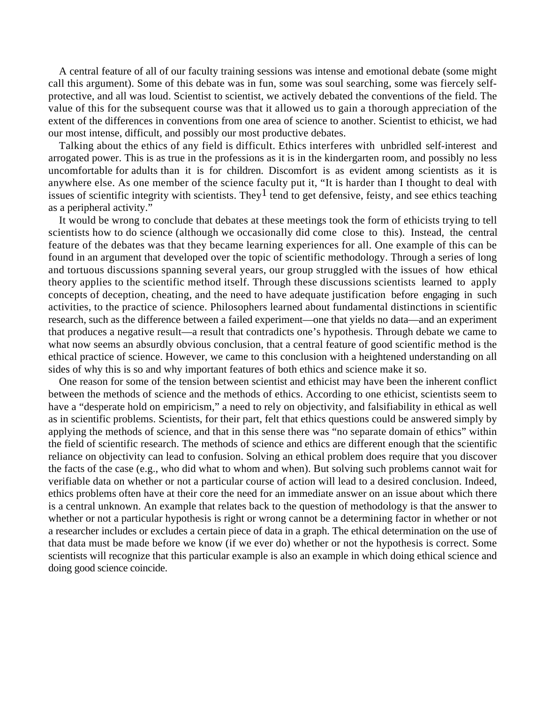A central feature of all of our faculty training sessions was intense and emotional debate (some might call this argument). Some of this debate was in fun, some was soul searching, some was fiercely selfprotective, and all was loud. Scientist to scientist, we actively debated the conventions of the field. The value of this for the subsequent course was that it allowed us to gain a thorough appreciation of the extent of the differences in conventions from one area of science to another. Scientist to ethicist, we had our most intense, difficult, and possibly our most productive debates.

Talking about the ethics of any field is difficult. Ethics interferes with unbridled self-interest and arrogated power. This is as true in the professions as it is in the kindergarten room, and possibly no less uncomfortable for adults than it is for children. Discomfort is as evident among scientists as it is anywhere else. As one member of the science faculty put it, "It is harder than I thought to deal with issues of scientific integrity with scientists. They<sup>1</sup> tend to get defensive, feisty, and see ethics teaching as a peripheral activity."

It would be wrong to conclude that debates at these meetings took the form of ethicists trying to tell scientists how to do science (although we occasionally did come close to this). Instead, the central feature of the debates was that they became learning experiences for all. One example of this can be found in an argument that developed over the topic of scientific methodology. Through a series of long and tortuous discussions spanning several years, our group struggled with the issues of how ethical theory applies to the scientific method itself. Through these discussions scientists learned to apply concepts of deception, cheating, and the need to have adequate justification before engaging in such activities, to the practice of science. Philosophers learned about fundamental distinctions in scientific research, such as the difference between a failed experiment—one that yields no data—and an experiment that produces a negative result—a result that contradicts one's hypothesis. Through debate we came to what now seems an absurdly obvious conclusion, that a central feature of good scientific method is the ethical practice of science. However, we came to this conclusion with a heightened understanding on all sides of why this is so and why important features of both ethics and science make it so.

One reason for some of the tension between scientist and ethicist may have been the inherent conflict between the methods of science and the methods of ethics. According to one ethicist, scientists seem to have a "desperate hold on empiricism," a need to rely on objectivity, and falsifiability in ethical as well as in scientific problems. Scientists, for their part, felt that ethics questions could be answered simply by applying the methods of science, and that in this sense there was "no separate domain of ethics" within the field of scientific research. The methods of science and ethics are different enough that the scientific reliance on objectivity can lead to confusion. Solving an ethical problem does require that you discover the facts of the case (e.g., who did what to whom and when). But solving such problems cannot wait for verifiable data on whether or not a particular course of action will lead to a desired conclusion. Indeed, ethics problems often have at their core the need for an immediate answer on an issue about which there is a central unknown. An example that relates back to the question of methodology is that the answer to whether or not a particular hypothesis is right or wrong cannot be a determining factor in whether or not a researcher includes or excludes a certain piece of data in a graph. The ethical determination on the use of that data must be made before we know (if we ever do) whether or not the hypothesis is correct. Some scientists will recognize that this particular example is also an example in which doing ethical science and doing good science coincide.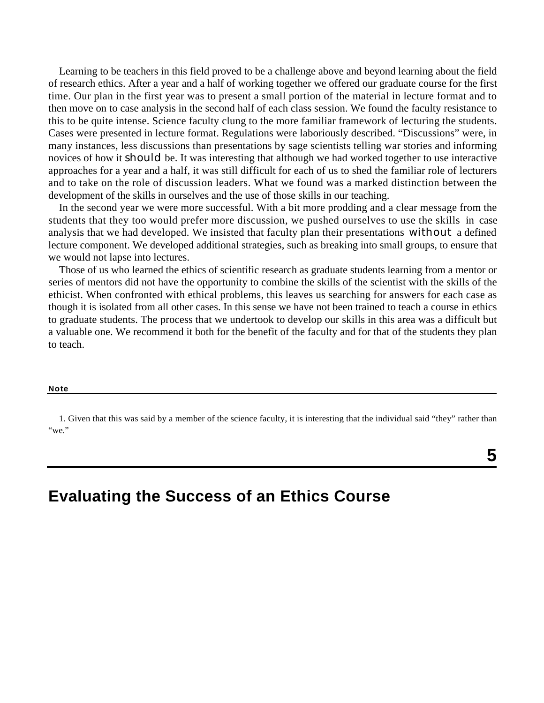Learning to be teachers in this field proved to be a challenge above and beyond learning about the field of research ethics. After a year and a half of working together we offered our graduate course for the first time. Our plan in the first year was to present a small portion of the material in lecture format and to then move on to case analysis in the second half of each class session. We found the faculty resistance to this to be quite intense. Science faculty clung to the more familiar framework of lecturing the students. Cases were presented in lecture format. Regulations were laboriously described. "Discussions" were, in many instances, less discussions than presentations by sage scientists telling war stories and informing novices of how it should be. It was interesting that although we had worked together to use interactive approaches for a year and a half, it was still difficult for each of us to shed the familiar role of lecturers and to take on the role of discussion leaders. What we found was a marked distinction between the development of the skills in ourselves and the use of those skills in our teaching.

In the second year we were more successful. With a bit more prodding and a clear message from the students that they too would prefer more discussion, we pushed ourselves to use the skills in case analysis that we had developed. We insisted that faculty plan their presentations without a defined lecture component. We developed additional strategies, such as breaking into small groups, to ensure that we would not lapse into lectures.

Those of us who learned the ethics of scientific research as graduate students learning from a mentor or series of mentors did not have the opportunity to combine the skills of the scientist with the skills of the ethicist. When confronted with ethical problems, this leaves us searching for answers for each case as though it is isolated from all other cases. In this sense we have not been trained to teach a course in ethics to graduate students. The process that we undertook to develop our skills in this area was a difficult but a valuable one. We recommend it both for the benefit of the faculty and for that of the students they plan to teach.

#### **Note**

1. Given that this was said by a member of the science faculty, it is interesting that the individual said "they" rather than "we."

## **Evaluating the Success of an Ethics Course**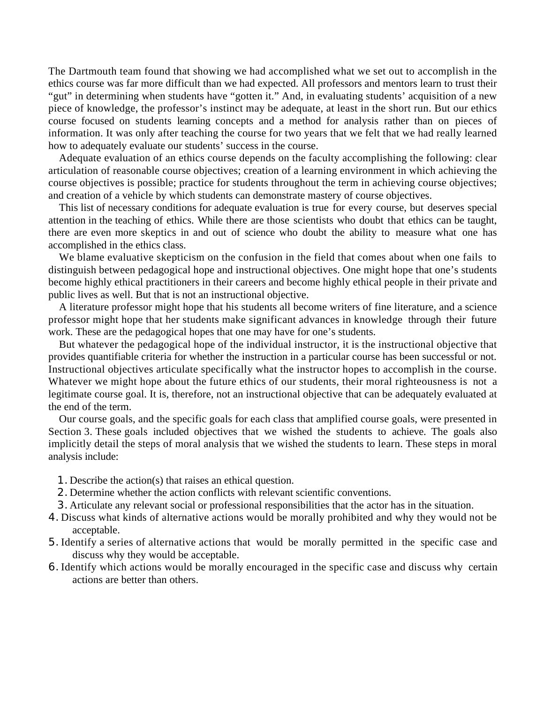The Dartmouth team found that showing we had accomplished what we set out to accomplish in the ethics course was far more difficult than we had expected. All professors and mentors learn to trust their "gut" in determining when students have "gotten it." And, in evaluating students' acquisition of a new piece of knowledge, the professor's instinct may be adequate, at least in the short run. But our ethics course focused on students learning concepts and a method for analysis rather than on pieces of information. It was only after teaching the course for two years that we felt that we had really learned how to adequately evaluate our students' success in the course.

Adequate evaluation of an ethics course depends on the faculty accomplishing the following: clear articulation of reasonable course objectives; creation of a learning environment in which achieving the course objectives is possible; practice for students throughout the term in achieving course objectives; and creation of a vehicle by which students can demonstrate mastery of course objectives.

This list of necessary conditions for adequate evaluation is true for every course, but deserves special attention in the teaching of ethics. While there are those scientists who doubt that ethics can be taught, there are even more skeptics in and out of science who doubt the ability to measure what one has accomplished in the ethics class.

We blame evaluative skepticism on the confusion in the field that comes about when one fails to distinguish between pedagogical hope and instructional objectives. One might hope that one's students become highly ethical practitioners in their careers and become highly ethical people in their private and public lives as well. But that is not an instructional objective.

A literature professor might hope that his students all become writers of fine literature, and a science professor might hope that her students make significant advances in knowledge through their future work. These are the pedagogical hopes that one may have for one's students.

But whatever the pedagogical hope of the individual instructor, it is the instructional objective that provides quantifiable criteria for whether the instruction in a particular course has been successful or not. Instructional objectives articulate specifically what the instructor hopes to accomplish in the course. Whatever we might hope about the future ethics of our students, their moral righteousness is not a legitimate course goal. It is, therefore, not an instructional objective that can be adequately evaluated at the end of the term.

Our course goals, and the specific goals for each class that amplified course goals, were presented in Section 3. These goals included objectives that we wished the students to achieve. The goals also implicitly detail the steps of moral analysis that we wished the students to learn. These steps in moral analysis include:

- 1. Describe the action(s) that raises an ethical question.
- 2. Determine whether the action conflicts with relevant scientific conventions.
- 3. Articulate any relevant social or professional responsibilities that the actor has in the situation.
- 4. Discuss what kinds of alternative actions would be morally prohibited and why they would not be acceptable.
- 5. Identify a series of alternative actions that would be morally permitted in the specific case and discuss why they would be acceptable.
- 6. Identify which actions would be morally encouraged in the specific case and discuss why certain actions are better than others.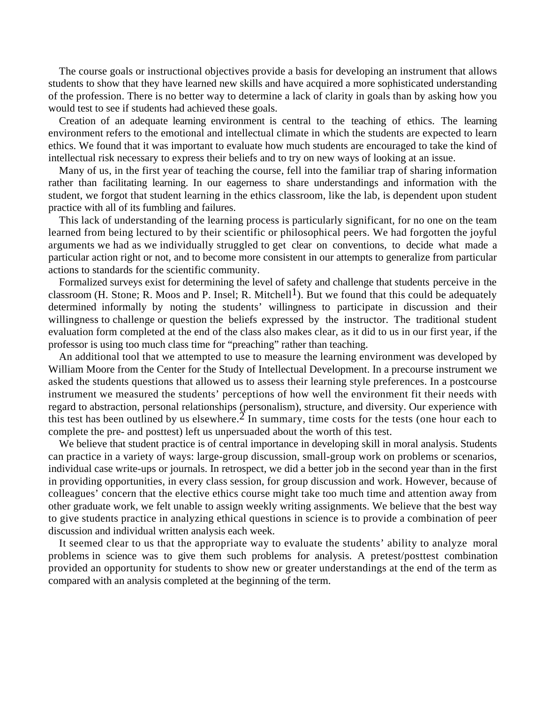The course goals or instructional objectives provide a basis for developing an instrument that allows students to show that they have learned new skills and have acquired a more sophisticated understanding of the profession. There is no better way to determine a lack of clarity in goals than by asking how you would test to see if students had achieved these goals.

Creation of an adequate learning environment is central to the teaching of ethics. The learning environment refers to the emotional and intellectual climate in which the students are expected to learn ethics. We found that it was important to evaluate how much students are encouraged to take the kind of intellectual risk necessary to express their beliefs and to try on new ways of looking at an issue.

Many of us, in the first year of teaching the course, fell into the familiar trap of sharing information rather than facilitating learning. In our eagerness to share understandings and information with the student, we forgot that student learning in the ethics classroom, like the lab, is dependent upon student practice with all of its fumbling and failures.

This lack of understanding of the learning process is particularly significant, for no one on the team learned from being lectured to by their scientific or philosophical peers. We had forgotten the joyful arguments we had as we individually struggled to get clear on conventions, to decide what made a particular action right or not, and to become more consistent in our attempts to generalize from particular actions to standards for the scientific community.

Formalized surveys exist for determining the level of safety and challenge that students perceive in the classroom (H. Stone; R. Moos and P. Insel; R. Mitchell<sup>1</sup>). But we found that this could be adequately determined informally by noting the students' willingness to participate in discussion and their willingness to challenge or question the beliefs expressed by the instructor. The traditional student evaluation form completed at the end of the class also makes clear, as it did to us in our first year, if the professor is using too much class time for "preaching" rather than teaching.

An additional tool that we attempted to use to measure the learning environment was developed by William Moore from the Center for the Study of Intellectual Development. In a precourse instrument we asked the students questions that allowed us to assess their learning style preferences. In a postcourse instrument we measured the students' perceptions of how well the environment fit their needs with regard to abstraction, personal relationships (personalism), structure, and diversity. Our experience with this test has been outlined by us elsewhere.<sup>2</sup> In summary, time costs for the tests (one hour each to complete the pre- and posttest) left us unpersuaded about the worth of this test.

We believe that student practice is of central importance in developing skill in moral analysis. Students can practice in a variety of ways: large-group discussion, small-group work on problems or scenarios, individual case write-ups or journals. In retrospect, we did a better job in the second year than in the first in providing opportunities, in every class session, for group discussion and work. However, because of colleagues' concern that the elective ethics course might take too much time and attention away from other graduate work, we felt unable to assign weekly writing assignments. We believe that the best way to give students practice in analyzing ethical questions in science is to provide a combination of peer discussion and individual written analysis each week.

It seemed clear to us that the appropriate way to evaluate the students' ability to analyze moral problems in science was to give them such problems for analysis. A pretest/posttest combination provided an opportunity for students to show new or greater understandings at the end of the term as compared with an analysis completed at the beginning of the term.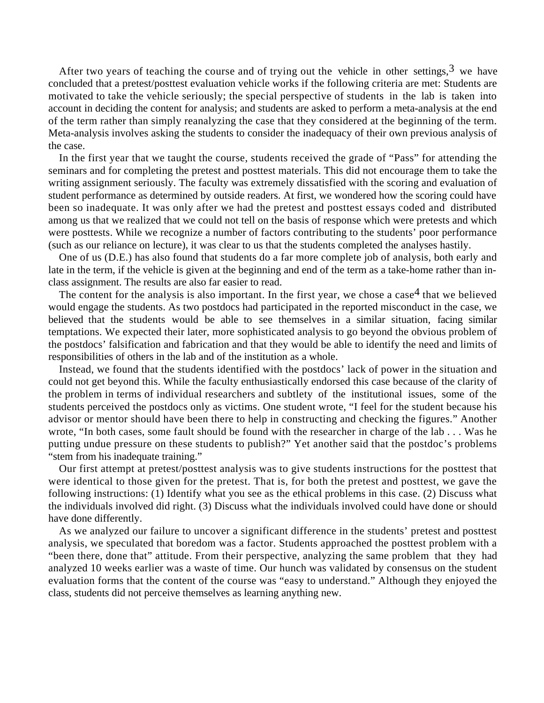After two years of teaching the course and of trying out the vehicle in other settings,  $3$  we have concluded that a pretest/posttest evaluation vehicle works if the following criteria are met: Students are motivated to take the vehicle seriously; the special perspective of students in the lab is taken into account in deciding the content for analysis; and students are asked to perform a meta-analysis at the end of the term rather than simply reanalyzing the case that they considered at the beginning of the term. Meta-analysis involves asking the students to consider the inadequacy of their own previous analysis of the case.

In the first year that we taught the course, students received the grade of "Pass" for attending the seminars and for completing the pretest and posttest materials. This did not encourage them to take the writing assignment seriously. The faculty was extremely dissatisfied with the scoring and evaluation of student performance as determined by outside readers. At first, we wondered how the scoring could have been so inadequate. It was only after we had the pretest and posttest essays coded and distributed among us that we realized that we could not tell on the basis of response which were pretests and which were posttests. While we recognize a number of factors contributing to the students' poor performance (such as our reliance on lecture), it was clear to us that the students completed the analyses hastily.

One of us (D.E.) has also found that students do a far more complete job of analysis, both early and late in the term, if the vehicle is given at the beginning and end of the term as a take-home rather than inclass assignment. The results are also far easier to read.

The content for the analysis is also important. In the first year, we chose a case<sup>4</sup> that we believed would engage the students. As two postdocs had participated in the reported misconduct in the case, we believed that the students would be able to see themselves in a similar situation, facing similar temptations. We expected their later, more sophisticated analysis to go beyond the obvious problem of the postdocs' falsification and fabrication and that they would be able to identify the need and limits of responsibilities of others in the lab and of the institution as a whole.

Instead, we found that the students identified with the postdocs' lack of power in the situation and could not get beyond this. While the faculty enthusiastically endorsed this case because of the clarity of the problem in terms of individual researchers and subtlety of the institutional issues, some of the students perceived the postdocs only as victims. One student wrote, "I feel for the student because his advisor or mentor should have been there to help in constructing and checking the figures." Another wrote, "In both cases, some fault should be found with the researcher in charge of the lab . . . Was he putting undue pressure on these students to publish?" Yet another said that the postdoc's problems "stem from his inadequate training."

Our first attempt at pretest/posttest analysis was to give students instructions for the posttest that were identical to those given for the pretest. That is, for both the pretest and posttest, we gave the following instructions: (1) Identify what you see as the ethical problems in this case. (2) Discuss what the individuals involved did right. (3) Discuss what the individuals involved could have done or should have done differently.

As we analyzed our failure to uncover a significant difference in the students' pretest and posttest analysis, we speculated that boredom was a factor. Students approached the posttest problem with a "been there, done that" attitude. From their perspective, analyzing the same problem that they had analyzed 10 weeks earlier was a waste of time. Our hunch was validated by consensus on the student evaluation forms that the content of the course was "easy to understand." Although they enjoyed the class, students did not perceive themselves as learning anything new.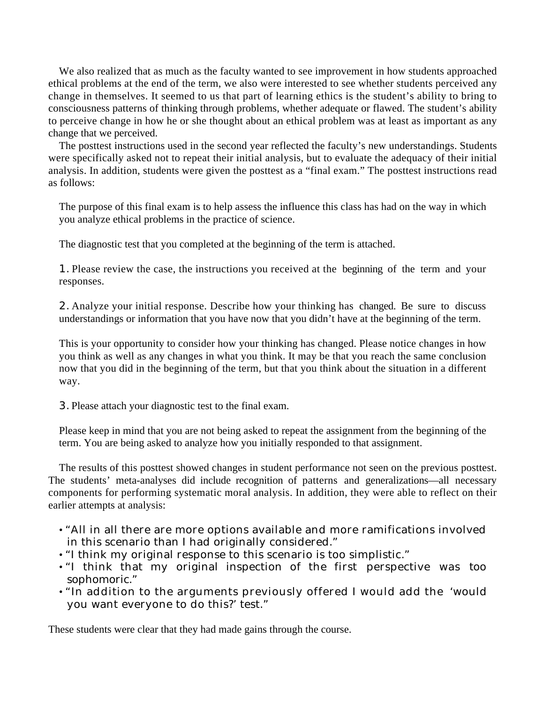We also realized that as much as the faculty wanted to see improvement in how students approached ethical problems at the end of the term, we also were interested to see whether students perceived any change in themselves. It seemed to us that part of learning ethics is the student's ability to bring to consciousness patterns of thinking through problems, whether adequate or flawed. The student's ability to perceive change in how he or she thought about an ethical problem was at least as important as any change that we perceived.

The posttest instructions used in the second year reflected the faculty's new understandings. Students were specifically asked not to repeat their initial analysis, but to evaluate the adequacy of their initial analysis. In addition, students were given the posttest as a "final exam." The posttest instructions read as follows:

The purpose of this final exam is to help assess the influence this class has had on the way in which you analyze ethical problems in the practice of science.

The diagnostic test that you completed at the beginning of the term is attached.

1. Please review the case, the instructions you received at the beginning of the term and your responses.

2. Analyze your initial response. Describe how your thinking has changed. Be sure to discuss understandings or information that you have now that you didn't have at the beginning of the term.

This is your opportunity to consider how your thinking has changed. Please notice changes in how you think as well as any changes in what you think. It may be that you reach the same conclusion now that you did in the beginning of the term, but that you think about the situation in a different way.

3. Please attach your diagnostic test to the final exam.

Please keep in mind that you are not being asked to repeat the assignment from the beginning of the term. You are being asked to analyze how you initially responded to that assignment.

The results of this posttest showed changes in student performance not seen on the previous posttest. The students' meta-analyses did include recognition of patterns and generalizations—all necessary components for performing systematic moral analysis. In addition, they were able to reflect on their earlier attempts at analysis:

- "All in all there are more options available and more ramifications involved in this scenario than I had originally considered."
- "I think my original response to this scenario is too simplistic."
- "I think that my original inspection of the first perspective was too sophomoric."
- "In addition to the arguments previously offered I would add the 'would you want everyone to do this?' test."

These students were clear that they had made gains through the course.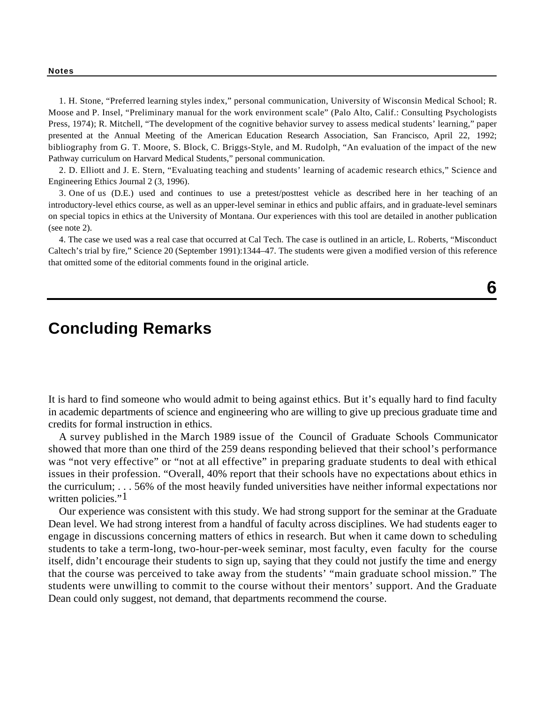**Notes**

1. H. Stone, "Preferred learning styles index," personal communication, University of Wisconsin Medical School; R. Moose and P. Insel, "Preliminary manual for the work environment scale" (Palo Alto, Calif.: Consulting Psychologists Press, 1974); R. Mitchell, "The development of the cognitive behavior survey to assess medical students' learning," paper presented at the Annual Meeting of the American Education Research Association, San Francisco, April 22, 1992; bibliography from G. T. Moore, S. Block, C. Briggs-Style, and M. Rudolph, "An evaluation of the impact of the new Pathway curriculum on Harvard Medical Students," personal communication.

2. D. Elliott and J. E. Stern, "Evaluating teaching and students' learning of academic research ethics," Science and Engineering Ethics Journal 2 (3, 1996).

3. One of us (D.E.) used and continues to use a pretest/posttest vehicle as described here in her teaching of an introductory-level ethics course, as well as an upper-level seminar in ethics and public affairs, and in graduate-level seminars on special topics in ethics at the University of Montana. Our experiences with this tool are detailed in another publication (see note 2).

4. The case we used was a real case that occurred at Cal Tech. The case is outlined in an article, L. Roberts, "Misconduct Caltech's trial by fire," Science 20 (September 1991):1344–47. The students were given a modified version of this reference that omitted some of the editorial comments found in the original article.

## **Concluding Remarks**

It is hard to find someone who would admit to being against ethics. But it's equally hard to find faculty in academic departments of science and engineering who are willing to give up precious graduate time and credits for formal instruction in ethics.

A survey published in the March 1989 issue of the Council of Graduate Schools Communicator showed that more than one third of the 259 deans responding believed that their school's performance was "not very effective" or "not at all effective" in preparing graduate students to deal with ethical issues in their profession. "Overall, 40% report that their schools have no expectations about ethics in the curriculum; . . . 56% of the most heavily funded universities have neither informal expectations nor written policies."<sup>1</sup>

Our experience was consistent with this study. We had strong support for the seminar at the Graduate Dean level. We had strong interest from a handful of faculty across disciplines. We had students eager to engage in discussions concerning matters of ethics in research. But when it came down to scheduling students to take a term-long, two-hour-per-week seminar, most faculty, even faculty for the course itself, didn't encourage their students to sign up, saying that they could not justify the time and energy that the course was perceived to take away from the students' "main graduate school mission." The students were unwilling to commit to the course without their mentors' support. And the Graduate Dean could only suggest, not demand, that departments recommend the course.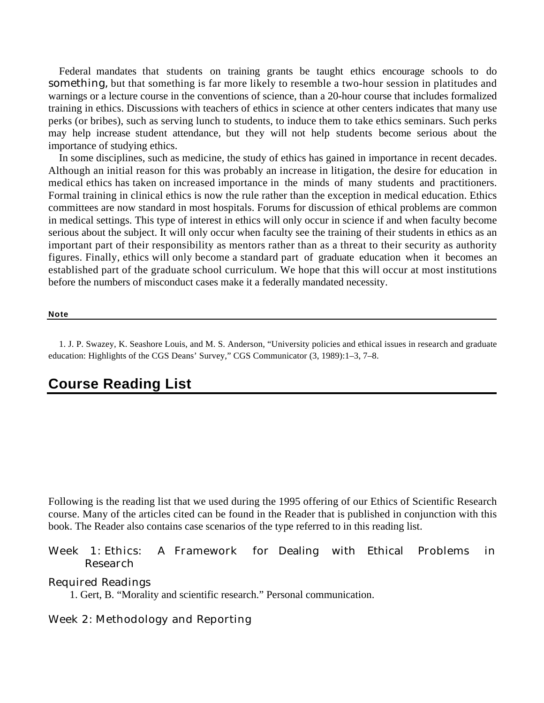Federal mandates that students on training grants be taught ethics encourage schools to do something, but that something is far more likely to resemble a two-hour session in platitudes and warnings or a lecture course in the conventions of science, than a 20-hour course that includes formalized training in ethics. Discussions with teachers of ethics in science at other centers indicates that many use perks (or bribes), such as serving lunch to students, to induce them to take ethics seminars. Such perks may help increase student attendance, but they will not help students become serious about the importance of studying ethics.

In some disciplines, such as medicine, the study of ethics has gained in importance in recent decades. Although an initial reason for this was probably an increase in litigation, the desire for education in medical ethics has taken on increased importance in the minds of many students and practitioners. Formal training in clinical ethics is now the rule rather than the exception in medical education. Ethics committees are now standard in most hospitals. Forums for discussion of ethical problems are common in medical settings. This type of interest in ethics will only occur in science if and when faculty become serious about the subject. It will only occur when faculty see the training of their students in ethics as an important part of their responsibility as mentors rather than as a threat to their security as authority figures. Finally, ethics will only become a standard part of graduate education when it becomes an established part of the graduate school curriculum. We hope that this will occur at most institutions before the numbers of misconduct cases make it a federally mandated necessity.

**Note**

1. J. P. Swazey, K. Seashore Louis, and M. S. Anderson, "University policies and ethical issues in research and graduate education: Highlights of the CGS Deans' Survey," CGS Communicator (3, 1989):1–3, 7–8.

## **Course Reading List**

Following is the reading list that we used during the 1995 offering of our Ethics of Scientific Research course. Many of the articles cited can be found in the Reader that is published in conjunction with this book. The Reader also contains case scenarios of the type referred to in this reading list.

### Week 1: Ethics: A Framework for Dealing with Ethical Problems in Research

#### Required Readings

1. Gert, B. "Morality and scientific research." Personal communication.

## Week 2: Methodology and Reporting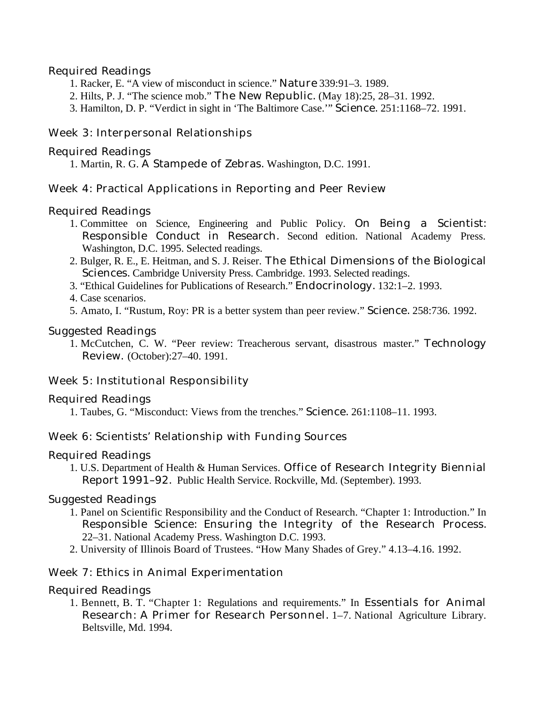## Required Readings

- 1. Racker, E. "A view of misconduct in science." Nature 339:91–3. 1989.
- 2. Hilts, P. J. "The science mob." The New Republic. (May 18):25, 28–31. 1992.
- 3. Hamilton, D. P. "Verdict in sight in 'The Baltimore Case.'" Science. 251:1168–72. 1991.

### Week 3: Interpersonal Relationships

#### Required Readings

1. Martin, R. G. A Stampede of Zebras. Washington, D.C. 1991.

### Week 4: Practical Applications in Reporting and Peer Review

### Required Readings

- 1. Committee on Science, Engineering and Public Policy. On Being a Scientist: Responsible Conduct in Research. Second edition. National Academy Press. Washington, D.C. 1995. Selected readings.
- 2. Bulger, R. E., E. Heitman, and S. J. Reiser. The Ethical Dimensions of the Biological Sciences. Cambridge University Press. Cambridge. 1993. Selected readings.
- 3. "Ethical Guidelines for Publications of Research." Endocrinology. 132:1–2. 1993.
- 4. Case scenarios.
- 5. Amato, I. "Rustum, Roy: PR is a better system than peer review." Science. 258:736. 1992.

### Suggested Readings

1. McCutchen, C. W. "Peer review: Treacherous servant, disastrous master." Technology Review. (October):27–40. 1991.

## Week 5: Institutional Responsibility

#### Required Readings

1. Taubes, G. "Misconduct: Views from the trenches." Science. 261:1108–11. 1993.

## Week 6: Scientists' Relationship with Funding Sources

#### Required Readings

1. U.S. Department of Health & Human Services. Office of Research Integrity Biennial Report 1991–92. Public Health Service. Rockville, Md. (September). 1993.

#### Suggested Readings

- 1. Panel on Scientific Responsibility and the Conduct of Research. "Chapter 1: Introduction." In Responsible Science: Ensuring the Integrity of the Research Process. 22–31. National Academy Press. Washington D.C. 1993.
- 2. University of Illinois Board of Trustees. "How Many Shades of Grey." 4.13–4.16. 1992.

## Week 7: Ethics in Animal Experimentation

## Required Readings

1. Bennett, B. T. "Chapter 1: Regulations and requirements." In Essentials for Animal Research: A Primer for Research Personnel. 1–7. National Agriculture Library. Beltsville, Md. 1994.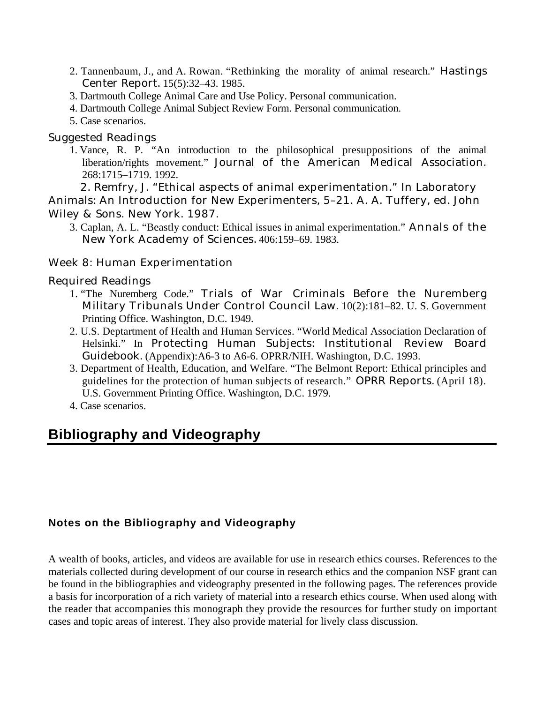- 2. Tannenbaum, J., and A. Rowan. "Rethinking the morality of animal research." Hastings Center Report. 15(5):32–43. 1985.
- 3. Dartmouth College Animal Care and Use Policy. Personal communication.
- 4. Dartmouth College Animal Subject Review Form. Personal communication.
- 5. Case scenarios.

## Suggested Readings

1. Vance, R. P. "An introduction to the philosophical presuppositions of the animal liberation/rights movement." Journal of the American Medical Association. 268:1715–1719. 1992.

2. Remfry, J. "Ethical aspects of animal experimentation." In Laboratory Animals: An Introduction for New Experimenters, 5–21. A. A. Tuffery, ed. John Wiley & Sons. New York. 1987.

3. Caplan, A. L. "Beastly conduct: Ethical issues in animal experimentation." Annals of the New York Academy of Sciences. 406:159–69. 1983.

## Week 8: Human Experimentation

## Required Readings

- 1. "The Nuremberg Code." Trials of War Criminals Before the Nuremberg Military Tribunals Under Control Council Law. 10(2):181–82. U. S. Government Printing Office. Washington, D.C. 1949.
- 2. U.S. Deptartment of Health and Human Services. "World Medical Association Declaration of Helsinki." In Protecting Human Subjects: Institutional Review Board Guidebook. (Appendix):A6-3 to A6-6. OPRR/NIH. Washington, D.C. 1993.
- 3. Department of Health, Education, and Welfare. "The Belmont Report: Ethical principles and guidelines for the protection of human subjects of research." OPRR Reports. (April 18). U.S. Government Printing Office. Washington, D.C. 1979.
- 4. Case scenarios.

## **Bibliography and Videography**

## **Notes on the Bibliography and Videography**

A wealth of books, articles, and videos are available for use in research ethics courses. References to the materials collected during development of our course in research ethics and the companion NSF grant can be found in the bibliographies and videography presented in the following pages. The references provide a basis for incorporation of a rich variety of material into a research ethics course. When used along with the reader that accompanies this monograph they provide the resources for further study on important cases and topic areas of interest. They also provide material for lively class discussion.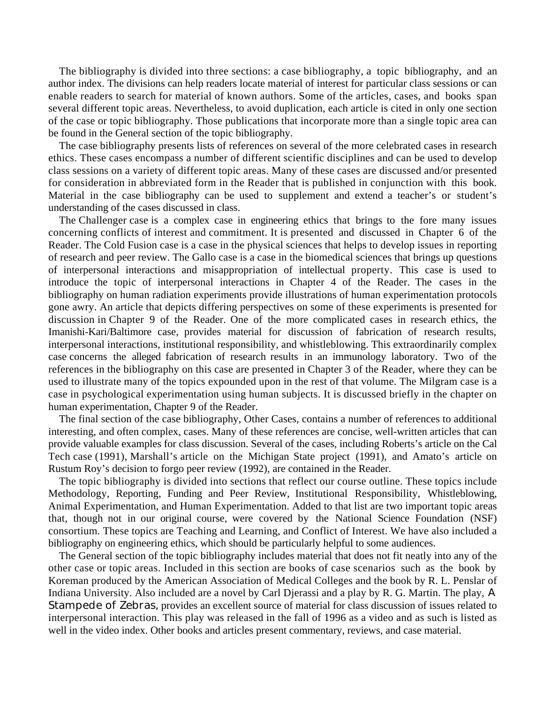The bibliography is divided into three sections: a case bibliography, a topic bibliography, and an author index. The divisions can help readers locate material of interest for particular class sessions or can enable readers to search for material of known authors. Some of the articles, cases, and books span several different topic areas. Nevertheless, to avoid duplication, each article is cited in only one section of the case or topic bibliography. Those publications that incorporate more than a single topic area can be found in the General section of the topic bibliography.

The case bibliography presents lists of references on several of the more celebrated cases in research ethics. These cases encompass a number of different scientific disciplines and can be used to develop class sessions on a variety of different topic areas. Many of these cases are discussed and/or presented for consideration in abbreviated form in the Reader that is published in conjunction with this book. Material in the case bibliography can be used to supplement and extend a teacher's or student's understanding of the cases discussed in class.

The Challenger case is a complex case in engineering ethics that brings to the fore many issues concerning conflicts of interest and commitment. It is presented and discussed in Chapter 6 of the Reader. The Cold Fusion case is a case in the physical sciences that helps to develop issues in reporting of research and peer review. The Gallo case is a case in the biomedical sciences that brings up questions of interpersonal interactions and misappropriation of intellectual property. This case is used to introduce the topic of interpersonal interactions in Chapter 4 of the Reader. The cases in the bibliography on human radiation experiments provide illustrations of human experimentation protocols gone awry. An article that depicts differing perspectives on some of these experiments is presented for discussion in Chapter 9 of the Reader. One of the more complicated cases in research ethics, the Imanishi-Kari/Baltimore case, provides material for discussion of fabrication of research results, interpersonal interactions, institutional responsibility, and whistleblowing. This extraordinarily complex case concerns the alleged fabrication of research results in an immunology laboratory. Two of the references in the bibliography on this case are presented in Chapter 3 of the Reader, where they can be used to illustrate many of the topics expounded upon in the rest of that volume. The Milgram case is a case in psychological experimentation using human subjects. It is discussed briefly in the chapter on human experimentation, Chapter 9 of the Reader.

The final section of the case bibliography, Other Cases, contains a number of references to additional interesting, and often complex, cases. Many of these references are concise, well-written articles that can provide valuable examples for class discussion. Several of the cases, including Roberts's article on the Cal Tech case (1991), Marshall's article on the Michigan State project (1991), and Amato's article on Rustum Roy's decision to forgo peer review (1992), are contained in the Reader.

The topic bibliography is divided into sections that reflect our course outline. These topics include Methodology, Reporting, Funding and Peer Review, Institutional Responsibility, Whistleblowing, Animal Experimentation, and Human Experimentation. Added to that list are two important topic areas that, though not in our original course, were covered by the National Science Foundation (NSF) consortium. These topics are Teaching and Learning, and Conflict of Interest. We have also included a bibliography on engineering ethics, which should be particularly helpful to some audiences.

The General section of the topic bibliography includes material that does not fit neatly into any of the other case or topic areas. Included in this section are books of case scenarios such as the book by Koreman produced by the American Association of Medical Colleges and the book by R. L. Penslar of Indiana University. Also included are a novel by Carl Djerassi and a play by R. G. Martin. The play, A Stampede of Zebras, provides an excellent source of material for class discussion of issues related to interpersonal interaction. This play was released in the fall of 1996 as a video and as such is listed as well in the video index. Other books and articles present commentary, reviews, and case material.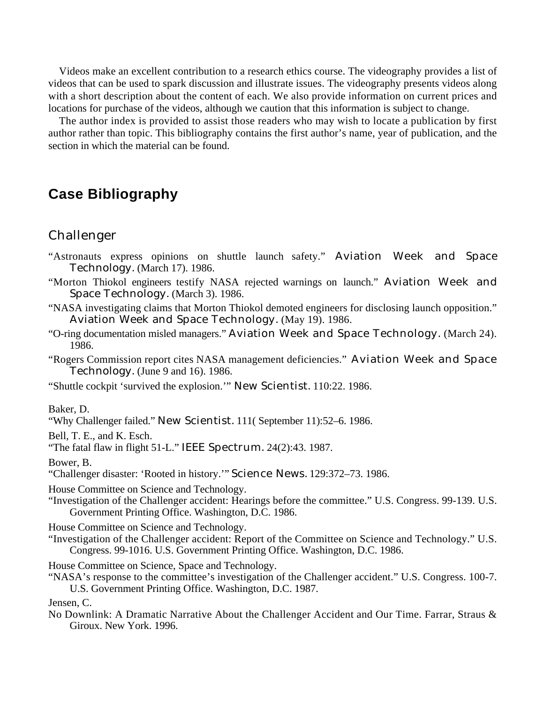Videos make an excellent contribution to a research ethics course. The videography provides a list of videos that can be used to spark discussion and illustrate issues. The videography presents videos along with a short description about the content of each. We also provide information on current prices and locations for purchase of the videos, although we caution that this information is subject to change.

The author index is provided to assist those readers who may wish to locate a publication by first author rather than topic. This bibliography contains the first author's name, year of publication, and the section in which the material can be found.

## **Case Bibliography**

## Challenger

- "Astronauts express opinions on shuttle launch safety." Aviation Week and Space Technology. (March 17). 1986.
- "Morton Thiokol engineers testify NASA rejected warnings on launch." Aviation Week and Space Technology. (March 3). 1986.
- "NASA investigating claims that Morton Thiokol demoted engineers for disclosing launch opposition." Aviation Week and Space Technology. (May 19). 1986.
- "O-ring documentation misled managers." Aviation Week and Space Technology. (March 24). 1986.
- "Rogers Commission report cites NASA management deficiencies." Aviation Week and Space Technology. (June 9 and 16). 1986.
- "Shuttle cockpit 'survived the explosion.'" New Scientist. 110:22. 1986.

Baker, D.

"Why Challenger failed." New Scientist. 111( September 11):52–6. 1986.

Bell, T. E., and K. Esch.

"The fatal flaw in flight 51-L." IEEE Spectrum. 24(2):43. 1987.

Bower, B.

"Challenger disaster: 'Rooted in history.'" Science News. 129:372–73. 1986.

House Committee on Science and Technology.

"Investigation of the Challenger accident: Hearings before the committee." U.S. Congress. 99-139. U.S. Government Printing Office. Washington, D.C. 1986.

House Committee on Science and Technology.

"Investigation of the Challenger accident: Report of the Committee on Science and Technology." U.S. Congress. 99-1016. U.S. Government Printing Office. Washington, D.C. 1986.

House Committee on Science, Space and Technology.

"NASA's response to the committee's investigation of the Challenger accident." U.S. Congress. 100-7. U.S. Government Printing Office. Washington, D.C. 1987.

Jensen, C.

No Downlink: A Dramatic Narrative About the Challenger Accident and Our Time. Farrar, Straus & Giroux. New York. 1996.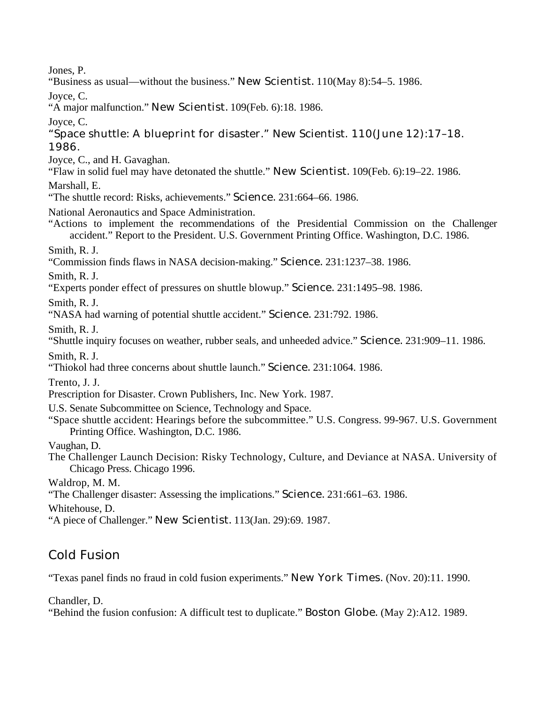Jones, P.

"Business as usual—without the business." New Scientist. 110(May 8):54–5. 1986.

Joyce, C.

"A major malfunction." New Scientist. 109(Feb. 6):18. 1986.

Joyce, C.

"Space shuttle: A blueprint for disaster." New Scientist. 110(June 12):17–18. 1986.

Joyce, C., and H. Gavaghan.

"Flaw in solid fuel may have detonated the shuttle." New Scientist. 109(Feb. 6):19–22. 1986.

Marshall, E.

"The shuttle record: Risks, achievements." Science. 231:664–66. 1986.

National Aeronautics and Space Administration.

"Actions to implement the recommendations of the Presidential Commission on the Challenger accident." Report to the President. U.S. Government Printing Office. Washington, D.C. 1986.

Smith, R. J.

"Commission finds flaws in NASA decision-making." Science. 231:1237–38. 1986.

Smith, R. J.

"Experts ponder effect of pressures on shuttle blowup." Science. 231:1495–98. 1986.

Smith, R. J.

"NASA had warning of potential shuttle accident." Science. 231:792. 1986.

Smith, R. J.

"Shuttle inquiry focuses on weather, rubber seals, and unheeded advice." Science. 231:909–11. 1986.

Smith, R. J.

"Thiokol had three concerns about shuttle launch." Science. 231:1064. 1986.

Trento, J. J.

Prescription for Disaster. Crown Publishers, Inc. New York. 1987.

- U.S. Senate Subcommittee on Science, Technology and Space.
- "Space shuttle accident: Hearings before the subcommittee." U.S. Congress. 99-967. U.S. Government Printing Office. Washington, D.C. 1986.

Vaughan, D.

The Challenger Launch Decision: Risky Technology, Culture, and Deviance at NASA. University of Chicago Press. Chicago 1996.

Waldrop, M. M.

"The Challenger disaster: Assessing the implications." Science. 231:661–63. 1986.

Whitehouse, D.

"A piece of Challenger." New Scientist. 113(Jan. 29):69. 1987.

## Cold Fusion

"Texas panel finds no fraud in cold fusion experiments." New York Times. (Nov. 20):11. 1990.

Chandler, D.

"Behind the fusion confusion: A difficult test to duplicate." Boston Globe. (May 2):A12. 1989.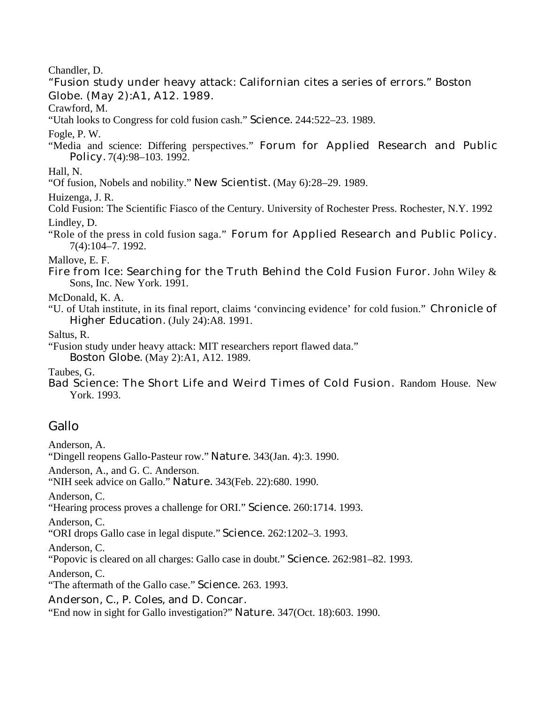Chandler, D.

"Fusion study under heavy attack: Californian cites a series of errors." Boston Globe. (May 2):A1, A12. 1989.

Crawford, M.

"Utah looks to Congress for cold fusion cash." Science. 244:522–23. 1989.

Fogle, P. W.

"Media and science: Differing perspectives." Forum for Applied Research and Public Policy. 7(4):98–103. 1992.

Hall, N.

"Of fusion, Nobels and nobility." New Scientist. (May 6):28–29. 1989.

Huizenga, J. R.

Cold Fusion: The Scientific Fiasco of the Century. University of Rochester Press. Rochester, N.Y. 1992 Lindley, D.

"Role of the press in cold fusion saga." Forum for Applied Research and Public Policy. 7(4):104–7. 1992.

Mallove, E. F.

Fire from Ice: Searching for the Truth Behind the Cold Fusion Furor. John Wiley & Sons, Inc. New York. 1991.

McDonald, K. A.

"U. of Utah institute, in its final report, claims 'convincing evidence' for cold fusion." Chronicle of Higher Education. (July 24):A8. 1991.

Saltus, R.

"Fusion study under heavy attack: MIT researchers report flawed data."

Boston Globe. (May 2):A1, A12. 1989.

Taubes, G.

Bad Science: The Short Life and Weird Times of Cold Fusion. Random House. New York. 1993.

## Gallo

Anderson, A.

"Dingell reopens Gallo-Pasteur row." Nature. 343(Jan. 4):3. 1990.

Anderson, A., and G. C. Anderson.

"NIH seek advice on Gallo." Nature. 343(Feb. 22):680. 1990.

Anderson, C.

"Hearing process proves a challenge for ORI." Science. 260:1714. 1993.

Anderson, C.

"ORI drops Gallo case in legal dispute." Science. 262:1202–3. 1993.

Anderson, C.

"Popovic is cleared on all charges: Gallo case in doubt." Science. 262:981–82. 1993.

Anderson, C.

"The aftermath of the Gallo case." Science. 263. 1993.

Anderson, C., P. Coles, and D. Concar.

"End now in sight for Gallo investigation?" Nature. 347(Oct. 18):603. 1990.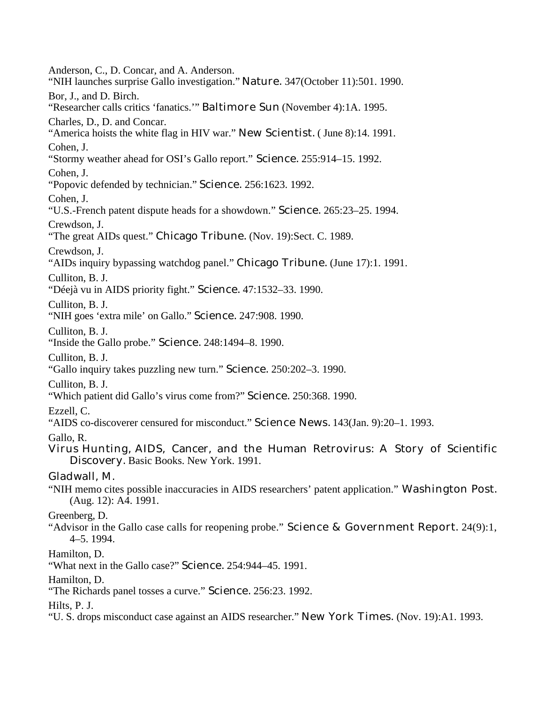Anderson, C., D. Concar, and A. Anderson. "NIH launches surprise Gallo investigation." Nature. 347(October 11):501. 1990. Bor, J., and D. Birch. "Researcher calls critics 'fanatics.'" Baltimore Sun (November 4):1A. 1995. Charles, D., D. and Concar. "America hoists the white flag in HIV war." New Scientist. ( June 8):14. 1991. Cohen, J. "Stormy weather ahead for OSI's Gallo report." Science. 255:914–15. 1992. Cohen, J. "Popovic defended by technician." Science. 256:1623. 1992. Cohen, J. "U.S.-French patent dispute heads for a showdown." Science. 265:23–25. 1994. Crewdson, J. "The great AIDs quest." Chicago Tribune. (Nov. 19):Sect. C. 1989. Crewdson, J. "AIDs inquiry bypassing watchdog panel." Chicago Tribune. (June 17):1. 1991. Culliton, B. J. "Déejà vu in AIDS priority fight." Science. 47:1532–33. 1990. Culliton, B. J. "NIH goes 'extra mile' on Gallo." Science. 247:908. 1990. Culliton, B. J. "Inside the Gallo probe." Science. 248:1494–8. 1990. Culliton, B. J. "Gallo inquiry takes puzzling new turn." Science. 250:202–3. 1990. Culliton, B. J. "Which patient did Gallo's virus come from?" Science. 250:368. 1990. Ezzell, C. "AIDS co-discoverer censured for misconduct." Science News. 143(Jan. 9):20–1. 1993. Gallo, R. Virus Hunting, AIDS, Cancer, and the Human Retrovirus: A Story of Scientific Discovery. Basic Books. New York. 1991. Gladwall, M. "NIH memo cites possible inaccuracies in AIDS researchers' patent application." Washington Post. (Aug. 12): A4. 1991. Greenberg, D. "Advisor in the Gallo case calls for reopening probe." Science & Government Report. 24(9):1, 4–5. 1994. Hamilton, D. "What next in the Gallo case?" Science. 254:944–45. 1991. Hamilton, D. "The Richards panel tosses a curve." Science. 256:23. 1992. Hilts, P. J. "U. S. drops misconduct case against an AIDS researcher." New York Times. (Nov. 19):A1. 1993.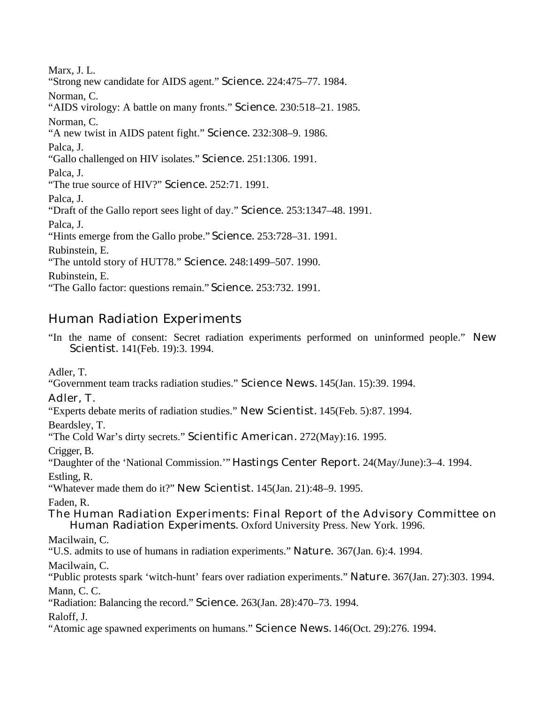Marx, J. L. "Strong new candidate for AIDS agent." Science. 224:475–77. 1984. Norman, C. "AIDS virology: A battle on many fronts." Science. 230:518–21. 1985. Norman, C. "A new twist in AIDS patent fight." Science. 232:308–9. 1986. Palca, J. "Gallo challenged on HIV isolates." Science. 251:1306. 1991. Palca, J. "The true source of HIV?" Science. 252:71. 1991. Palca, J. "Draft of the Gallo report sees light of day." Science. 253:1347–48. 1991. Palca, J. "Hints emerge from the Gallo probe." Science. 253:728–31. 1991. Rubinstein, E. "The untold story of HUT78." Science. 248:1499–507. 1990. Rubinstein, E. "The Gallo factor: questions remain." Science. 253:732. 1991.

## Human Radiation Experiments

"In the name of consent: Secret radiation experiments performed on uninformed people." New Scientist. 141(Feb. 19):3. 1994.

Adler, T.

"Government team tracks radiation studies." Science News. 145(Jan. 15):39. 1994.

## Adler, T.

"Experts debate merits of radiation studies." New Scientist. 145(Feb. 5):87. 1994.

Beardsley, T.

"The Cold War's dirty secrets." Scientific American. 272(May):16. 1995.

Crigger, B.

"Daughter of the 'National Commission.'" Hastings Center Report. 24(May/June):3–4. 1994.

Estling, R.

"Whatever made them do it?" New Scientist. 145(Jan. 21):48–9. 1995.

Faden, R.

## The Human Radiation Experiments: Final Report of the Advisory Committee on Human Radiation Experiments. Oxford University Press. New York. 1996.

Macilwain, C.

"U.S. admits to use of humans in radiation experiments." Nature. 367(Jan. 6):4. 1994.

Macilwain, C.

"Public protests spark 'witch-hunt' fears over radiation experiments." Nature. 367(Jan. 27):303. 1994. Mann, C. C.

"Radiation: Balancing the record." Science. 263(Jan. 28):470–73. 1994.

Raloff, J.

"Atomic age spawned experiments on humans." Science News. 146(Oct. 29):276. 1994.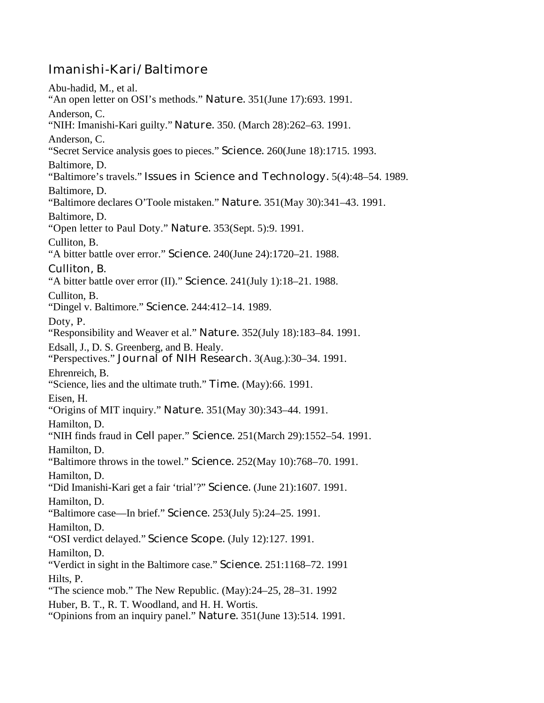## Imanishi-Kari/Baltimore

Abu-hadid, M., et al. "An open letter on OSI's methods." Nature. 351(June 17):693. 1991. Anderson, C. "NIH: Imanishi-Kari guilty." Nature. 350. (March 28):262–63. 1991. Anderson, C. "Secret Service analysis goes to pieces." Science. 260(June 18):1715. 1993. Baltimore, D. "Baltimore's travels." Issues in Science and Technology. 5(4):48–54. 1989. Baltimore, D. "Baltimore declares O'Toole mistaken." Nature. 351(May 30):341–43. 1991. Baltimore, D. "Open letter to Paul Doty." Nature. 353(Sept. 5):9. 1991. Culliton, B. "A bitter battle over error." Science. 240(June 24):1720–21. 1988. Culliton, B. "A bitter battle over error (II)." Science. 241(July 1):18–21. 1988. Culliton, B. "Dingel v. Baltimore." Science. 244:412–14. 1989. Doty, P. "Responsibility and Weaver et al." Nature. 352(July 18):183–84. 1991. Edsall, J., D. S. Greenberg, and B. Healy. "Perspectives." Journal of NIH Research. 3(Aug.):30–34. 1991. Ehrenreich, B. "Science, lies and the ultimate truth." Time. (May):66. 1991. Eisen, H. "Origins of MIT inquiry." Nature. 351(May 30):343–44. 1991. Hamilton, D. "NIH finds fraud in Cell paper." Science. 251(March 29):1552–54. 1991. Hamilton, D. "Baltimore throws in the towel." Science. 252(May 10):768–70. 1991. Hamilton, D. "Did Imanishi-Kari get a fair 'trial'?" Science. (June 21):1607. 1991. Hamilton, D. "Baltimore case—In brief." Science. 253(July 5):24–25. 1991. Hamilton, D. "OSI verdict delayed." Science Scope. (July 12):127. 1991. Hamilton, D. "Verdict in sight in the Baltimore case." Science. 251:1168–72. 1991 Hilts, P. "The science mob." The New Republic. (May):24–25, 28–31. 1992 Huber, B. T., R. T. Woodland, and H. H. Wortis. "Opinions from an inquiry panel." Nature. 351(June 13):514. 1991.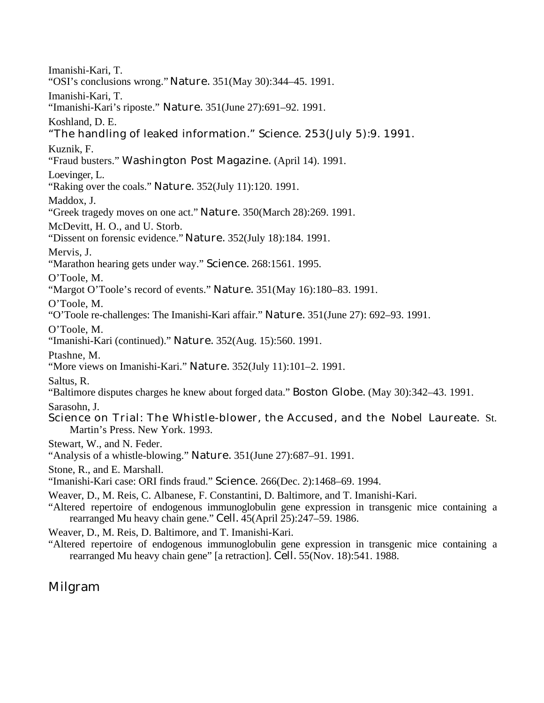Imanishi-Kari, T. "OSI's conclusions wrong." Nature. 351(May 30):344–45. 1991. Imanishi-Kari, T. "Imanishi-Kari's riposte." Nature. 351(June 27):691–92. 1991. Koshland, D. E. "The handling of leaked information." Science. 253(July 5):9. 1991. Kuznik, F. "Fraud busters." Washington Post Magazine. (April 14). 1991. Loevinger, L. "Raking over the coals." Nature. 352(July 11):120. 1991. Maddox, J. "Greek tragedy moves on one act." Nature. 350(March 28):269. 1991. McDevitt, H. O., and U. Storb. "Dissent on forensic evidence." Nature. 352(July 18):184. 1991. Mervis, J. "Marathon hearing gets under way." Science. 268:1561. 1995. O'Toole, M. "Margot O'Toole's record of events." Nature. 351(May 16):180-83. 1991. O'Toole, M. "O'Toole re-challenges: The Imanishi-Kari affair." Nature. 351(June 27): 692–93. 1991. O'Toole, M. "Imanishi-Kari (continued)." Nature. 352(Aug. 15):560. 1991. Ptashne, M. "More views on Imanishi-Kari." Nature. 352(July 11):101–2. 1991. Saltus, R. "Baltimore disputes charges he knew about forged data." Boston Globe. (May 30):342–43. 1991. Sarasohn, J. Science on Trial: The Whistle-blower, the Accused, and the Nobel Laureate. St. Martin's Press. New York. 1993. Stewart, W., and N. Feder. "Analysis of a whistle-blowing." Nature. 351(June 27):687–91. 1991. Stone, R., and E. Marshall. "Imanishi-Kari case: ORI finds fraud." Science. 266(Dec. 2):1468–69. 1994. Weaver, D., M. Reis, C. Albanese, F. Constantini, D. Baltimore, and T. Imanishi-Kari. "Altered repertoire of endogenous immunoglobulin gene expression in transgenic mice containing a rearranged Mu heavy chain gene." Cell. 45(April 25):247–59. 1986.

Weaver, D., M. Reis, D. Baltimore, and T. Imanishi-Kari.

"Altered repertoire of endogenous immunoglobulin gene expression in transgenic mice containing a rearranged Mu heavy chain gene" [a retraction]. Cell. 55(Nov. 18):541. 1988.

## Milgram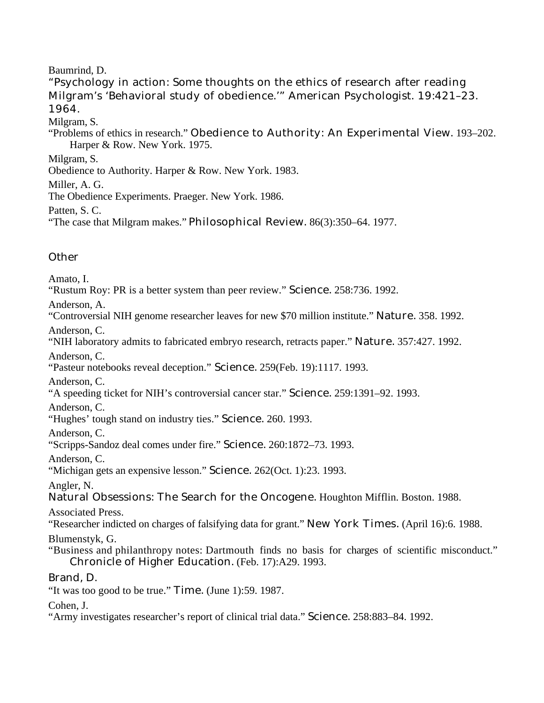## Baumrind, D.

"Psychology in action: Some thoughts on the ethics of research after reading Milgram's 'Behavioral study of obedience.'" American Psychologist. 19:421–23. 1964.

Milgram, S.

"Problems of ethics in research." Obedience to Authority: An Experimental View. 193–202. Harper & Row. New York. 1975.

Milgram, S.

Obedience to Authority. Harper & Row. New York. 1983.

Miller, A. G.

The Obedience Experiments. Praeger. New York. 1986.

Patten, S. C.

"The case that Milgram makes." Philosophical Review. 86(3):350–64. 1977.

## **Other**

Amato, I.

"Rustum Roy: PR is a better system than peer review." Science. 258:736. 1992.

Anderson, A.

"Controversial NIH genome researcher leaves for new \$70 million institute." Nature. 358. 1992.

Anderson, C.

"NIH laboratory admits to fabricated embryo research, retracts paper." Nature. 357:427. 1992.

Anderson, C.

"Pasteur notebooks reveal deception." Science. 259(Feb. 19):1117. 1993.

Anderson, C.

"A speeding ticket for NIH's controversial cancer star." Science. 259:1391–92. 1993.

Anderson, C.

"Hughes' tough stand on industry ties." Science. 260. 1993.

Anderson, C.

"Scripps-Sandoz deal comes under fire." Science. 260:1872–73. 1993.

Anderson, C.

"Michigan gets an expensive lesson." Science. 262(Oct. 1):23. 1993.

Angler, N.

Natural Obsessions: The Search for the Oncogene. Houghton Mifflin. Boston. 1988.

Associated Press.

"Researcher indicted on charges of falsifying data for grant." New York Times. (April 16):6. 1988.

Blumenstyk, G.

"Business and philanthropy notes: Dartmouth finds no basis for charges of scientific misconduct." Chronicle of Higher Education. (Feb. 17):A29. 1993.

## Brand, D.

"It was too good to be true." Time. (June 1):59. 1987.

Cohen, J.

"Army investigates researcher's report of clinical trial data." Science. 258:883–84. 1992.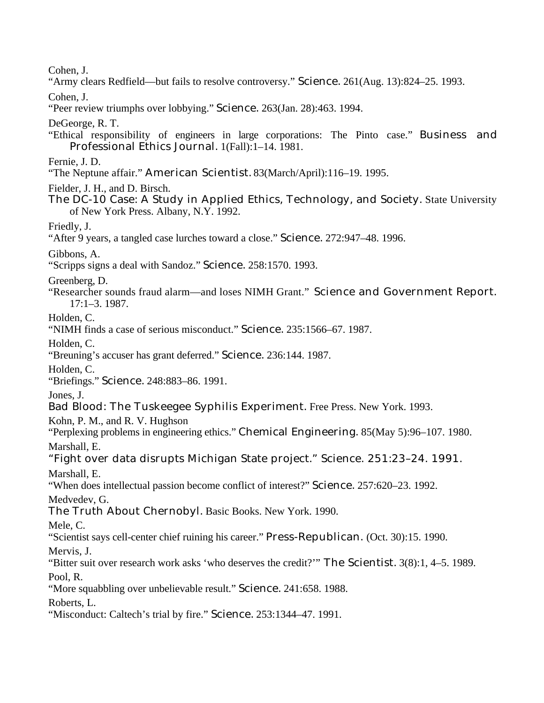Cohen, J.

"Army clears Redfield—but fails to resolve controversy." Science. 261(Aug. 13):824–25. 1993.

Cohen, J.

"Peer review triumphs over lobbying." Science. 263(Jan. 28):463. 1994.

DeGeorge, R. T.

"Ethical responsibility of engineers in large corporations: The Pinto case." Business and Professional Ethics Journal. 1(Fall):1–14. 1981.

Fernie, J. D.

"The Neptune affair." American Scientist. 83(March/April):116–19. 1995.

Fielder, J. H., and D. Birsch.

The DC-10 Case: A Study in Applied Ethics, Technology, and Society. State University of New York Press. Albany, N.Y. 1992.

Friedly, J.

"After 9 years, a tangled case lurches toward a close." Science. 272:947–48. 1996.

Gibbons, A.

"Scripps signs a deal with Sandoz." Science. 258:1570. 1993.

Greenberg, D.

"Researcher sounds fraud alarm—and loses NIMH Grant." Science and Government Report. 17:1–3. 1987.

Holden, C.

"NIMH finds a case of serious misconduct." Science. 235:1566–67. 1987.

Holden, C.

"Breuning's accuser has grant deferred." Science. 236:144. 1987.

Holden, C.

"Briefings." Science. 248:883–86. 1991.

Jones, J.

Bad Blood: The Tuskeegee Syphilis Experiment. Free Press. New York. 1993.

Kohn, P. M., and R. V. Hughson

"Perplexing problems in engineering ethics." Chemical Engineering. 85(May 5):96–107. 1980. Marshall, E.

"Fight over data disrupts Michigan State project." Science. 251:23–24. 1991. Marshall, E.

"When does intellectual passion become conflict of interest?" Science. 257:620–23. 1992.

Medvedev, G.

The Truth About Chernobyl. Basic Books. New York. 1990.

Mele, C.

"Scientist says cell-center chief ruining his career." Press-Republican. (Oct. 30):15. 1990.

Mervis, J.

"Bitter suit over research work asks 'who deserves the credit?'" The Scientist. 3(8):1, 4–5. 1989. Pool, R.

"More squabbling over unbelievable result." Science. 241:658. 1988.

Roberts, L.

"Misconduct: Caltech's trial by fire." Science. 253:1344-47. 1991.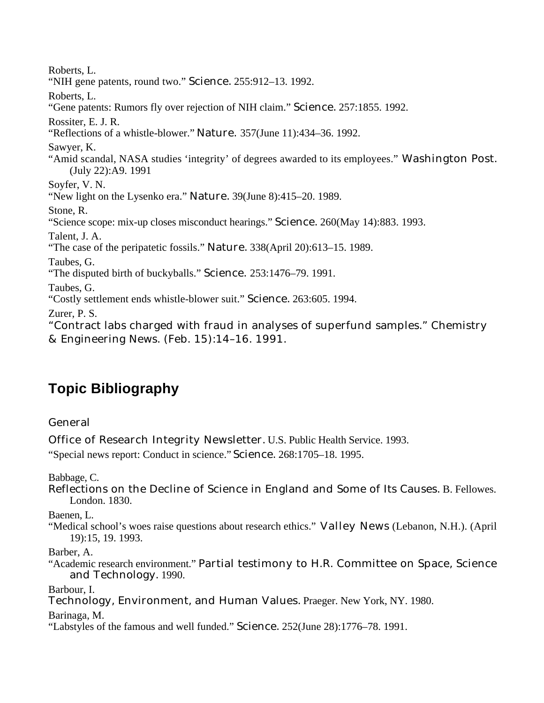Roberts, L. "NIH gene patents, round two." Science. 255:912–13. 1992. Roberts, L. "Gene patents: Rumors fly over rejection of NIH claim." Science. 257:1855. 1992. Rossiter, E. J. R. "Reflections of a whistle-blower." Nature. 357(June 11):434–36. 1992. Sawyer, K. "Amid scandal, NASA studies 'integrity' of degrees awarded to its employees." Washington Post. (July 22):A9. 1991 Soyfer, V. N. "New light on the Lysenko era." Nature. 39(June 8):415–20. 1989. Stone, R. "Science scope: mix-up closes misconduct hearings." Science. 260(May 14):883. 1993. Talent, J. A. "The case of the peripatetic fossils." Nature. 338(April 20):613–15. 1989. Taubes, G. "The disputed birth of buckyballs." Science. 253:1476–79. 1991. Taubes, G. "Costly settlement ends whistle-blower suit." Science. 263:605. 1994. Zurer, P. S. "Contract labs charged with fraud in analyses of superfund samples." Chemistry & Engineering News. (Feb. 15):14–16. 1991.

## **Topic Bibliography**

## General

Office of Research Integrity Newsletter. U.S. Public Health Service. 1993.

"Special news report: Conduct in science." Science. 268:1705–18. 1995.

Babbage, C.

Reflections on the Decline of Science in England and Some of Its Causes. B. Fellowes. London. 1830.

Baenen, L.

"Medical school's woes raise questions about research ethics." Valley News (Lebanon, N.H.). (April 19):15, 19. 1993.

Barber, A.

"Academic research environment." Partial testimony to H.R. Committee on Space, Science and Technology. 1990.

Barbour, I.

Technology, Environment, and Human Values. Praeger. New York, NY. 1980.

Barinaga, M.

"Labstyles of the famous and well funded." Science. 252(June 28):1776–78. 1991.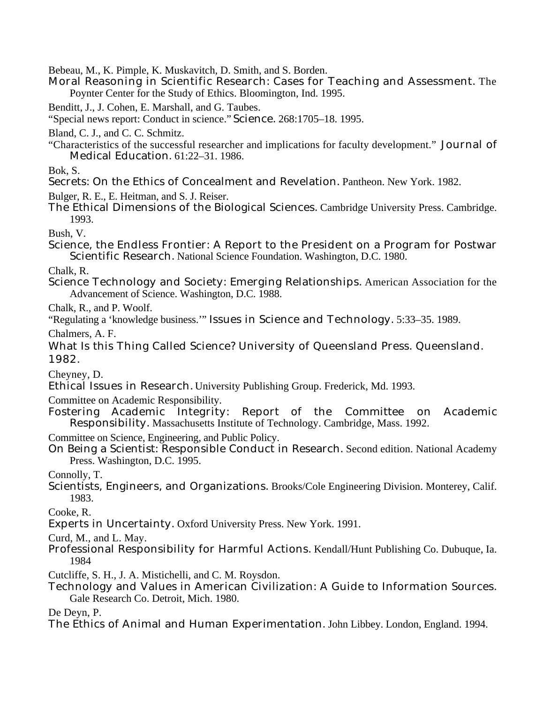Bebeau, M., K. Pimple, K. Muskavitch, D. Smith, and S. Borden.

Moral Reasoning in Scientific Research: Cases for Teaching and Assessment. The Poynter Center for the Study of Ethics. Bloomington, Ind. 1995.

Benditt, J., J. Cohen, E. Marshall, and G. Taubes.

"Special news report: Conduct in science." Science. 268:1705–18. 1995.

Bland, C. J., and C. C. Schmitz.

"Characteristics of the successful researcher and implications for faculty development." Journal of Medical Education. 61:22–31. 1986.

Bok, S.

Secrets: On the Ethics of Concealment and Revelation. Pantheon. New York. 1982.

Bulger, R. E., E. Heitman, and S. J. Reiser.

The Ethical Dimensions of the Biological Sciences. Cambridge University Press. Cambridge. 1993.

Bush, V.

Science, the Endless Frontier: A Report to the President on a Program for Postwar Scientific Research. National Science Foundation. Washington, D.C. 1980.

Chalk, R.

Science Technology and Society: Emerging Relationships. American Association for the Advancement of Science. Washington, D.C. 1988.

Chalk, R., and P. Woolf.

"Regulating a 'knowledge business.'" Issues in Science and Technology. 5:33–35. 1989.

Chalmers, A. F.

What Is this Thing Called Science? University of Queensland Press. Queensland. 1982.

Cheyney, D.

Ethical Issues in Research. University Publishing Group. Frederick, Md. 1993.

Committee on Academic Responsibility.

Fostering Academic Integrity: Report of the Committee on Academic Responsibility. Massachusetts Institute of Technology. Cambridge, Mass. 1992.

Committee on Science, Engineering, and Public Policy.

On Being a Scientist: Responsible Conduct in Research. Second edition. National Academy Press. Washington, D.C. 1995.

Connolly, T.

Scientists, Engineers, and Organizations. Brooks/Cole Engineering Division. Monterey, Calif. 1983.

Cooke, R.

Experts in Uncertainty. Oxford University Press. New York. 1991.

Curd, M., and L. May.

Professional Responsibility for Harmful Actions. Kendall/Hunt Publishing Co. Dubuque, Ia. 1984

Cutcliffe, S. H., J. A. Mistichelli, and C. M. Roysdon.

Technology and Values in American Civilization: A Guide to Information Sources. Gale Research Co. Detroit, Mich. 1980.

De Deyn, P.

The Ethics of Animal and Human Experimentation. John Libbey. London, England. 1994.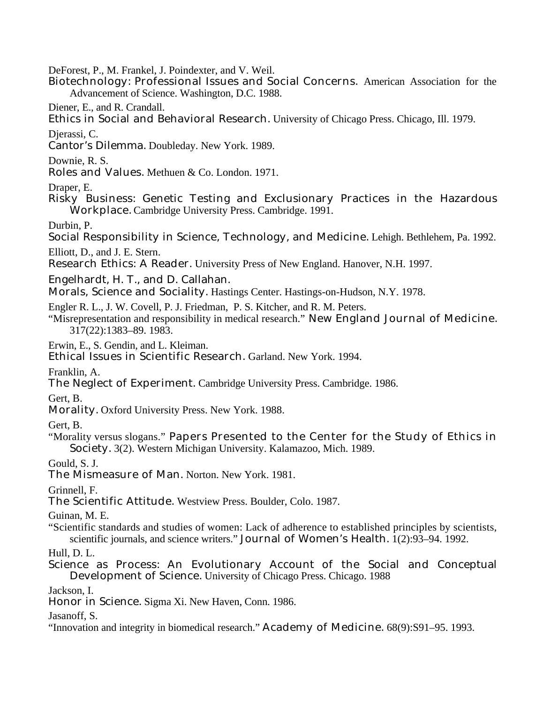DeForest, P., M. Frankel, J. Poindexter, and V. Weil.

- Biotechnology: Professional Issues and Social Concerns. American Association for the Advancement of Science. Washington, D.C. 1988.
- Diener, E., and R. Crandall.
- Ethics in Social and Behavioral Research. University of Chicago Press. Chicago, Ill. 1979.

Djerassi, C.

Cantor's Dilemma. Doubleday. New York. 1989.

Downie, R. S.

Roles and Values. Methuen & Co. London. 1971.

Draper, E.

Risky Business: Genetic Testing and Exclusionary Practices in the Hazardous Workplace. Cambridge University Press. Cambridge. 1991.

Durbin, P.

Social Responsibility in Science, Technology, and Medicine. Lehigh. Bethlehem, Pa. 1992.

Elliott, D., and J. E. Stern.

Research Ethics: A Reader. University Press of New England. Hanover, N.H. 1997.

Engelhardt, H. T., and D. Callahan.

Morals, Science and Sociality. Hastings Center. Hastings-on-Hudson, N.Y. 1978.

Engler R. L., J. W. Covell, P. J. Friedman, P. S. Kitcher, and R. M. Peters.

"Misrepresentation and responsibility in medical research." New England Journal of Medicine. 317(22):1383–89. 1983.

Erwin, E., S. Gendin, and L. Kleiman.

Ethical Issues in Scientific Research. Garland. New York. 1994.

Franklin, A.

The Neglect of Experiment. Cambridge University Press. Cambridge. 1986.

Gert, B.

Morality. Oxford University Press. New York. 1988.

Gert, B.

"Morality versus slogans." Papers Presented to the Center for the Study of Ethics in Society. 3(2). Western Michigan University. Kalamazoo, Mich. 1989.

Gould, S. J.

The Mismeasure of Man. Norton. New York. 1981.

Grinnell, F.

The Scientific Attitude. Westview Press. Boulder, Colo. 1987.

Guinan, M. E.

"Scientific standards and studies of women: Lack of adherence to established principles by scientists, scientific journals, and science writers." Journal of Women's Health. 1(2):93–94. 1992.

Hull, D. L.

Science as Process: An Evolutionary Account of the Social and Conceptual Development of Science. University of Chicago Press. Chicago. 1988

Jackson, I.

Honor in Science. Sigma Xi. New Haven, Conn. 1986.

Jasanoff, S.

"Innovation and integrity in biomedical research." Academy of Medicine. 68(9):S91–95. 1993.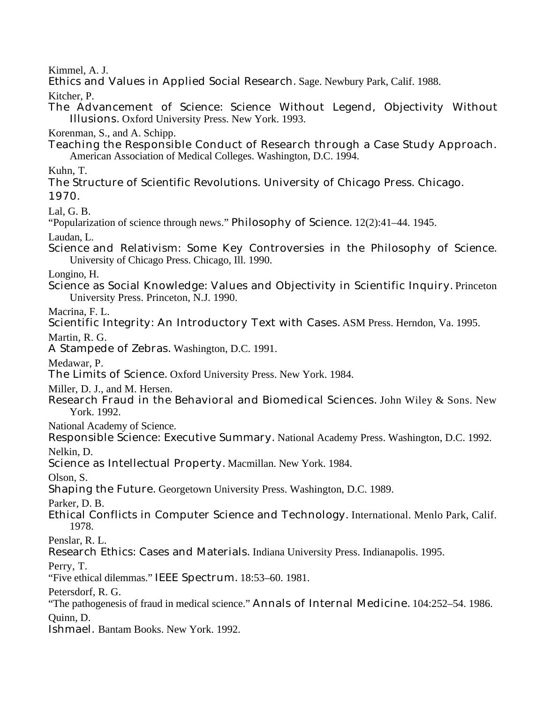Kimmel, A. J.

Ethics and Values in Applied Social Research. Sage. Newbury Park, Calif. 1988.

Kitcher, P.

The Advancement of Science: Science Without Legend, Objectivity Without Illusions. Oxford University Press. New York. 1993.

Korenman, S., and A. Schipp.

Teaching the Responsible Conduct of Research through a Case Study Approach. American Association of Medical Colleges. Washington, D.C. 1994.

Kuhn, T.

The Structure of Scientific Revolutions. University of Chicago Press. Chicago. 1970.

Lal, G. B.

"Popularization of science through news." Philosophy of Science. 12(2):41–44. 1945.

Laudan, L.

Science and Relativism: Some Key Controversies in the Philosophy of Science. University of Chicago Press. Chicago, Ill. 1990.

Longino, H.

Science as Social Knowledge: Values and Objectivity in Scientific Inquiry. Princeton University Press. Princeton, N.J. 1990.

Macrina, F. L.

Scientific Integrity: An Introductory Text with Cases. ASM Press. Herndon, Va. 1995.

Martin, R. G.

A Stampede of Zebras. Washington, D.C. 1991.

Medawar, P.

The Limits of Science. Oxford University Press. New York. 1984.

Miller, D. J., and M. Hersen.

Research Fraud in the Behavioral and Biomedical Sciences. John Wiley & Sons. New York. 1992.

National Academy of Science.

Responsible Science: Executive Summary. National Academy Press. Washington, D.C. 1992. Nelkin, D.

Science as Intellectual Property. Macmillan. New York. 1984.

Olson, S.

Shaping the Future. Georgetown University Press. Washington, D.C. 1989.

Parker, D. B.

- Ethical Conflicts in Computer Science and Technology. International. Menlo Park, Calif. 1978.
- Penslar, R. L.
- Research Ethics: Cases and Materials. Indiana University Press. Indianapolis. 1995.

Perry, T.

"Five ethical dilemmas." IEEE Spectrum. 18:53–60. 1981.

Petersdorf, R. G.

"The pathogenesis of fraud in medical science." Annals of Internal Medicine. 104:252–54. 1986.

Quinn, D.

Ishmael. Bantam Books. New York. 1992.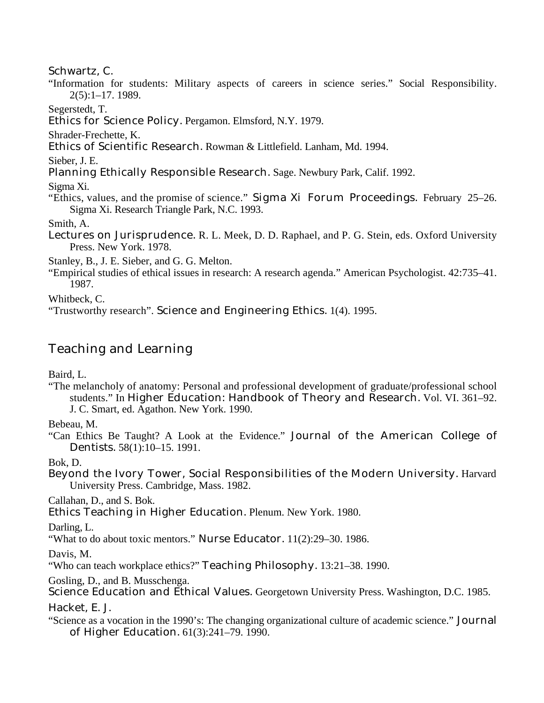### Schwartz, C.

"Information for students: Military aspects of careers in science series." Social Responsibility. 2(5):1–17. 1989.

Segerstedt, T.

Ethics for Science Policy. Pergamon. Elmsford, N.Y. 1979.

Shrader-Frechette, K.

Ethics of Scientific Research. Rowman & Littlefield. Lanham, Md. 1994.

Sieber, J. E.

Planning Ethically Responsible Research. Sage. Newbury Park, Calif. 1992.

Sigma Xi.

"Ethics, values, and the promise of science." Sigma Xi Forum Proceedings. February 25–26. Sigma Xi. Research Triangle Park, N.C. 1993.

Smith, A.

Lectures on Jurisprudence. R. L. Meek, D. D. Raphael, and P. G. Stein, eds. Oxford University Press. New York. 1978.

Stanley, B., J. E. Sieber, and G. G. Melton.

"Empirical studies of ethical issues in research: A research agenda." American Psychologist. 42:735–41. 1987.

Whitbeck, C.

"Trustworthy research". Science and Engineering Ethics. 1(4). 1995.

## Teaching and Learning

Baird, L.

"The melancholy of anatomy: Personal and professional development of graduate/professional school students." In Higher Education: Handbook of Theory and Research. Vol. VI. 361–92. J. C. Smart, ed. Agathon. New York. 1990.

Bebeau, M.

"Can Ethics Be Taught? A Look at the Evidence." Journal of the American College of Dentists. 58(1):10–15. 1991.

Bok, D.

Beyond the Ivory Tower, Social Responsibilities of the Modern University. Harvard University Press. Cambridge, Mass. 1982.

Callahan, D., and S. Bok.

Ethics Teaching in Higher Education. Plenum. New York. 1980.

Darling, L.

"What to do about toxic mentors." Nurse Educator. 11(2):29–30. 1986.

Davis, M.

"Who can teach workplace ethics?" Teaching Philosophy. 13:21–38. 1990.

Gosling, D., and B. Musschenga.

Science Education and Ethical Values. Georgetown University Press. Washington, D.C. 1985.

Hacket, E. J.

"Science as a vocation in the 1990's: The changing organizational culture of academic science." Journal of Higher Education. 61(3):241–79. 1990.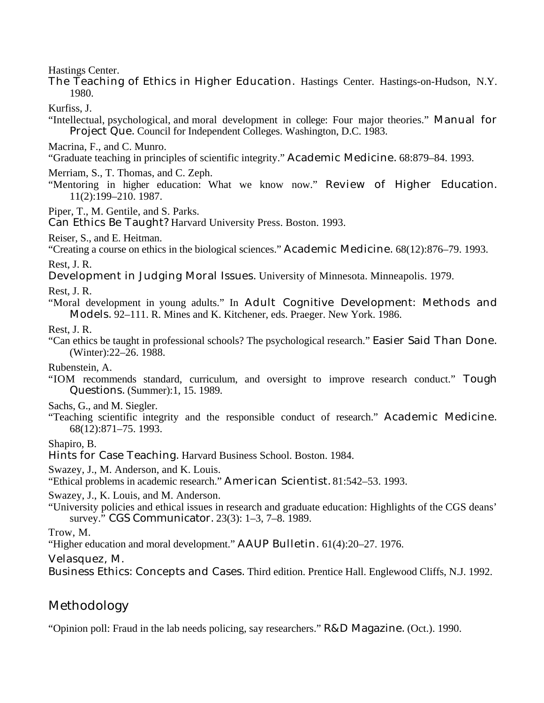Hastings Center.

The Teaching of Ethics in Higher Education. Hastings Center. Hastings-on-Hudson, N.Y. 1980.

Kurfiss, J.

- "Intellectual, psychological, and moral development in college: Four major theories." Manual for Project Que. Council for Independent Colleges. Washington, D.C. 1983.
- Macrina, F., and C. Munro.
- "Graduate teaching in principles of scientific integrity." Academic Medicine. 68:879–84. 1993.
- Merriam, S., T. Thomas, and C. Zeph.
- "Mentoring in higher education: What we know now." Review of Higher Education. 11(2):199–210. 1987.

Piper, T., M. Gentile, and S. Parks.

Can Ethics Be Taught? Harvard University Press. Boston. 1993.

Reiser, S., and E. Heitman.

"Creating a course on ethics in the biological sciences." Academic Medicine. 68(12):876–79. 1993.

Rest, J. R.

Development in Judging Moral Issues. University of Minnesota. Minneapolis. 1979.

Rest, J. R.

"Moral development in young adults." In Adult Cognitive Development: Methods and Models. 92–111. R. Mines and K. Kitchener, eds. Praeger. New York. 1986.

Rest, J. R.

"Can ethics be taught in professional schools? The psychological research." Easier Said Than Done. (Winter):22–26. 1988.

Rubenstein, A.

"IOM recommends standard, curriculum, and oversight to improve research conduct." Tough Questions. (Summer):1, 15. 1989.

Sachs, G., and M. Siegler.

"Teaching scientific integrity and the responsible conduct of research." Academic Medicine. 68(12):871–75. 1993.

Shapiro, B.

Hints for Case Teaching. Harvard Business School. Boston. 1984.

Swazey, J., M. Anderson, and K. Louis.

"Ethical problems in academic research." American Scientist. 81:542–53. 1993.

Swazey, J., K. Louis, and M. Anderson.

"University policies and ethical issues in research and graduate education: Highlights of the CGS deans' survey." CGS Communicator. 23(3): 1–3, 7–8. 1989.

Trow, M.

"Higher education and moral development." AAUP Bulletin. 61(4):20–27. 1976.

Velasquez, M.

Business Ethics: Concepts and Cases. Third edition. Prentice Hall. Englewood Cliffs, N.J. 1992.

## Methodology

"Opinion poll: Fraud in the lab needs policing, say researchers." R&D Magazine. (Oct.). 1990.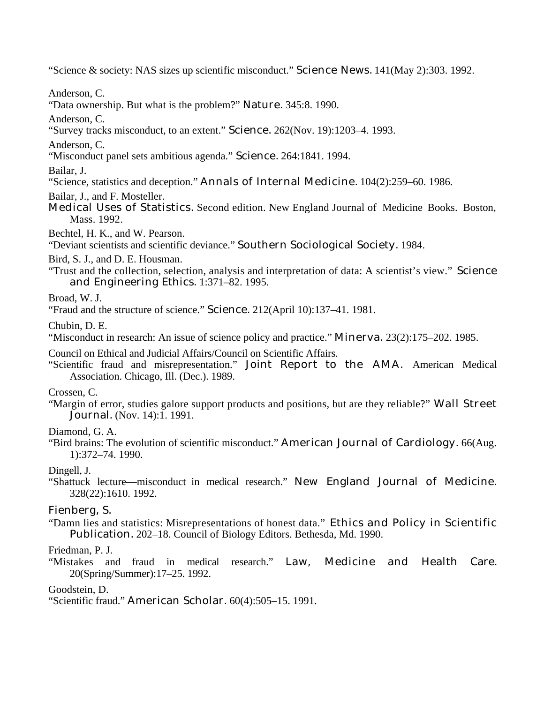"Science & society: NAS sizes up scientific misconduct." Science News. 141(May 2):303. 1992.

Anderson, C.

"Data ownership. But what is the problem?" Nature. 345:8. 1990.

Anderson, C.

"Survey tracks misconduct, to an extent." Science. 262(Nov. 19):1203–4. 1993.

Anderson, C.

"Misconduct panel sets ambitious agenda." Science. 264:1841. 1994.

Bailar, J.

"Science, statistics and deception." Annals of Internal Medicine. 104(2):259–60. 1986.

Bailar, J., and F. Mosteller.

Medical Uses of Statistics. Second edition. New England Journal of Medicine Books. Boston, Mass. 1992.

Bechtel, H. K., and W. Pearson.

"Deviant scientists and scientific deviance." Southern Sociological Society. 1984.

Bird, S. J., and D. E. Housman.

"Trust and the collection, selection, analysis and interpretation of data: A scientist's view." Science and Engineering Ethics. 1:371–82. 1995.

Broad, W. J.

"Fraud and the structure of science." Science. 212(April 10):137–41. 1981.

Chubin, D. E.

"Misconduct in research: An issue of science policy and practice." Minerva. 23(2):175–202. 1985.

Council on Ethical and Judicial Affairs/Council on Scientific Affairs.

"Scientific fraud and misrepresentation." Joint Report to the AMA. American Medical Association. Chicago, Ill. (Dec.). 1989.

### Crossen, C.

"Margin of error, studies galore support products and positions, but are they reliable?" Wall Street Journal. (Nov. 14):1. 1991.

Diamond, G. A.

"Bird brains: The evolution of scientific misconduct." American Journal of Cardiology. 66(Aug. 1):372–74. 1990.

Dingell, J.

"Shattuck lecture—misconduct in medical research." New England Journal of Medicine. 328(22):1610. 1992.

Fienberg, S.

"Damn lies and statistics: Misrepresentations of honest data." Ethics and Policy in Scientific Publication. 202–18. Council of Biology Editors. Bethesda, Md. 1990.

Friedman, P. J.

"Mistakes and fraud in medical research." Law, Medicine and Health Care. 20(Spring/Summer):17–25. 1992.

Goodstein, D.

"Scientific fraud." American Scholar. 60(4):505–15. 1991.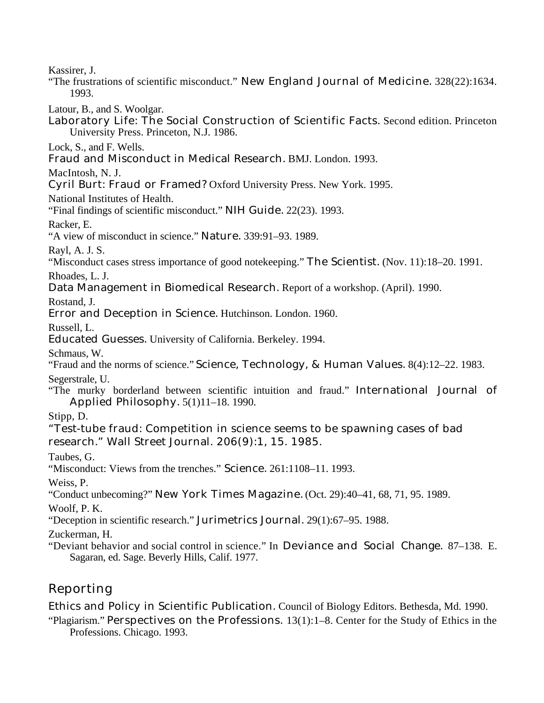Kassirer, J.

"The frustrations of scientific misconduct." New England Journal of Medicine. 328(22):1634. 1993.

Latour, B., and S. Woolgar.

Laboratory Life: The Social Construction of Scientific Facts. Second edition. Princeton University Press. Princeton, N.J. 1986.

Lock, S., and F. Wells.

Fraud and Misconduct in Medical Research. BMJ. London. 1993.

MacIntosh, N. J.

Cyril Burt: Fraud or Framed? Oxford University Press. New York. 1995.

National Institutes of Health.

"Final findings of scientific misconduct." NIH Guide. 22(23). 1993.

Racker, E.

"A view of misconduct in science." Nature. 339:91–93. 1989.

Rayl, A. J. S.

"Misconduct cases stress importance of good notekeeping." The Scientist. (Nov. 11):18–20. 1991.

Rhoades, L. J.

Data Management in Biomedical Research. Report of a workshop. (April). 1990.

Rostand, J.

Error and Deception in Science. Hutchinson. London. 1960.

Russell, L.

Educated Guesses. University of California. Berkeley. 1994.

Schmaus, W.

"Fraud and the norms of science." Science, Technology, & Human Values. 8(4):12–22. 1983. Segerstrale, U.

"The murky borderland between scientific intuition and fraud." International Journal of Applied Philosophy. 5(1)11–18. 1990.

Stipp, D.

"Test-tube fraud: Competition in science seems to be spawning cases of bad research." Wall Street Journal. 206(9):1, 15. 1985.

Taubes, G.

"Misconduct: Views from the trenches." Science. 261:1108–11. 1993.

Weiss, P.

"Conduct unbecoming?" New York Times Magazine. (Oct. 29):40–41, 68, 71, 95. 1989.

Woolf, P. K.

"Deception in scientific research." Jurimetrics Journal. 29(1):67–95. 1988.

Zuckerman, H.

"Deviant behavior and social control in science." In Deviance and Social Change. 87–138. E. Sagaran, ed. Sage. Beverly Hills, Calif. 1977.

## Reporting

Ethics and Policy in Scientific Publication. Council of Biology Editors. Bethesda, Md. 1990.

"Plagiarism." Perspectives on the Professions. 13(1):1–8. Center for the Study of Ethics in the Professions. Chicago. 1993.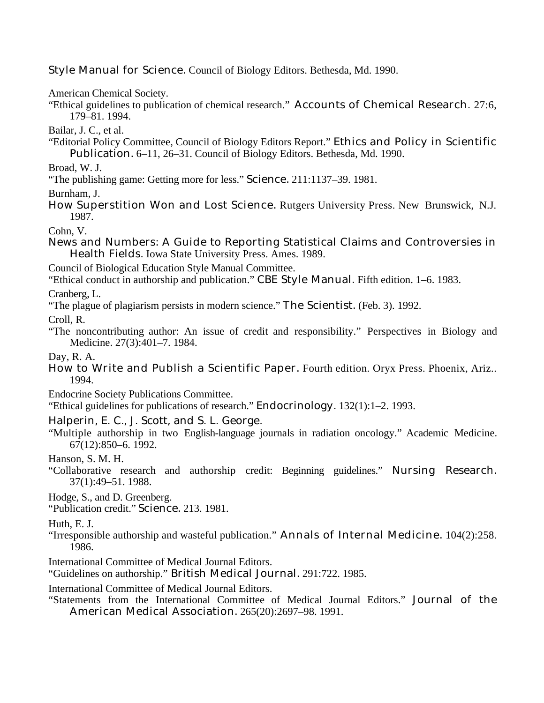Style Manual for Science. Council of Biology Editors. Bethesda, Md. 1990.

American Chemical Society.

"Ethical guidelines to publication of chemical research." Accounts of Chemical Research. 27:6, 179–81. 1994.

Bailar, J. C., et al.

"Editorial Policy Committee, Council of Biology Editors Report." Ethics and Policy in Scientific Publication. 6–11, 26–31. Council of Biology Editors. Bethesda, Md. 1990.

Broad, W. J.

"The publishing game: Getting more for less." Science. 211:1137–39. 1981.

Burnham, J.

How Superstition Won and Lost Science. Rutgers University Press. New Brunswick, N.J. 1987.

Cohn, V.

News and Numbers: A Guide to Reporting Statistical Claims and Controversies in Health Fields. Iowa State University Press. Ames. 1989.

Council of Biological Education Style Manual Committee.

"Ethical conduct in authorship and publication." CBE Style Manual. Fifth edition. 1–6. 1983.

Cranberg, L.

"The plague of plagiarism persists in modern science." The Scientist. (Feb. 3). 1992.

Croll, R.

"The noncontributing author: An issue of credit and responsibility." Perspectives in Biology and Medicine. 27(3):401–7. 1984.

Day, R. A.

How to Write and Publish a Scientific Paper. Fourth edition. Oryx Press. Phoenix, Ariz.. 1994.

Endocrine Society Publications Committee.

"Ethical guidelines for publications of research." Endocrinology. 132(1):1–2. 1993.

Halperin, E. C., J. Scott, and S. L. George.

"Multiple authorship in two English-language journals in radiation oncology." Academic Medicine. 67(12):850–6. 1992.

Hanson, S. M. H.

"Collaborative research and authorship credit: Beginning guidelines." Nursing Research. 37(1):49–51. 1988.

Hodge, S., and D. Greenberg.

"Publication credit." Science. 213. 1981.

Huth, E. J.

- "Irresponsible authorship and wasteful publication." Annals of Internal Medicine. 104(2):258. 1986.
- International Committee of Medical Journal Editors.

"Guidelines on authorship." British Medical Journal. 291:722. 1985.

International Committee of Medical Journal Editors.

"Statements from the International Committee of Medical Journal Editors." Journal of the American Medical Association. 265(20):2697–98. 1991.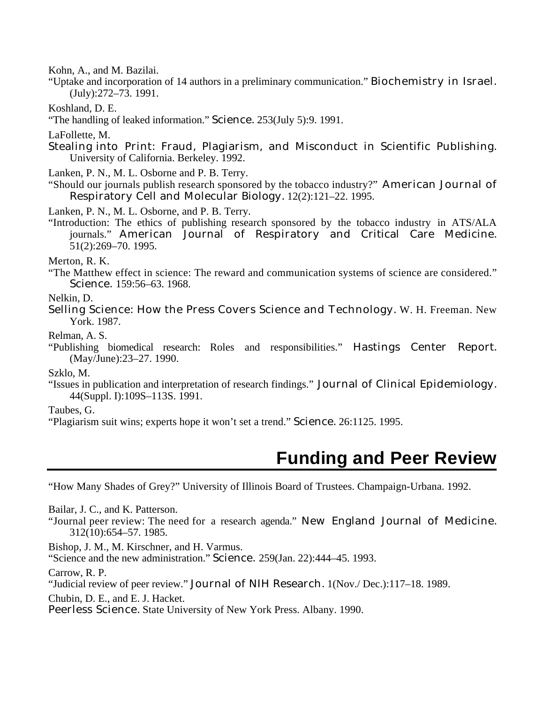Kohn, A., and M. Bazilai.

"Uptake and incorporation of 14 authors in a preliminary communication." Biochemistry in Israel. (July):272–73. 1991.

Koshland, D. E.

"The handling of leaked information." Science. 253(July 5):9. 1991.

LaFollette, M.

Stealing into Print: Fraud, Plagiarism, and Misconduct in Scientific Publishing. University of California. Berkeley. 1992.

Lanken, P. N., M. L. Osborne and P. B. Terry.

"Should our journals publish research sponsored by the tobacco industry?" American Journal of Respiratory Cell and Molecular Biology. 12(2):121–22. 1995.

Lanken, P. N., M. L. Osborne, and P. B. Terry.

"Introduction: The ethics of publishing research sponsored by the tobacco industry in ATS/ALA journals." American Journal of Respiratory and Critical Care Medicine. 51(2):269–70. 1995.

Merton, R. K.

"The Matthew effect in science: The reward and communication systems of science are considered." Science. 159:56–63. 1968.

Nelkin, D.

Selling Science: How the Press Covers Science and Technology. W. H. Freeman. New York. 1987.

Relman, A. S.

"Publishing biomedical research: Roles and responsibilities." Hastings Center Report. (May/June):23–27. 1990.

Szklo, M.

"Issues in publication and interpretation of research findings." Journal of Clinical Epidemiology. 44(Suppl. I):109S–113S. 1991.

Taubes, G.

"Plagiarism suit wins; experts hope it won't set a trend." Science. 26:1125. 1995.

# **Funding and Peer Review**

"How Many Shades of Grey?" University of Illinois Board of Trustees. Champaign-Urbana. 1992.

Bailar, J. C., and K. Patterson.

"Journal peer review: The need for a research agenda." New England Journal of Medicine. 312(10):654–57. 1985.

Bishop, J. M., M. Kirschner, and H. Varmus.

"Science and the new administration." Science. 259(Jan. 22):444–45. 1993.

Carrow, R. P.

"Judicial review of peer review." Journal of NIH Research. 1(Nov./ Dec.):117–18. 1989.

Chubin, D. E., and E. J. Hacket.

Peerless Science. State University of New York Press. Albany. 1990.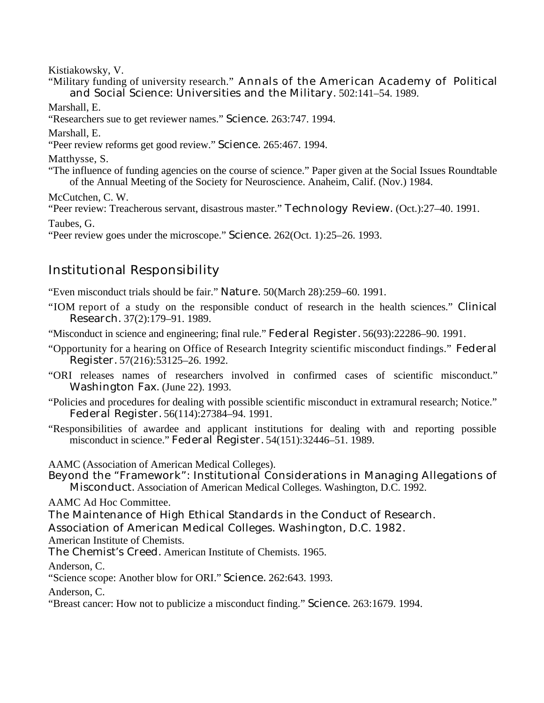Kistiakowsky, V.

"Military funding of university research." Annals of the American Academy of Political and Social Science: Universities and the Military. 502:141–54. 1989.

Marshall, E.

"Researchers sue to get reviewer names." Science. 263:747. 1994.

Marshall, E.

"Peer review reforms get good review." Science. 265:467. 1994.

Matthysse, S.

"The influence of funding agencies on the course of science." Paper given at the Social Issues Roundtable of the Annual Meeting of the Society for Neuroscience. Anaheim, Calif. (Nov.) 1984.

McCutchen, C. W.

"Peer review: Treacherous servant, disastrous master." Technology Review. (Oct.):27–40. 1991. Taubes, G.

"Peer review goes under the microscope." Science. 262(Oct. 1):25–26. 1993.

## Institutional Responsibility

"Even misconduct trials should be fair." Nature. 50(March 28):259–60. 1991.

"IOM report of a study on the responsible conduct of research in the health sciences." Clinical Research. 37(2):179–91. 1989.

"Misconduct in science and engineering; final rule." Federal Register. 56(93):22286–90. 1991.

"Opportunity for a hearing on Office of Research Integrity scientific misconduct findings." Federal Register. 57(216):53125–26. 1992.

"ORI releases names of researchers involved in confirmed cases of scientific misconduct." Washington Fax. (June 22). 1993.

"Policies and procedures for dealing with possible scientific misconduct in extramural research; Notice." Federal Register. 56(114):27384–94. 1991.

"Responsibilities of awardee and applicant institutions for dealing with and reporting possible misconduct in science." Federal Register. 54(151):32446–51. 1989.

AAMC (Association of American Medical Colleges).

Beyond the "Framework": Institutional Considerations in Managing Allegations of Misconduct. Association of American Medical Colleges. Washington, D.C. 1992.

AAMC Ad Hoc Committee.

The Maintenance of High Ethical Standards in the Conduct of Research.

Association of American Medical Colleges. Washington, D.C. 1982.

American Institute of Chemists.

The Chemist's Creed. American Institute of Chemists. 1965.

Anderson, C.

"Science scope: Another blow for ORI." Science. 262:643. 1993.

Anderson, C.

"Breast cancer: How not to publicize a misconduct finding." Science. 263:1679. 1994.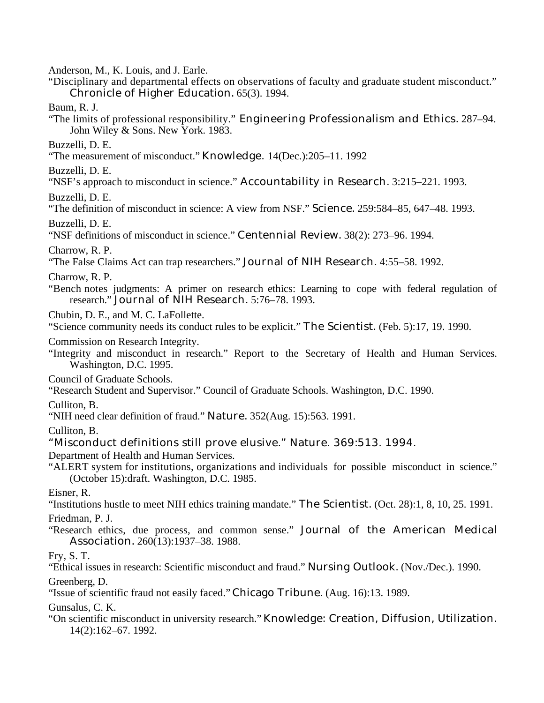Anderson, M., K. Louis, and J. Earle.

- "Disciplinary and departmental effects on observations of faculty and graduate student misconduct." Chronicle of Higher Education. 65(3). 1994.
- Baum, R. J.
- "The limits of professional responsibility." Engineering Professionalism and Ethics. 287–94. John Wiley & Sons. New York. 1983.
- Buzzelli, D. E.
- "The measurement of misconduct." Knowledge. 14(Dec.):205–11. 1992

Buzzelli, D. E.

"NSF's approach to misconduct in science." Accountability in Research. 3:215–221. 1993.

Buzzelli, D. E.

"The definition of misconduct in science: A view from NSF." Science. 259:584–85, 647–48. 1993.

Buzzelli, D. E.

"NSF definitions of misconduct in science." Centennial Review. 38(2): 273–96. 1994.

Charrow, R. P.

"The False Claims Act can trap researchers." Journal of NIH Research. 4:55–58. 1992.

Charrow, R. P.

"Bench notes judgments: A primer on research ethics: Learning to cope with federal regulation of research." Journal of NIH Research. 5:76–78. 1993.

Chubin, D. E., and M. C. LaFollette.

"Science community needs its conduct rules to be explicit." The Scientist. (Feb. 5):17, 19. 1990.

Commission on Research Integrity.

"Integrity and misconduct in research." Report to the Secretary of Health and Human Services. Washington, D.C. 1995.

Council of Graduate Schools.

"Research Student and Supervisor." Council of Graduate Schools. Washington, D.C. 1990.

Culliton, B.

"NIH need clear definition of fraud." Nature. 352(Aug. 15):563. 1991.

Culliton, B.

"Misconduct definitions still prove elusive." Nature. 369:513. 1994.

Department of Health and Human Services.

"ALERT system for institutions, organizations and individuals for possible misconduct in science." (October 15):draft. Washington, D.C. 1985.

Eisner, R.

"Institutions hustle to meet NIH ethics training mandate." The Scientist. (Oct. 28):1, 8, 10, 25. 1991.

Friedman, P. J.

"Research ethics, due process, and common sense." Journal of the American Medical Association. 260(13):1937–38. 1988.

Fry, S. T.

"Ethical issues in research: Scientific misconduct and fraud." Nursing Outlook. (Nov./Dec.). 1990.

Greenberg, D.

"Issue of scientific fraud not easily faced." Chicago Tribune. (Aug. 16):13. 1989.

Gunsalus, C. K.

"On scientific misconduct in university research." Knowledge: Creation, Diffusion, Utilization. 14(2):162–67. 1992.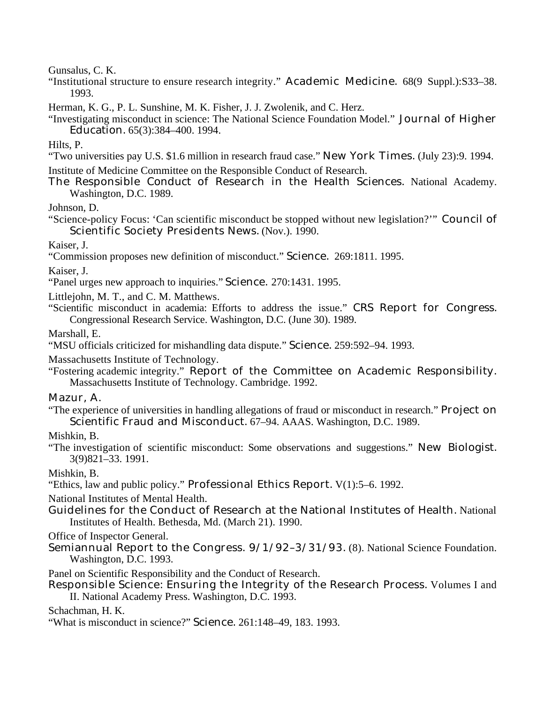Gunsalus, C. K.

"Institutional structure to ensure research integrity." Academic Medicine. 68(9 Suppl.):S33–38. 1993.

Herman, K. G., P. L. Sunshine, M. K. Fisher, J. J. Zwolenik, and C. Herz.

"Investigating misconduct in science: The National Science Foundation Model." Journal of Higher Education. 65(3):384–400. 1994.

Hilts, P.

- "Two universities pay U.S. \$1.6 million in research fraud case." New York Times. (July 23):9. 1994.
- Institute of Medicine Committee on the Responsible Conduct of Research.
- The Responsible Conduct of Research in the Health Sciences. National Academy. Washington, D.C. 1989.

Johnson, D.

"Science-policy Focus: 'Can scientific misconduct be stopped without new legislation?'" Council of Scientific Society Presidents News. (Nov.). 1990.

Kaiser, J.

"Commission proposes new definition of misconduct." Science. 269:1811. 1995.

Kaiser, J.

"Panel urges new approach to inquiries." Science. 270:1431. 1995.

Littlejohn, M. T., and C. M. Matthews.

"Scientific misconduct in academia: Efforts to address the issue." CRS Report for Congress. Congressional Research Service. Washington, D.C. (June 30). 1989.

Marshall, E.

"MSU officials criticized for mishandling data dispute." Science. 259:592–94. 1993.

Massachusetts Institute of Technology.

"Fostering academic integrity." Report of the Committee on Academic Responsibility. Massachusetts Institute of Technology. Cambridge. 1992.

Mazur, A.

"The experience of universities in handling allegations of fraud or misconduct in research." Project on Scientific Fraud and Misconduct. 67–94. AAAS. Washington, D.C. 1989.

Mishkin, B.

"The investigation of scientific misconduct: Some observations and suggestions." New Biologist. 3(9)821–33. 1991.

Mishkin, B.

"Ethics, law and public policy." Professional Ethics Report. V(1):5–6. 1992.

National Institutes of Mental Health.

Guidelines for the Conduct of Research at the National Institutes of Health. National Institutes of Health. Bethesda, Md. (March 21). 1990.

Office of Inspector General.

Semiannual Report to the Congress. 9/1/92–3/31/93. (8). National Science Foundation. Washington, D.C. 1993.

Panel on Scientific Responsibility and the Conduct of Research.

Responsible Science: Ensuring the Integrity of the Research Process. Volumes I and II. National Academy Press. Washington, D.C. 1993.

Schachman, H. K.

"What is misconduct in science?" Science. 261:148–49, 183. 1993.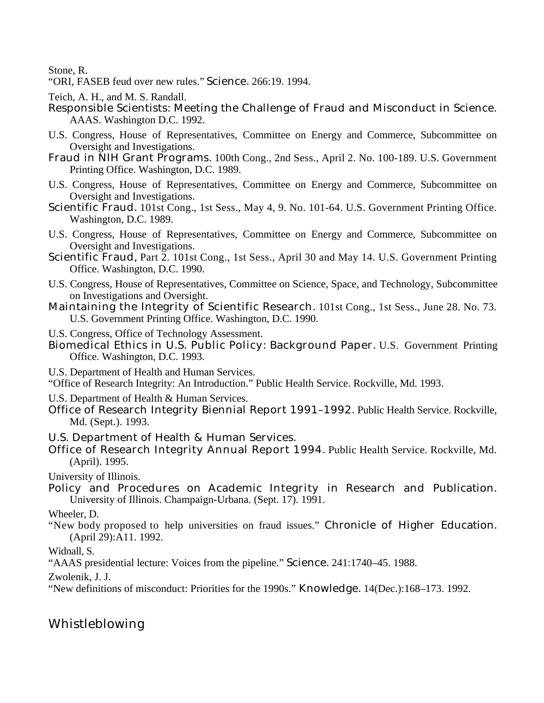Stone, R.

"ORI, FASEB feud over new rules." Science. 266:19. 1994.

Teich, A. H., and M. S. Randall.

- Responsible Scientists: Meeting the Challenge of Fraud and Misconduct in Science. AAAS. Washington D.C. 1992.
- U.S. Congress, House of Representatives, Committee on Energy and Commerce, Subcommittee on Oversight and Investigations.
- Fraud in NIH Grant Programs. 100th Cong., 2nd Sess., April 2. No. 100-189. U.S. Government Printing Office. Washington, D.C. 1989.
- U.S. Congress, House of Representatives, Committee on Energy and Commerce, Subcommittee on Oversight and Investigations.
- Scientific Fraud. 101st Cong., 1st Sess., May 4, 9. No. 101-64. U.S. Government Printing Office. Washington, D.C. 1989.
- U.S. Congress, House of Representatives, Committee on Energy and Commerce, Subcommittee on Oversight and Investigations.
- Scientific Fraud, Part 2. 101st Cong., 1st Sess., April 30 and May 14. U.S. Government Printing Office. Washington, D.C. 1990.
- U.S. Congress, House of Representatives, Committee on Science, Space, and Technology, Subcommittee on Investigations and Oversight.
- Maintaining the Integrity of Scientific Research. 101st Cong., 1st Sess., June 28. No. 73. U.S. Government Printing Office. Washington, D.C. 1990.
- U.S. Congress, Office of Technology Assessment.
- Biomedical Ethics in U.S. Public Policy: Background Paper. U.S. Government Printing Office. Washington, D.C. 1993.
- U.S. Department of Health and Human Services.
- "Office of Research Integrity: An Introduction." Public Health Service. Rockville, Md. 1993.
- U.S. Department of Health & Human Services.
- Office of Research Integrity Biennial Report 1991–1992. Public Health Service. Rockville, Md. (Sept.). 1993.
- U.S. Department of Health & Human Services.
- Office of Research Integrity Annual Report 1994. Public Health Service. Rockville, Md. (April). 1995.

University of Illinois.

Policy and Procedures on Academic Integrity in Research and Publication. University of Illinois. Champaign-Urbana. (Sept. 17). 1991.

Wheeler, D.

"New body proposed to help universities on fraud issues." Chronicle of Higher Education. (April 29):A11. 1992.

Widnall, S.

"AAAS presidential lecture: Voices from the pipeline." Science. 241:1740–45. 1988.

Zwolenik, J. J.

"New definitions of misconduct: Priorities for the 1990s." Knowledge. 14(Dec.):168–173. 1992.

## Whistleblowing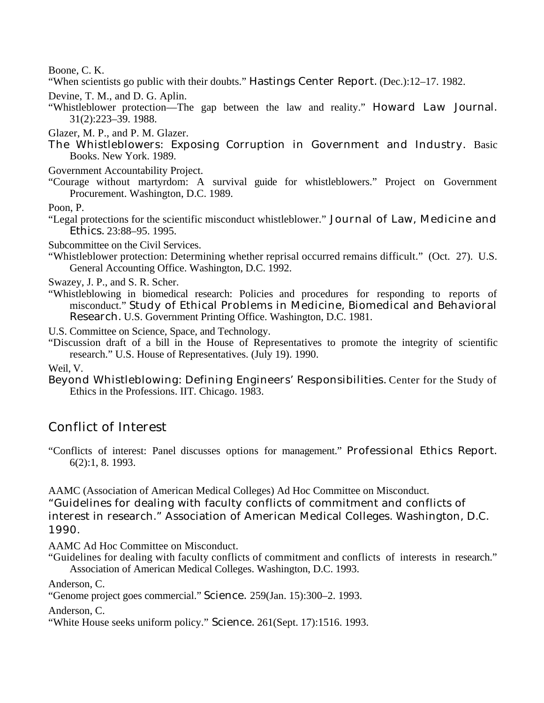Boone, C. K.

"When scientists go public with their doubts." Hastings Center Report. (Dec.):12–17. 1982.

Devine, T. M., and D. G. Aplin.

- "Whistleblower protection—The gap between the law and reality." Howard Law Journal. 31(2):223–39. 1988.
- Glazer, M. P., and P. M. Glazer.
- The Whistleblowers: Exposing Corruption in Government and Industry. Basic Books. New York. 1989.
- Government Accountability Project.
- "Courage without martyrdom: A survival guide for whistleblowers." Project on Government Procurement. Washington, D.C. 1989.

Poon, P.

"Legal protections for the scientific misconduct whistleblower." Journal of Law, Medicine and Ethics. 23:88–95. 1995.

Subcommittee on the Civil Services.

"Whistleblower protection: Determining whether reprisal occurred remains difficult." (Oct. 27). U.S. General Accounting Office. Washington, D.C. 1992.

Swazey, J. P., and S. R. Scher.

"Whistleblowing in biomedical research: Policies and procedures for responding to reports of misconduct." Study of Ethical Problems in Medicine, Biomedical and Behavioral Research. U.S. Government Printing Office. Washington, D.C. 1981.

U.S. Committee on Science, Space, and Technology.

"Discussion draft of a bill in the House of Representatives to promote the integrity of scientific research." U.S. House of Representatives. (July 19). 1990.

Weil, V.

Beyond Whistleblowing: Defining Engineers' Responsibilities. Center for the Study of Ethics in the Professions. IIT. Chicago. 1983.

## Conflict of Interest

"Conflicts of interest: Panel discusses options for management." Professional Ethics Report. 6(2):1, 8. 1993.

AAMC (Association of American Medical Colleges) Ad Hoc Committee on Misconduct. "Guidelines for dealing with faculty conflicts of commitment and conflicts of interest in research." Association of American Medical Colleges. Washington, D.C. 1990.

AAMC Ad Hoc Committee on Misconduct.

"Guidelines for dealing with faculty conflicts of commitment and conflicts of interests in research." Association of American Medical Colleges. Washington, D.C. 1993.

Anderson, C.

"Genome project goes commercial." Science. 259(Jan. 15):300–2. 1993.

Anderson, C.

"White House seeks uniform policy." Science. 261(Sept. 17):1516. 1993.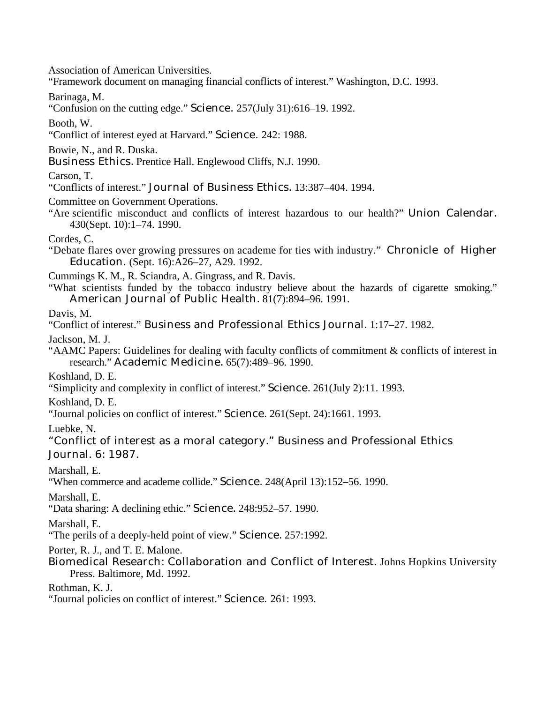Association of American Universities.

"Framework document on managing financial conflicts of interest." Washington, D.C. 1993.

Barinaga, M.

"Confusion on the cutting edge." Science. 257(July 31):616–19. 1992.

Booth, W.

"Conflict of interest eyed at Harvard." Science. 242: 1988.

Bowie, N., and R. Duska.

Business Ethics. Prentice Hall. Englewood Cliffs, N.J. 1990.

Carson, T.

"Conflicts of interest." Journal of Business Ethics. 13:387–404. 1994.

Committee on Government Operations.

"Are scientific misconduct and conflicts of interest hazardous to our health?" Union Calendar. 430(Sept. 10):1–74. 1990.

Cordes, C.

"Debate flares over growing pressures on academe for ties with industry." Chronicle of Higher Education. (Sept. 16):A26–27, A29. 1992.

Cummings K. M., R. Sciandra, A. Gingrass, and R. Davis.

"What scientists funded by the tobacco industry believe about the hazards of cigarette smoking." American Journal of Public Health. 81(7):894–96. 1991.

Davis, M.

"Conflict of interest." Business and Professional Ethics Journal. 1:17–27. 1982.

Jackson, M. J.

"AAMC Papers: Guidelines for dealing with faculty conflicts of commitment & conflicts of interest in research." Academic Medicine. 65(7):489–96. 1990.

Koshland, D. E.

"Simplicity and complexity in conflict of interest." Science. 261(July 2):11. 1993.

Koshland, D. E.

"Journal policies on conflict of interest." Science. 261(Sept. 24):1661. 1993.

Luebke, N.

"Conflict of interest as a moral category." Business and Professional Ethics Journal. 6: 1987.

Marshall, E.

"When commerce and academe collide." Science. 248(April 13):152–56. 1990.

Marshall, E.

"Data sharing: A declining ethic." Science. 248:952–57. 1990.

Marshall, E.

"The perils of a deeply-held point of view." Science. 257:1992.

Porter, R. J., and T. E. Malone.

Biomedical Research: Collaboration and Conflict of Interest. Johns Hopkins University Press. Baltimore, Md. 1992.

Rothman, K. J.

"Journal policies on conflict of interest." Science. 261: 1993.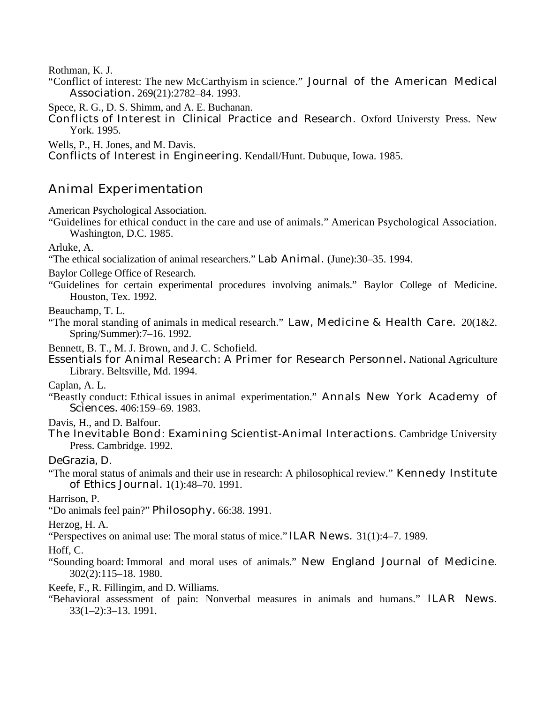Rothman, K. J.

"Conflict of interest: The new McCarthyism in science." Journal of the American Medical Association. 269(21):2782–84. 1993.

Spece, R. G., D. S. Shimm, and A. E. Buchanan.

Conflicts of Interest in Clinical Practice and Research. Oxford Universty Press. New York. 1995.

Wells, P., H. Jones, and M. Davis.

Conflicts of Interest in Engineering. Kendall/Hunt. Dubuque, Iowa. 1985.

## Animal Experimentation

American Psychological Association.

"Guidelines for ethical conduct in the care and use of animals." American Psychological Association. Washington, D.C. 1985.

Arluke, A.

"The ethical socialization of animal researchers." Lab Animal. (June):30–35. 1994.

Baylor College Office of Research.

"Guidelines for certain experimental procedures involving animals." Baylor College of Medicine. Houston, Tex. 1992.

Beauchamp, T. L.

"The moral standing of animals in medical research." Law, Medicine & Health Care. 20(1&2. Spring/Summer):7–16. 1992.

Bennett, B. T., M. J. Brown, and J. C. Schofield.

Essentials for Animal Research: A Primer for Research Personnel. National Agriculture Library. Beltsville, Md. 1994.

Caplan, A. L.

"Beastly conduct: Ethical issues in animal experimentation." Annals New York Academy of Sciences. 406:159–69. 1983.

Davis, H., and D. Balfour.

The Inevitable Bond: Examining Scientist-Animal Interactions. Cambridge University Press. Cambridge. 1992.

DeGrazia, D.

"The moral status of animals and their use in research: A philosophical review." Kennedy Institute of Ethics Journal. 1(1):48–70. 1991.

Harrison, P.

"Do animals feel pain?" Philosophy. 66:38. 1991.

Herzog, H. A.

"Perspectives on animal use: The moral status of mice." ILAR News. 31(1):4–7. 1989.

Hoff, C.

- "Sounding board: Immoral and moral uses of animals." New England Journal of Medicine. 302(2):115–18. 1980.
- Keefe, F., R. Fillingim, and D. Williams.
- "Behavioral assessment of pain: Nonverbal measures in animals and humans." ILAR News. 33(1–2):3–13. 1991.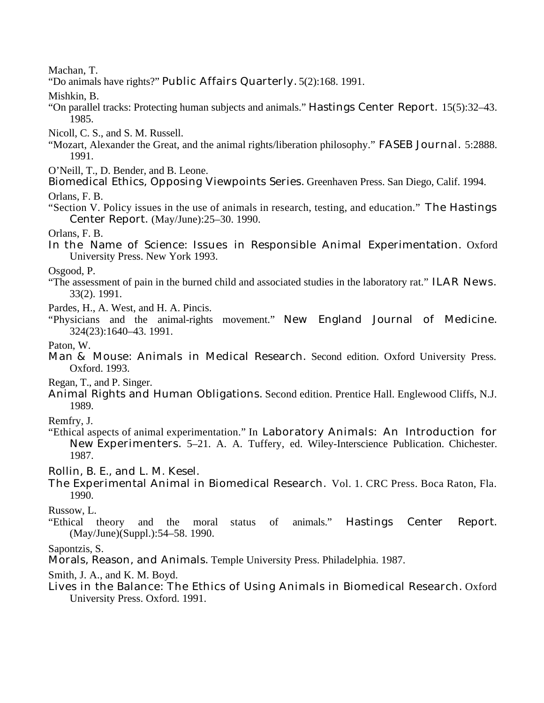Machan, T.

"Do animals have rights?" Public Affairs Quarterly. 5(2):168. 1991.

Mishkin, B.

"On parallel tracks: Protecting human subjects and animals." Hastings Center Report. 15(5):32–43. 1985.

Nicoll, C. S., and S. M. Russell.

- "Mozart, Alexander the Great, and the animal rights/liberation philosophy." FASEB Journal. 5:2888. 1991.
- O'Neill, T., D. Bender, and B. Leone.
- Biomedical Ethics, Opposing Viewpoints Series. Greenhaven Press. San Diego, Calif. 1994.

Orlans, F. B.

"Section V. Policy issues in the use of animals in research, testing, and education." The Hastings Center Report. (May/June):25–30. 1990.

Orlans, F. B.

In the Name of Science: Issues in Responsible Animal Experimentation. Oxford University Press. New York 1993.

Osgood, P.

"The assessment of pain in the burned child and associated studies in the laboratory rat." ILAR News. 33(2). 1991.

Pardes, H., A. West, and H. A. Pincis.

"Physicians and the animal-rights movement." New England Journal of Medicine. 324(23):1640–43. 1991.

Paton, W.

Man & Mouse: Animals in Medical Research. Second edition. Oxford University Press. Oxford. 1993.

Regan, T., and P. Singer.

Animal Rights and Human Obligations. Second edition. Prentice Hall. Englewood Cliffs, N.J. 1989.

Remfry, J.

"Ethical aspects of animal experimentation." In Laboratory Animals: An Introduction for New Experimenters. 5–21. A. A. Tuffery, ed. Wiley-Interscience Publication. Chichester. 1987.

Rollin, B. E., and L. M. Kesel.

The Experimental Animal in Biomedical Research. Vol. 1. CRC Press. Boca Raton, Fla. 1990.

Russow, L.

"Ethical theory and the moral status of animals." Hastings Center Report. (May/June)(Suppl.):54–58. 1990.

Sapontzis, S.

Morals, Reason, and Animals. Temple University Press. Philadelphia. 1987.

Smith, J. A., and K. M. Boyd.

Lives in the Balance: The Ethics of Using Animals in Biomedical Research. Oxford University Press. Oxford. 1991.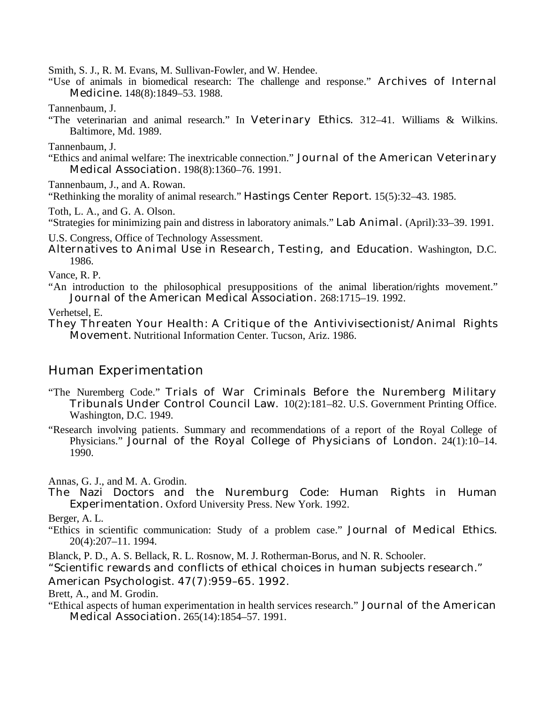Smith, S. J., R. M. Evans, M. Sullivan-Fowler, and W. Hendee.

"Use of animals in biomedical research: The challenge and response." Archives of Internal Medicine. 148(8):1849–53. 1988.

Tannenbaum, J.

"The veterinarian and animal research." In Veterinary Ethics. 312–41. Williams & Wilkins. Baltimore, Md. 1989.

Tannenbaum, J.

"Ethics and animal welfare: The inextricable connection." Journal of the American Veterinary Medical Association. 198(8):1360–76. 1991.

Tannenbaum, J., and A. Rowan.

"Rethinking the morality of animal research." Hastings Center Report. 15(5):32–43. 1985.

Toth, L. A., and G. A. Olson.

"Strategies for minimizing pain and distress in laboratory animals." Lab Animal. (April):33–39. 1991.

U.S. Congress, Office of Technology Assessment.

Alternatives to Animal Use in Research, Testing, and Education. Washington, D.C. 1986.

Vance, R. P.

"An introduction to the philosophical presuppositions of the animal liberation/rights movement." Journal of the American Medical Association. 268:1715–19. 1992.

Verhetsel, E.

They Threaten Your Health: A Critique of the Antivivisectionist/Animal Rights Movement. Nutritional Information Center. Tucson, Ariz. 1986.

## Human Experimentation

- "The Nuremberg Code." Trials of War Criminals Before the Nuremberg Military Tribunals Under Control Council Law. 10(2):181–82. U.S. Government Printing Office. Washington, D.C. 1949.
- "Research involving patients. Summary and recommendations of a report of the Royal College of Physicians." Journal of the Royal College of Physicians of London. 24(1):10–14. 1990.

Annas, G. J., and M. A. Grodin.

The Nazi Doctors and the Nuremburg Code: Human Rights in Human Experimentation. Oxford University Press. New York. 1992.

Berger, A. L.

"Ethics in scientific communication: Study of a problem case." Journal of Medical Ethics. 20(4):207–11. 1994.

Blanck, P. D., A. S. Bellack, R. L. Rosnow, M. J. Rotherman-Borus, and N. R. Schooler.

"Scientific rewards and conflicts of ethical choices in human subjects research."

American Psychologist. 47(7):959–65. 1992.

Brett, A., and M. Grodin.

"Ethical aspects of human experimentation in health services research." Journal of the American Medical Association. 265(14):1854–57. 1991.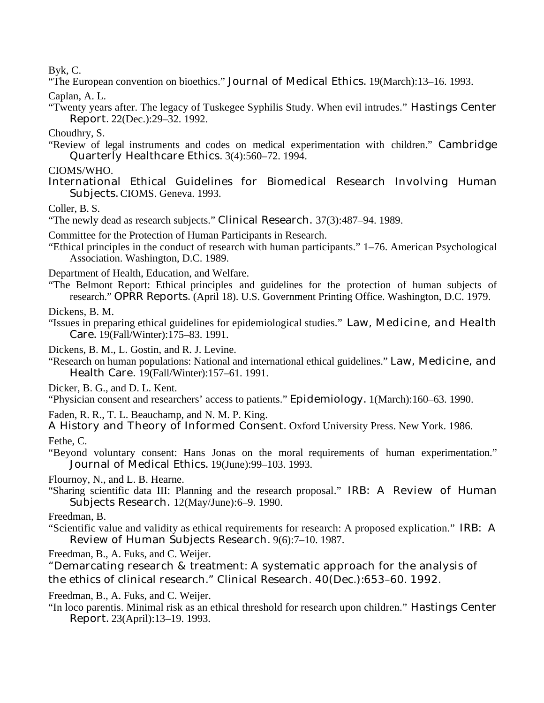Byk, C.

"The European convention on bioethics." Journal of Medical Ethics. 19(March):13–16. 1993.

Caplan, A. L.

"Twenty years after. The legacy of Tuskegee Syphilis Study. When evil intrudes." Hastings Center Report. 22(Dec.):29–32. 1992.

Choudhry, S.

"Review of legal instruments and codes on medical experimentation with children." Cambridge Quarterly Healthcare Ethics. 3(4):560–72. 1994.

## CIOMS/WHO.

International Ethical Guidelines for Biomedical Research Involving Human Subjects. CIOMS. Geneva. 1993.

Coller, B. S.

"The newly dead as research subjects." Clinical Research. 37(3):487–94. 1989.

Committee for the Protection of Human Participants in Research.

"Ethical principles in the conduct of research with human participants." 1–76. American Psychological Association. Washington, D.C. 1989.

Department of Health, Education, and Welfare.

"The Belmont Report: Ethical principles and guidelines for the protection of human subjects of research." OPRR Reports. (April 18). U.S. Government Printing Office. Washington, D.C. 1979.

Dickens, B. M.

- "Issues in preparing ethical guidelines for epidemiological studies." Law, Medicine, and Health Care. 19(Fall/Winter):175–83. 1991.
- Dickens, B. M., L. Gostin, and R. J. Levine.
- "Research on human populations: National and international ethical guidelines." Law, Medicine, and Health Care. 19(Fall/Winter):157–61. 1991.

Dicker, B. G., and D. L. Kent.

"Physician consent and researchers' access to patients." Epidemiology. 1(March):160–63. 1990.

Faden, R. R., T. L. Beauchamp, and N. M. P. King.

A History and Theory of Informed Consent. Oxford University Press. New York. 1986.

Fethe, C.

"Beyond voluntary consent: Hans Jonas on the moral requirements of human experimentation." Journal of Medical Ethics. 19(June):99–103. 1993.

Flournoy, N., and L. B. Hearne.

- "Sharing scientific data III: Planning and the research proposal." IRB: A Review of Human Subjects Research. 12(May/June):6–9. 1990.
- Freedman, B.
- "Scientific value and validity as ethical requirements for research: A proposed explication." IRB: A Review of Human Subjects Research. 9(6):7–10. 1987.

Freedman, B., A. Fuks, and C. Weijer.

"Demarcating research & treatment: A systematic approach for the analysis of the ethics of clinical research." Clinical Research. 40(Dec.):653–60. 1992.

Freedman, B., A. Fuks, and C. Weijer.

"In loco parentis. Minimal risk as an ethical threshold for research upon children." Hastings Center Report. 23(April):13–19. 1993.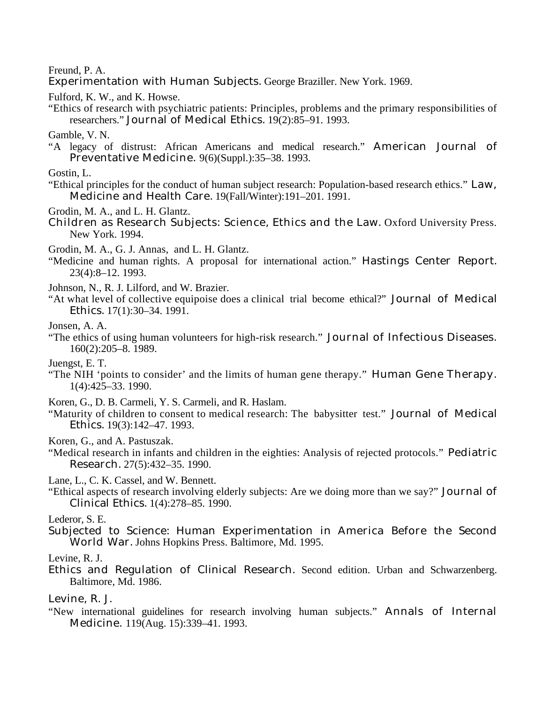#### Freund, P. A.

Experimentation with Human Subjects. George Braziller. New York. 1969.

Fulford, K. W., and K. Howse.

"Ethics of research with psychiatric patients: Principles, problems and the primary responsibilities of researchers." Journal of Medical Ethics. 19(2):85–91. 1993.

Gamble, V. N.

"A legacy of distrust: African Americans and medical research." American Journal of Preventative Medicine. 9(6)(Suppl.):35–38. 1993.

Gostin, L.

"Ethical principles for the conduct of human subject research: Population-based research ethics." Law, Medicine and Health Care. 19(Fall/Winter):191–201. 1991.

Grodin, M. A., and L. H. Glantz.

Children as Research Subjects: Science, Ethics and the Law. Oxford University Press. New York. 1994.

Grodin, M. A., G. J. Annas, and L. H. Glantz.

"Medicine and human rights. A proposal for international action." Hastings Center Report. 23(4):8–12. 1993.

Johnson, N., R. J. Lilford, and W. Brazier.

"At what level of collective equipoise does a clinical trial become ethical?" Journal of Medical Ethics. 17(1):30–34. 1991.

Jonsen, A. A.

- "The ethics of using human volunteers for high-risk research." Journal of Infectious Diseases. 160(2):205–8. 1989.
- Juengst, E. T.
- "The NIH 'points to consider' and the limits of human gene therapy." Human Gene Therapy. 1(4):425–33. 1990.

Koren, G., D. B. Carmeli, Y. S. Carmeli, and R. Haslam.

"Maturity of children to consent to medical research: The babysitter test." Journal of Medical Ethics. 19(3):142–47. 1993.

Koren, G., and A. Pastuszak.

"Medical research in infants and children in the eighties: Analysis of rejected protocols." Pediatric Research. 27(5):432–35. 1990.

Lane, L., C. K. Cassel, and W. Bennett.

"Ethical aspects of research involving elderly subjects: Are we doing more than we say?" Journal of Clinical Ethics. 1(4):278–85. 1990.

#### Lederor, S. E.

Subjected to Science: Human Experimentation in America Before the Second World War. Johns Hopkins Press. Baltimore, Md. 1995.

Levine, R. J.

Ethics and Regulation of Clinical Research. Second edition. Urban and Schwarzenberg. Baltimore, Md. 1986.

Levine, R. J.

"New international guidelines for research involving human subjects." Annals of Internal Medicine. 119(Aug. 15):339–41. 1993.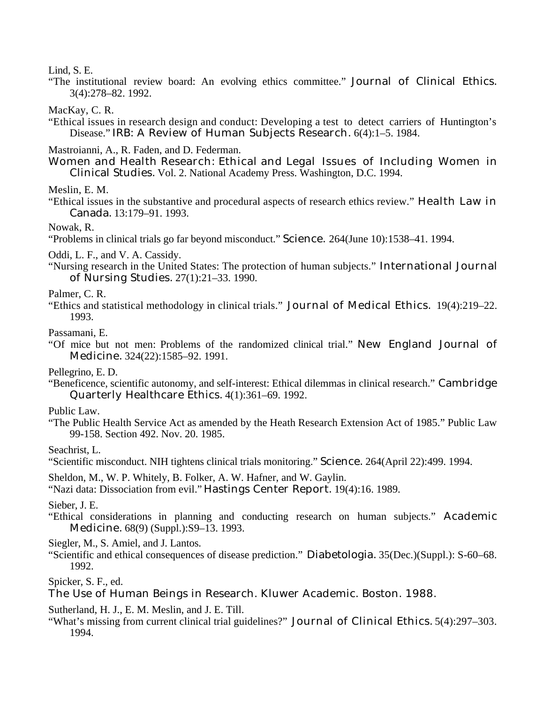Lind, S. E.

"The institutional review board: An evolving ethics committee." Journal of Clinical Ethics. 3(4):278–82. 1992.

MacKay, C. R.

"Ethical issues in research design and conduct: Developing a test to detect carriers of Huntington's Disease." IRB: A Review of Human Subjects Research. 6(4):1–5. 1984.

Mastroianni, A., R. Faden, and D. Federman.

Women and Health Research: Ethical and Legal Issues of Including Women in Clinical Studies. Vol. 2. National Academy Press. Washington, D.C. 1994.

Meslin, E. M.

"Ethical issues in the substantive and procedural aspects of research ethics review." Health Law in Canada. 13:179–91. 1993.

Nowak, R.

"Problems in clinical trials go far beyond misconduct." Science. 264(June 10):1538–41. 1994.

Oddi, L. F., and V. A. Cassidy.

"Nursing research in the United States: The protection of human subjects." International Journal of Nursing Studies. 27(1):21–33. 1990.

Palmer, C. R.

"Ethics and statistical methodology in clinical trials." Journal of Medical Ethics. 19(4):219–22. 1993.

Passamani, E.

"Of mice but not men: Problems of the randomized clinical trial." New England Journal of Medicine. 324(22):1585–92. 1991.

Pellegrino, E. D.

"Beneficence, scientific autonomy, and self-interest: Ethical dilemmas in clinical research." Cambridge Quarterly Healthcare Ethics. 4(1):361–69. 1992.

Public Law.

"The Public Health Service Act as amended by the Heath Research Extension Act of 1985." Public Law 99-158. Section 492. Nov. 20. 1985.

Seachrist, L.

"Scientific misconduct. NIH tightens clinical trials monitoring." Science. 264(April 22):499. 1994.

Sheldon, M., W. P. Whitely, B. Folker, A. W. Hafner, and W. Gaylin.

"Nazi data: Dissociation from evil." Hastings Center Report. 19(4):16. 1989.

Sieber, J. E.

"Ethical considerations in planning and conducting research on human subjects." Academic Medicine. 68(9) (Suppl.):S9–13. 1993.

Siegler, M., S. Amiel, and J. Lantos.

"Scientific and ethical consequences of disease prediction." Diabetologia. 35(Dec.)(Suppl.): S-60–68. 1992.

Spicker, S. F., ed.

The Use of Human Beings in Research. Kluwer Academic. Boston. 1988.

Sutherland, H. J., E. M. Meslin, and J. E. Till.

"What's missing from current clinical trial guidelines?" Journal of Clinical Ethics. 5(4):297–303. 1994.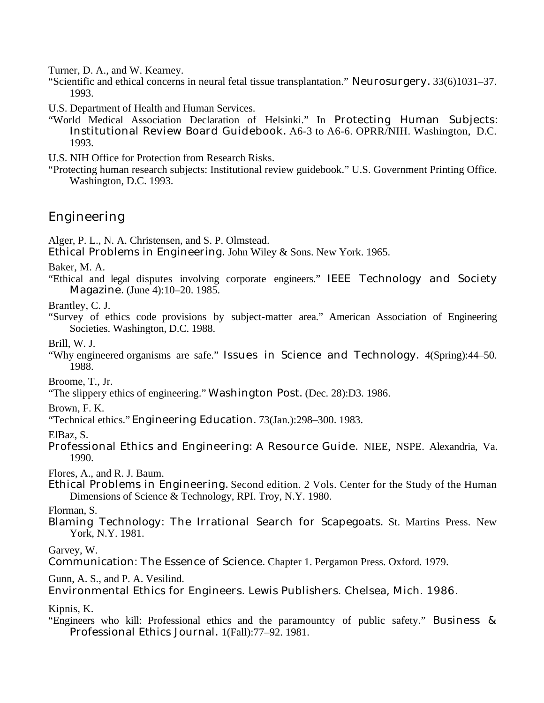Turner, D. A., and W. Kearney.

- "Scientific and ethical concerns in neural fetal tissue transplantation." Neurosurgery. 33(6)1031–37. 1993.
- U.S. Department of Health and Human Services.
- "World Medical Association Declaration of Helsinki." In Protecting Human Subjects: Institutional Review Board Guidebook. A6-3 to A6-6. OPRR/NIH. Washington, D.C. 1993.

U.S. NIH Office for Protection from Research Risks.

"Protecting human research subjects: Institutional review guidebook." U.S. Government Printing Office. Washington, D.C. 1993.

## Engineering

Alger, P. L., N. A. Christensen, and S. P. Olmstead.

Ethical Problems in Engineering. John Wiley & Sons. New York. 1965.

Baker, M. A.

"Ethical and legal disputes involving corporate engineers." IEEE Technology and Society Magazine. (June 4):10–20. 1985.

Brantley, C. J.

"Survey of ethics code provisions by subject-matter area." American Association of Engineering Societies. Washington, D.C. 1988.

Brill, W. J.

"Why engineered organisms are safe." Issues in Science and Technology. 4(Spring):44–50. 1988.

Broome, T., Jr.

"The slippery ethics of engineering." Washington Post. (Dec. 28):D3. 1986.

Brown, F. K.

"Technical ethics." Engineering Education. 73(Jan.):298–300. 1983.

ElBaz, S.

Professional Ethics and Engineering: A Resource Guide. NIEE, NSPE. Alexandria, Va. 1990.

Flores, A., and R. J. Baum.

Ethical Problems in Engineering. Second edition. 2 Vols. Center for the Study of the Human Dimensions of Science & Technology, RPI. Troy, N.Y. 1980.

Florman, S.

Blaming Technology: The Irrational Search for Scapegoats. St. Martins Press. New York, N.Y. 1981.

Garvey, W.

Communication: The Essence of Science. Chapter 1. Pergamon Press. Oxford. 1979.

Gunn, A. S., and P. A. Vesilind.

Environmental Ethics for Engineers. Lewis Publishers. Chelsea, Mich. 1986.

Kipnis, K.

"Engineers who kill: Professional ethics and the paramountcy of public safety." Business & Professional Ethics Journal. 1(Fall):77–92. 1981.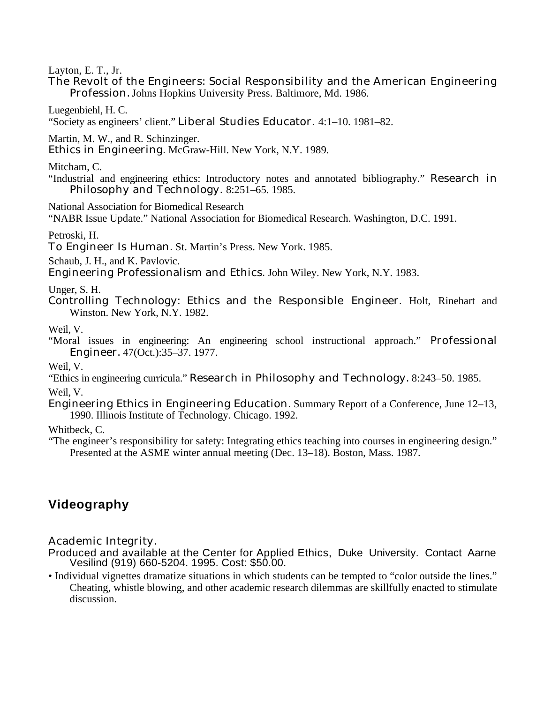Layton, E. T., Jr.

The Revolt of the Engineers: Social Responsibility and the American Engineering Profession. Johns Hopkins University Press. Baltimore, Md. 1986.

Luegenbiehl, H. C.

"Society as engineers' client." Liberal Studies Educator. 4:1–10. 1981–82.

Martin, M. W., and R. Schinzinger.

Ethics in Engineering. McGraw-Hill. New York, N.Y. 1989.

Mitcham, C.

"Industrial and engineering ethics: Introductory notes and annotated bibliography." Research in Philosophy and Technology. 8:251–65. 1985.

National Association for Biomedical Research

"NABR Issue Update." National Association for Biomedical Research. Washington, D.C. 1991.

Petroski, H.

To Engineer Is Human. St. Martin's Press. New York. 1985.

Schaub, J. H., and K. Pavlovic.

Engineering Professionalism and Ethics. John Wiley. New York, N.Y. 1983.

Unger, S. H.

Controlling Technology: Ethics and the Responsible Engineer. Holt, Rinehart and Winston. New York, N.Y. 1982.

Weil, V.

"Moral issues in engineering: An engineering school instructional approach." Professional Engineer. 47(Oct.):35–37. 1977.

Weil, V.

- "Ethics in engineering curricula." Research in Philosophy and Technology. 8:243–50. 1985. Weil, V.
- Engineering Ethics in Engineering Education. Summary Report of a Conference, June 12–13, 1990. Illinois Institute of Technology. Chicago. 1992.

Whitbeck, C.

"The engineer's responsibility for safety: Integrating ethics teaching into courses in engineering design." Presented at the ASME winter annual meeting (Dec. 13–18). Boston, Mass. 1987.

## **Videography**

Academic Integrity.

- Produced and available at the Center for Applied Ethics, Duke University. Contact Aarne Vesilind (919) 660-5204. 1995. Cost: \$50.00.
- Individual vignettes dramatize situations in which students can be tempted to "color outside the lines." Cheating, whistle blowing, and other academic research dilemmas are skillfully enacted to stimulate discussion.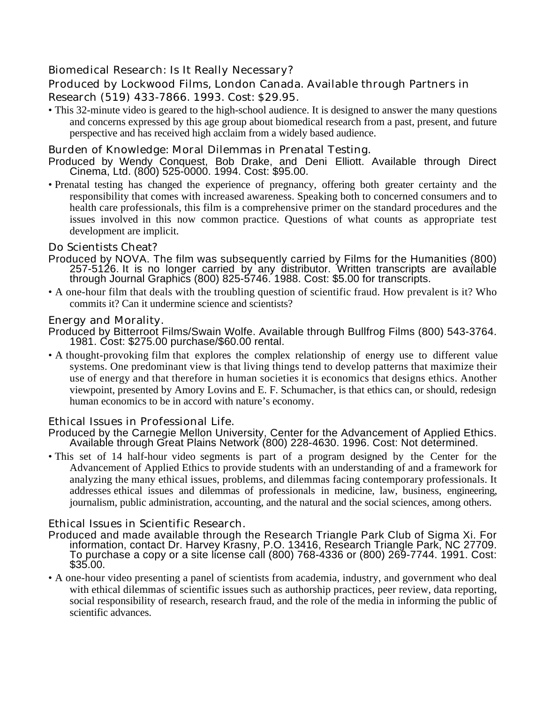## Biomedical Research: Is It Really Necessary?

## Produced by Lockwood Films, London Canada. Available through Partners in Research (519) 433-7866. 1993. Cost: \$29.95.

• This 32-minute video is geared to the high-school audience. It is designed to answer the many questions and concerns expressed by this age group about biomedical research from a past, present, and future perspective and has received high acclaim from a widely based audience.

### Burden of Knowledge: Moral Dilemmas in Prenatal Testing.

- Produced by Wendy Conquest, Bob Drake, and Deni Elliott. Available through Direct Cinema, Ltd. (800) 525-0000. 1994. Cost: \$95.00.
- Prenatal testing has changed the experience of pregnancy, offering both greater certainty and the responsibility that comes with increased awareness. Speaking both to concerned consumers and to health care professionals, this film is a comprehensive primer on the standard procedures and the issues involved in this now common practice. Questions of what counts as appropriate test development are implicit.

#### Do Scientists Cheat?

- Produced by NOVA. The film was subsequently carried by Films for the Humanities (800) 257-5126. It is no longer carried by any distributor. Written transcripts are available through Journal Graphics (800) 825-5746. 1988. Cost: \$5.00 for transcripts.
- A one-hour film that deals with the troubling question of scientific fraud. How prevalent is it? Who commits it? Can it undermine science and scientists?

#### Energy and Morality.

- Produced by Bitterroot Films/Swain Wolfe. Available through Bullfrog Films (800) 543-3764. 1981. Cost: \$275.00 purchase/\$60.00 rental.
- A thought-provoking film that explores the complex relationship of energy use to different value systems. One predominant view is that living things tend to develop patterns that maximize their use of energy and that therefore in human societies it is economics that designs ethics. Another viewpoint, presented by Amory Lovins and E. F. Schumacher, is that ethics can, or should, redesign human economics to be in accord with nature's economy.

#### Ethical Issues in Professional Life.

Produced by the Carnegie Mellon University, Center for the Advancement of Applied Ethics. Available through Great Plains Network (800) 228-4630. 1996. Cost: Not determined.

• This set of 14 half-hour video segments is part of a program designed by the Center for the Advancement of Applied Ethics to provide students with an understanding of and a framework for analyzing the many ethical issues, problems, and dilemmas facing contemporary professionals. It addresses ethical issues and dilemmas of professionals in medicine, law, business, engineering, journalism, public administration, accounting, and the natural and the social sciences, among others.

#### Ethical Issues in Scientific Research.

- Produced and made available through the Research Triangle Park Club of Sigma Xi. For information, contact Dr. Harvey Krasny, P.O. 13416, Research Triangle Park, NC 27709. To purchase a copy or a site license call (800) 768-4336 or (800) 269-7744. 1991. Cost: \$35.00.
- A one-hour video presenting a panel of scientists from academia, industry, and government who deal with ethical dilemmas of scientific issues such as authorship practices, peer review, data reporting, social responsibility of research, research fraud, and the role of the media in informing the public of scientific advances.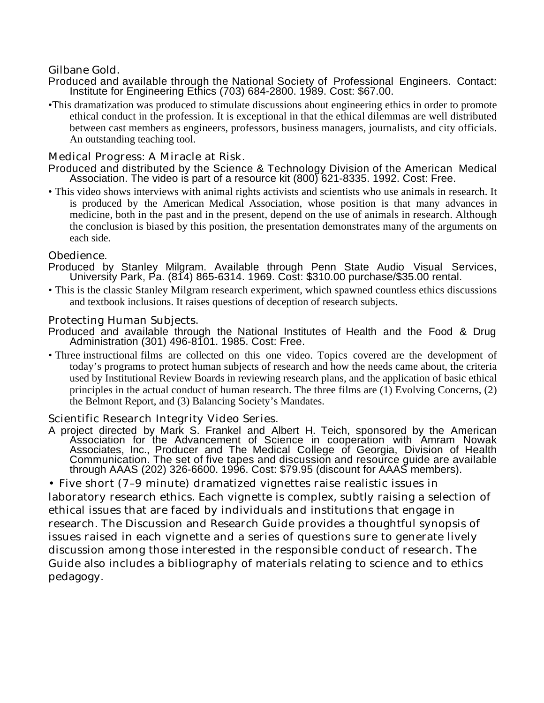## Gilbane Gold.

- Produced and available through the National Society of Professional Engineers. Contact: Institute for Engineering Ethics (703) 684-2800. 1989. Cost: \$67.00.
- •This dramatization was produced to stimulate discussions about engineering ethics in order to promote ethical conduct in the profession. It is exceptional in that the ethical dilemmas are well distributed between cast members as engineers, professors, business managers, journalists, and city officials. An outstanding teaching tool.

## Medical Progress: A Miracle at Risk.

- Produced and distributed by the Science & Technology Division of the American Medical Association. The video is part of a resource kit (800) 621-8335. 1992. Cost: Free.
- This video shows interviews with animal rights activists and scientists who use animals in research. It is produced by the American Medical Association, whose position is that many advances in medicine, both in the past and in the present, depend on the use of animals in research. Although the conclusion is biased by this position, the presentation demonstrates many of the arguments on each side.

### Obedience.

- Produced by Stanley Milgram. Available through Penn State Audio Visual Services, University Park, Pa. (814) 865-6314. 1969. Cost: \$310.00 purchase/\$35.00 rental.
- This is the classic Stanley Milgram research experiment, which spawned countless ethics discussions and textbook inclusions. It raises questions of deception of research subjects.

#### Protecting Human Subjects.

- Produced and available through the National Institutes of Health and the Food & Drug Administration (301) 496-8101. 1985. Cost: Free.
- Three instructional films are collected on this one video. Topics covered are the development of today's programs to protect human subjects of research and how the needs came about, the criteria used by Institutional Review Boards in reviewing research plans, and the application of basic ethical principles in the actual conduct of human research. The three films are (1) Evolving Concerns, (2) the Belmont Report, and (3) Balancing Society's Mandates.

### Scientific Research Integrity Video Series.

A project directed by Mark S. Frankel and Albert H. Teich, sponsored by the American Association for the Advancement of Science in cooperation with Amram Nowak Associates, Inc., Producer and The Medical College of Georgia, Division of Health Communication. The set of five tapes and discussion and resource guide are available through AAAS (202) 326-6600. 1996. Cost: \$79.95 (discount for AAAS members).

• Five short (7–9 minute) dramatized vignettes raise realistic issues in laboratory research ethics. Each vignette is complex, subtly raising a selection of ethical issues that are faced by individuals and institutions that engage in research. The Discussion and Research Guide provides a thoughtful synopsis of issues raised in each vignette and a series of questions sure to generate lively discussion among those interested in the responsible conduct of research. The Guide also includes a bibliography of materials relating to science and to ethics pedagogy.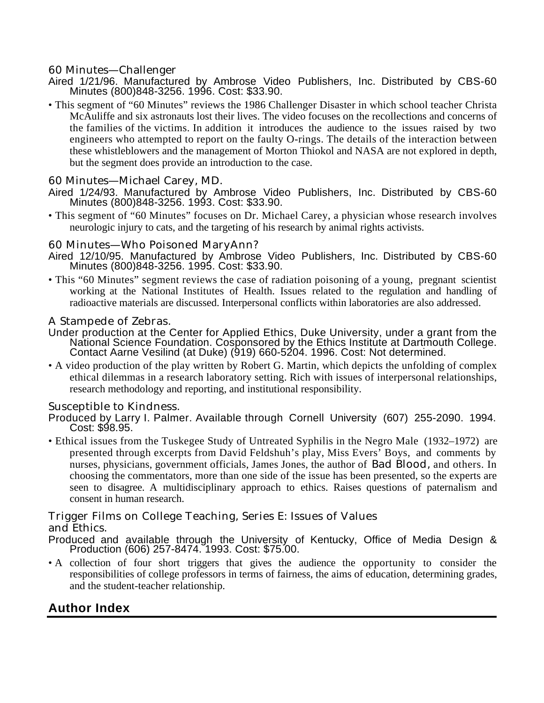## 60 Minutes—Challenger

- Aired 1/21/96. Manufactured by Ambrose Video Publishers, Inc. Distributed by CBS-60 Minutes (800)848-3256. 1996. Cost: \$33.90.
- This segment of "60 Minutes" reviews the 1986 Challenger Disaster in which school teacher Christa McAuliffe and six astronauts lost their lives. The video focuses on the recollections and concerns of the families of the victims. In addition it introduces the audience to the issues raised by two engineers who attempted to report on the faulty O-rings. The details of the interaction between these whistleblowers and the management of Morton Thiokol and NASA are not explored in depth, but the segment does provide an introduction to the case.

## 60 Minutes—Michael Carey, MD.

Aired 1/24/93. Manufactured by Ambrose Video Publishers, Inc. Distributed by CBS-60 Minutes (800)848-3256. 1993. Cost: \$33.90.

• This segment of "60 Minutes" focuses on Dr. Michael Carey, a physician whose research involves neurologic injury to cats, and the targeting of his research by animal rights activists.

## 60 Minutes—Who Poisoned MaryAnn?

- Aired 12/10/95. Manufactured by Ambrose Video Publishers, Inc. Distributed by CBS-60 Minutes (800)848-3256. 1995. Cost: \$33.90.
- This "60 Minutes" segment reviews the case of radiation poisoning of a young, pregnant scientist working at the National Institutes of Health. Issues related to the regulation and handling of radioactive materials are discussed. Interpersonal conflicts within laboratories are also addressed.

### A Stampede of Zebras.

- Under production at the Center for Applied Ethics, Duke University, under a grant from the National Science Foundation. Cosponsored by the Ethics Institute at Dartmouth College. Contact Aarne Vesilind (at Duke) (919) 660-5204. 1996. Cost: Not determined.
- A video production of the play written by Robert G. Martin, which depicts the unfolding of complex ethical dilemmas in a research laboratory setting. Rich with issues of interpersonal relationships, research methodology and reporting, and institutional responsibility.

### Susceptible to Kindness.

- Produced by Larry I. Palmer. Available through Cornell University (607) 255-2090. 1994. Cost: \$98.95.
- Ethical issues from the Tuskegee Study of Untreated Syphilis in the Negro Male (1932–1972) are presented through excerpts from David Feldshuh's play, Miss Evers' Boys, and comments by nurses, physicians, government officials, James Jones, the author of Bad Blood, and others. In choosing the commentators, more than one side of the issue has been presented, so the experts are seen to disagree. A multidisciplinary approach to ethics. Raises questions of paternalism and consent in human research.

# Trigger Films on College Teaching, Series E: Issues of Values

## and Ethics.

- Produced and available through the University of Kentucky, Office of Media Design & Production (606) 257-8474. 1993. Cost: \$75.00.
- A collection of four short triggers that gives the audience the opportunity to consider the responsibilities of college professors in terms of fairness, the aims of education, determining grades, and the student-teacher relationship.

## **Author Index**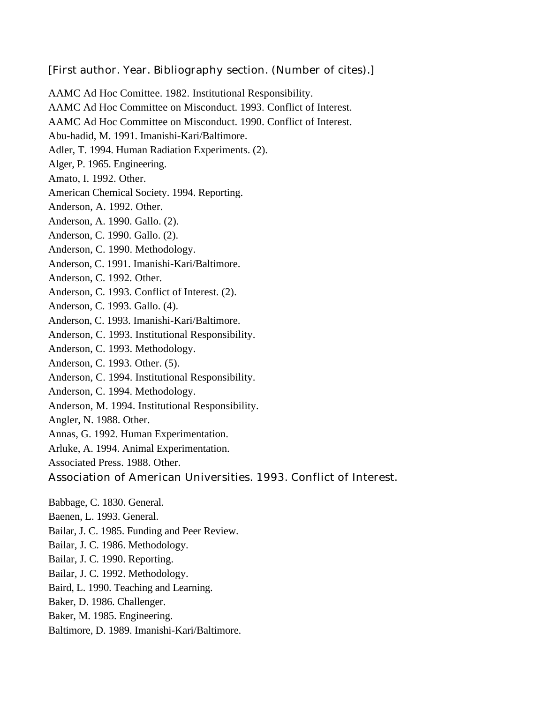### [First author. Year. Bibliography section. (Number of cites).]

AAMC Ad Hoc Comittee. 1982. Institutional Responsibility. AAMC Ad Hoc Committee on Misconduct. 1993. Conflict of Interest. AAMC Ad Hoc Committee on Misconduct. 1990. Conflict of Interest. Abu-hadid, M. 1991. Imanishi-Kari/Baltimore. Adler, T. 1994. Human Radiation Experiments. (2). Alger, P. 1965. Engineering. Amato, I. 1992. Other. American Chemical Society. 1994. Reporting. Anderson, A. 1992. Other. Anderson, A. 1990. Gallo. (2). Anderson, C. 1990. Gallo. (2). Anderson, C. 1990. Methodology. Anderson, C. 1991. Imanishi-Kari/Baltimore. Anderson, C. 1992. Other. Anderson, C. 1993. Conflict of Interest. (2). Anderson, C. 1993. Gallo. (4). Anderson, C. 1993. Imanishi-Kari/Baltimore. Anderson, C. 1993. Institutional Responsibility. Anderson, C. 1993. Methodology. Anderson, C. 1993. Other. (5). Anderson, C. 1994. Institutional Responsibility. Anderson, C. 1994. Methodology. Anderson, M. 1994. Institutional Responsibility. Angler, N. 1988. Other. Annas, G. 1992. Human Experimentation. Arluke, A. 1994. Animal Experimentation. Associated Press. 1988. Other. Association of American Universities. 1993. Conflict of Interest. Babbage, C. 1830. General. Baenen, L. 1993. General. Bailar, J. C. 1985. Funding and Peer Review.

- Bailar, J. C. 1986. Methodology.
- Bailar, J. C. 1990. Reporting.
- Bailar, J. C. 1992. Methodology.
- Baird, L. 1990. Teaching and Learning.
- Baker, D. 1986. Challenger.
- Baker, M. 1985. Engineering.
- Baltimore, D. 1989. Imanishi-Kari/Baltimore.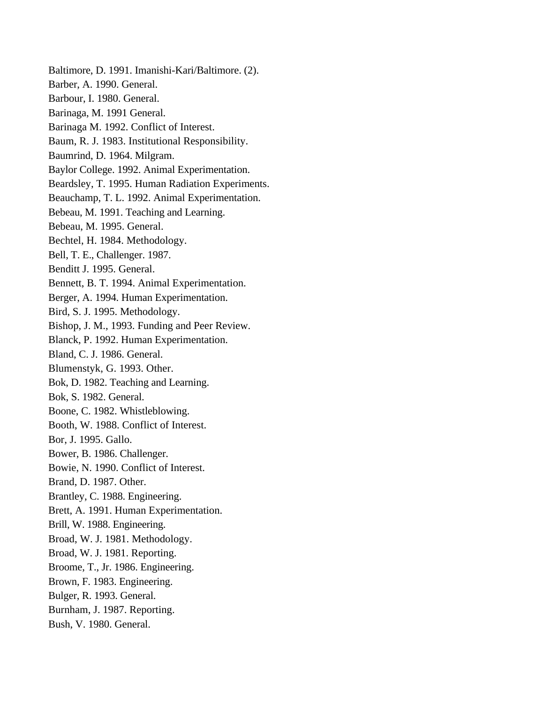Baltimore, D. 1991. Imanishi-Kari/Baltimore. (2). Barber, A. 1990. General. Barbour, I. 1980. General. Barinaga, M. 1991 General. Barinaga M. 1992. Conflict of Interest. Baum, R. J. 1983. Institutional Responsibility. Baumrind, D. 1964. Milgram. Baylor College. 1992. Animal Experimentation. Beardsley, T. 1995. Human Radiation Experiments. Beauchamp, T. L. 1992. Animal Experimentation. Bebeau, M. 1991. Teaching and Learning. Bebeau, M. 1995. General. Bechtel, H. 1984. Methodology. Bell, T. E., Challenger. 1987. Benditt J. 1995. General. Bennett, B. T. 1994. Animal Experimentation. Berger, A. 1994. Human Experimentation. Bird, S. J. 1995. Methodology. Bishop, J. M., 1993. Funding and Peer Review. Blanck, P. 1992. Human Experimentation. Bland, C. J. 1986. General. Blumenstyk, G. 1993. Other. Bok, D. 1982. Teaching and Learning. Bok, S. 1982. General. Boone, C. 1982. Whistleblowing. Booth, W. 1988. Conflict of Interest. Bor, J. 1995. Gallo. Bower, B. 1986. Challenger. Bowie, N. 1990. Conflict of Interest. Brand, D. 1987. Other. Brantley, C. 1988. Engineering. Brett, A. 1991. Human Experimentation. Brill, W. 1988. Engineering. Broad, W. J. 1981. Methodology. Broad, W. J. 1981. Reporting. Broome, T., Jr. 1986. Engineering. Brown, F. 1983. Engineering. Bulger, R. 1993. General. Burnham, J. 1987. Reporting. Bush, V. 1980. General.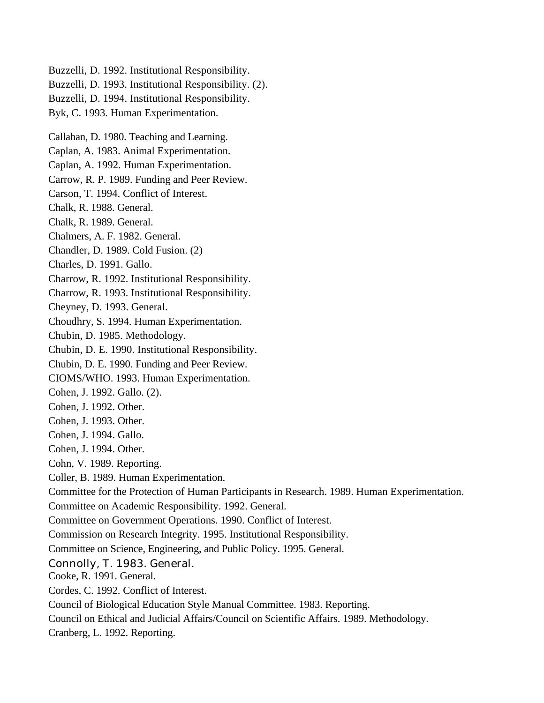Buzzelli, D. 1992. Institutional Responsibility. Buzzelli, D. 1993. Institutional Responsibility. (2). Buzzelli, D. 1994. Institutional Responsibility. Byk, C. 1993. Human Experimentation. Callahan, D. 1980. Teaching and Learning. Caplan, A. 1983. Animal Experimentation. Caplan, A. 1992. Human Experimentation. Carrow, R. P. 1989. Funding and Peer Review. Carson, T. 1994. Conflict of Interest. Chalk, R. 1988. General. Chalk, R. 1989. General. Chalmers, A. F. 1982. General. Chandler, D. 1989. Cold Fusion. (2) Charles, D. 1991. Gallo. Charrow, R. 1992. Institutional Responsibility. Charrow, R. 1993. Institutional Responsibility. Cheyney, D. 1993. General. Choudhry, S. 1994. Human Experimentation. Chubin, D. 1985. Methodology. Chubin, D. E. 1990. Institutional Responsibility. Chubin, D. E. 1990. Funding and Peer Review. CIOMS/WHO. 1993. Human Experimentation. Cohen, J. 1992. Gallo. (2). Cohen, J. 1992. Other. Cohen, J. 1993. Other. Cohen, J. 1994. Gallo. Cohen, J. 1994. Other. Cohn, V. 1989. Reporting. Coller, B. 1989. Human Experimentation. Committee for the Protection of Human Participants in Research. 1989. Human Experimentation. Committee on Academic Responsibility. 1992. General. Committee on Government Operations. 1990. Conflict of Interest. Commission on Research Integrity. 1995. Institutional Responsibility. Committee on Science, Engineering, and Public Policy. 1995. General. Connolly, T. 1983. General. Cooke, R. 1991. General. Cordes, C. 1992. Conflict of Interest. Council of Biological Education Style Manual Committee. 1983. Reporting. Council on Ethical and Judicial Affairs/Council on Scientific Affairs. 1989. Methodology. Cranberg, L. 1992. Reporting.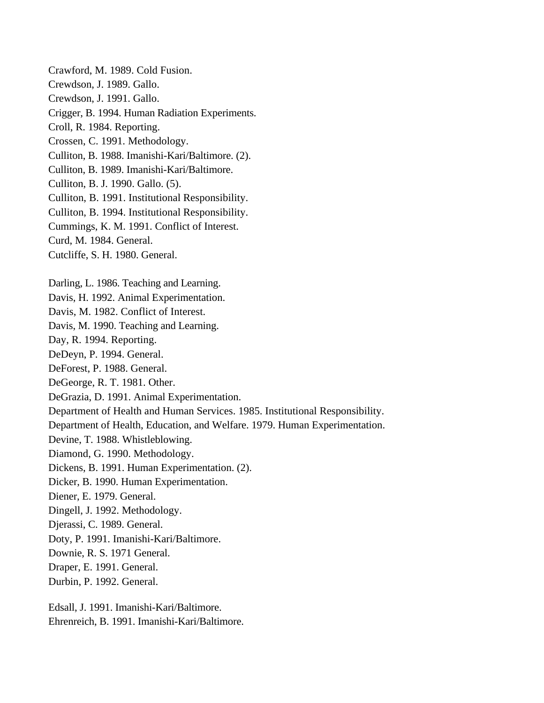Crawford, M. 1989. Cold Fusion. Crewdson, J. 1989. Gallo. Crewdson, J. 1991. Gallo. Crigger, B. 1994. Human Radiation Experiments. Croll, R. 1984. Reporting. Crossen, C. 1991. Methodology. Culliton, B. 1988. Imanishi-Kari/Baltimore. (2). Culliton, B. 1989. Imanishi-Kari/Baltimore. Culliton, B. J. 1990. Gallo. (5). Culliton, B. 1991. Institutional Responsibility. Culliton, B. 1994. Institutional Responsibility. Cummings, K. M. 1991. Conflict of Interest. Curd, M. 1984. General. Cutcliffe, S. H. 1980. General. Darling, L. 1986. Teaching and Learning. Davis, H. 1992. Animal Experimentation. Davis, M. 1982. Conflict of Interest. Davis, M. 1990. Teaching and Learning. Day, R. 1994. Reporting. DeDeyn, P. 1994. General. DeForest, P. 1988. General. DeGeorge, R. T. 1981. Other. DeGrazia, D. 1991. Animal Experimentation. Department of Health and Human Services. 1985. Institutional Responsibility. Department of Health, Education, and Welfare. 1979. Human Experimentation. Devine, T. 1988. Whistleblowing. Diamond, G. 1990. Methodology. Dickens, B. 1991. Human Experimentation. (2). Dicker, B. 1990. Human Experimentation. Diener, E. 1979. General. Dingell, J. 1992. Methodology. Djerassi, C. 1989. General. Doty, P. 1991. Imanishi-Kari/Baltimore. Downie, R. S. 1971 General. Draper, E. 1991. General. Durbin, P. 1992. General. Edsall, J. 1991. Imanishi-Kari/Baltimore.

Ehrenreich, B. 1991. Imanishi-Kari/Baltimore.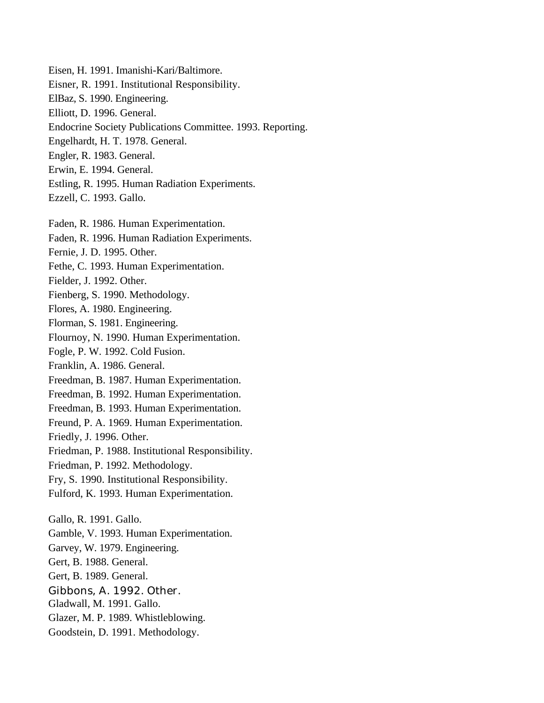Eisen, H. 1991. Imanishi-Kari/Baltimore. Eisner, R. 1991. Institutional Responsibility. ElBaz, S. 1990. Engineering. Elliott, D. 1996. General. Endocrine Society Publications Committee. 1993. Reporting. Engelhardt, H. T. 1978. General. Engler, R. 1983. General. Erwin, E. 1994. General. Estling, R. 1995. Human Radiation Experiments. Ezzell, C. 1993. Gallo. Faden, R. 1986. Human Experimentation. Faden, R. 1996. Human Radiation Experiments. Fernie, J. D. 1995. Other. Fethe, C. 1993. Human Experimentation. Fielder, J. 1992. Other. Fienberg, S. 1990. Methodology. Flores, A. 1980. Engineering. Florman, S. 1981. Engineering. Flournoy, N. 1990. Human Experimentation. Fogle, P. W. 1992. Cold Fusion. Franklin, A. 1986. General. Freedman, B. 1987. Human Experimentation. Freedman, B. 1992. Human Experimentation. Freedman, B. 1993. Human Experimentation. Freund, P. A. 1969. Human Experimentation. Friedly, J. 1996. Other. Friedman, P. 1988. Institutional Responsibility. Friedman, P. 1992. Methodology. Fry, S. 1990. Institutional Responsibility. Fulford, K. 1993. Human Experimentation. Gallo, R. 1991. Gallo. Gamble, V. 1993. Human Experimentation. Garvey, W. 1979. Engineering. Gert, B. 1988. General. Gert, B. 1989. General. Gibbons, A. 1992. Other. Gladwall, M. 1991. Gallo. Glazer, M. P. 1989. Whistleblowing. Goodstein, D. 1991. Methodology.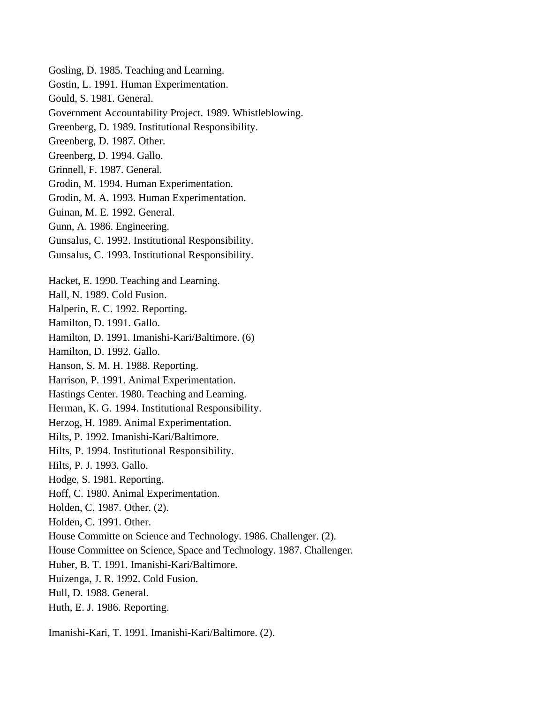Gosling, D. 1985. Teaching and Learning. Gostin, L. 1991. Human Experimentation. Gould, S. 1981. General. Government Accountability Project. 1989. Whistleblowing. Greenberg, D. 1989. Institutional Responsibility. Greenberg, D. 1987. Other. Greenberg, D. 1994. Gallo. Grinnell, F. 1987. General. Grodin, M. 1994. Human Experimentation. Grodin, M. A. 1993. Human Experimentation. Guinan, M. E. 1992. General. Gunn, A. 1986. Engineering. Gunsalus, C. 1992. Institutional Responsibility. Gunsalus, C. 1993. Institutional Responsibility. Hacket, E. 1990. Teaching and Learning. Hall, N. 1989. Cold Fusion. Halperin, E. C. 1992. Reporting. Hamilton, D. 1991. Gallo. Hamilton, D. 1991. Imanishi-Kari/Baltimore. (6) Hamilton, D. 1992. Gallo. Hanson, S. M. H. 1988. Reporting. Harrison, P. 1991. Animal Experimentation. Hastings Center. 1980. Teaching and Learning. Herman, K. G. 1994. Institutional Responsibility. Herzog, H. 1989. Animal Experimentation. Hilts, P. 1992. Imanishi-Kari/Baltimore. Hilts, P. 1994. Institutional Responsibility. Hilts, P. J. 1993. Gallo. Hodge, S. 1981. Reporting. Hoff, C. 1980. Animal Experimentation. Holden, C. 1987. Other. (2). Holden, C. 1991. Other. House Committe on Science and Technology. 1986. Challenger. (2). House Committee on Science, Space and Technology. 1987. Challenger. Huber, B. T. 1991. Imanishi-Kari/Baltimore. Huizenga, J. R. 1992. Cold Fusion. Hull, D. 1988. General. Huth, E. J. 1986. Reporting.

Imanishi-Kari, T. 1991. Imanishi-Kari/Baltimore. (2).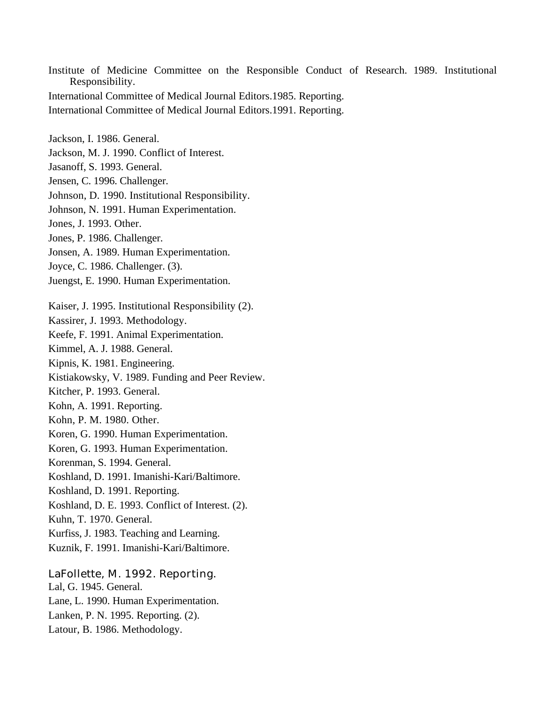Institute of Medicine Committee on the Responsible Conduct of Research. 1989. Institutional Responsibility. International Committee of Medical Journal Editors.1985. Reporting. International Committee of Medical Journal Editors.1991. Reporting. Jackson, I. 1986. General. Jackson, M. J. 1990. Conflict of Interest. Jasanoff, S. 1993. General. Jensen, C. 1996. Challenger. Johnson, D. 1990. Institutional Responsibility. Johnson, N. 1991. Human Experimentation. Jones, J. 1993. Other. Jones, P. 1986. Challenger. Jonsen, A. 1989. Human Experimentation. Joyce, C. 1986. Challenger. (3). Juengst, E. 1990. Human Experimentation. Kaiser, J. 1995. Institutional Responsibility (2). Kassirer, J. 1993. Methodology. Keefe, F. 1991. Animal Experimentation. Kimmel, A. J. 1988. General. Kipnis, K. 1981. Engineering. Kistiakowsky, V. 1989. Funding and Peer Review. Kitcher, P. 1993. General. Kohn, A. 1991. Reporting. Kohn, P. M. 1980. Other. Koren, G. 1990. Human Experimentation. Koren, G. 1993. Human Experimentation. Korenman, S. 1994. General. Koshland, D. 1991. Imanishi-Kari/Baltimore. Koshland, D. 1991. Reporting. Koshland, D. E. 1993. Conflict of Interest. (2). Kuhn, T. 1970. General. Kurfiss, J. 1983. Teaching and Learning. Kuznik, F. 1991. Imanishi-Kari/Baltimore. LaFollette, M. 1992. Reporting.

Lal, G. 1945. General. Lane, L. 1990. Human Experimentation. Lanken, P. N. 1995. Reporting. (2). Latour, B. 1986. Methodology.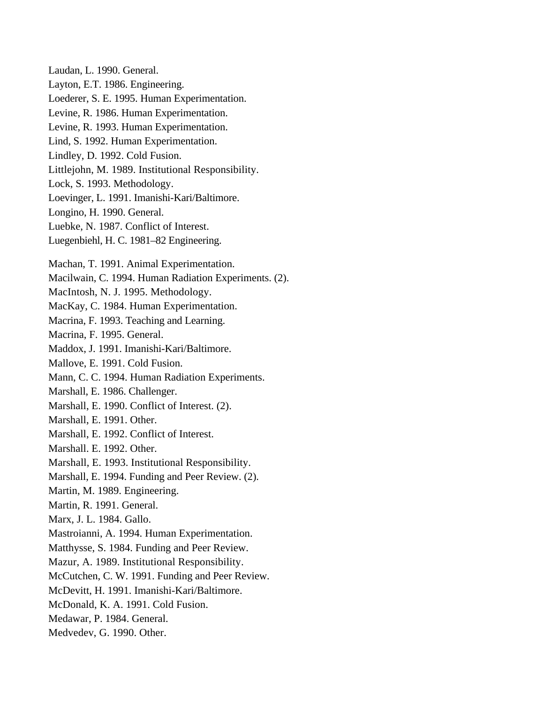Laudan, L. 1990. General. Layton, E.T. 1986. Engineering. Loederer, S. E. 1995. Human Experimentation. Levine, R. 1986. Human Experimentation. Levine, R. 1993. Human Experimentation. Lind, S. 1992. Human Experimentation. Lindley, D. 1992. Cold Fusion. Littlejohn, M. 1989. Institutional Responsibility. Lock, S. 1993. Methodology. Loevinger, L. 1991. Imanishi-Kari/Baltimore. Longino, H. 1990. General. Luebke, N. 1987. Conflict of Interest. Luegenbiehl, H. C. 1981–82 Engineering. Machan, T. 1991. Animal Experimentation. Macilwain, C. 1994. Human Radiation Experiments. (2). MacIntosh, N. J. 1995. Methodology. MacKay, C. 1984. Human Experimentation. Macrina, F. 1993. Teaching and Learning. Macrina, F. 1995. General. Maddox, J. 1991. Imanishi-Kari/Baltimore. Mallove, E. 1991. Cold Fusion. Mann, C. C. 1994. Human Radiation Experiments. Marshall, E. 1986. Challenger. Marshall, E. 1990. Conflict of Interest. (2). Marshall, E. 1991. Other. Marshall, E. 1992. Conflict of Interest. Marshall. E. 1992. Other. Marshall, E. 1993. Institutional Responsibility. Marshall, E. 1994. Funding and Peer Review. (2). Martin, M. 1989. Engineering. Martin, R. 1991. General. Marx, J. L. 1984. Gallo. Mastroianni, A. 1994. Human Experimentation. Matthysse, S. 1984. Funding and Peer Review. Mazur, A. 1989. Institutional Responsibility. McCutchen, C. W. 1991. Funding and Peer Review. McDevitt, H. 1991. Imanishi-Kari/Baltimore. McDonald, K. A. 1991. Cold Fusion. Medawar, P. 1984. General. Medvedev, G. 1990. Other.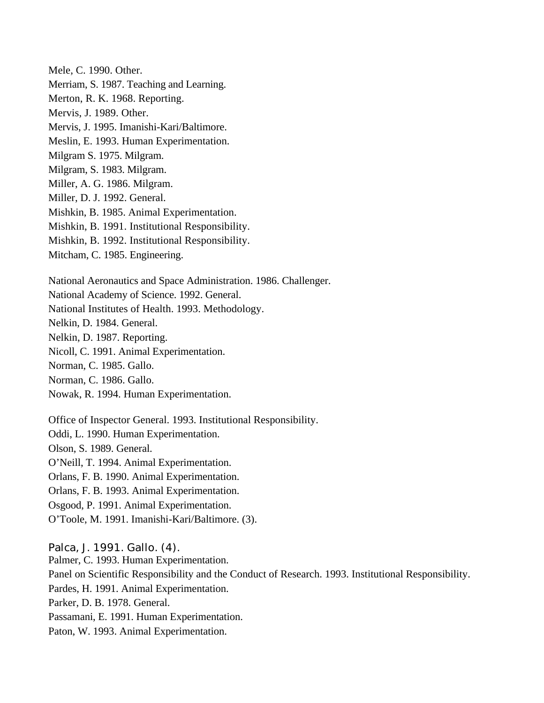Mele, C. 1990. Other. Merriam, S. 1987. Teaching and Learning. Merton, R. K. 1968. Reporting. Mervis, J. 1989. Other. Mervis, J. 1995. Imanishi-Kari/Baltimore. Meslin, E. 1993. Human Experimentation. Milgram S. 1975. Milgram. Milgram, S. 1983. Milgram. Miller, A. G. 1986. Milgram. Miller, D. J. 1992. General. Mishkin, B. 1985. Animal Experimentation. Mishkin, B. 1991. Institutional Responsibility. Mishkin, B. 1992. Institutional Responsibility. Mitcham, C. 1985. Engineering. National Aeronautics and Space Administration. 1986. Challenger. National Academy of Science. 1992. General. National Institutes of Health. 1993. Methodology. Nelkin, D. 1984. General. Nelkin, D. 1987. Reporting.

Nicoll, C. 1991. Animal Experimentation.

Norman, C. 1985. Gallo.

Norman, C. 1986. Gallo.

Nowak, R. 1994. Human Experimentation.

Office of Inspector General. 1993. Institutional Responsibility. Oddi, L. 1990. Human Experimentation. Olson, S. 1989. General. O'Neill, T. 1994. Animal Experimentation. Orlans, F. B. 1990. Animal Experimentation. Orlans, F. B. 1993. Animal Experimentation. Osgood, P. 1991. Animal Experimentation.

O'Toole, M. 1991. Imanishi-Kari/Baltimore. (3).

#### Palca, J. 1991. Gallo. (4).

Palmer, C. 1993. Human Experimentation. Panel on Scientific Responsibility and the Conduct of Research. 1993. Institutional Responsibility. Pardes, H. 1991. Animal Experimentation. Parker, D. B. 1978. General. Passamani, E. 1991. Human Experimentation. Paton, W. 1993. Animal Experimentation.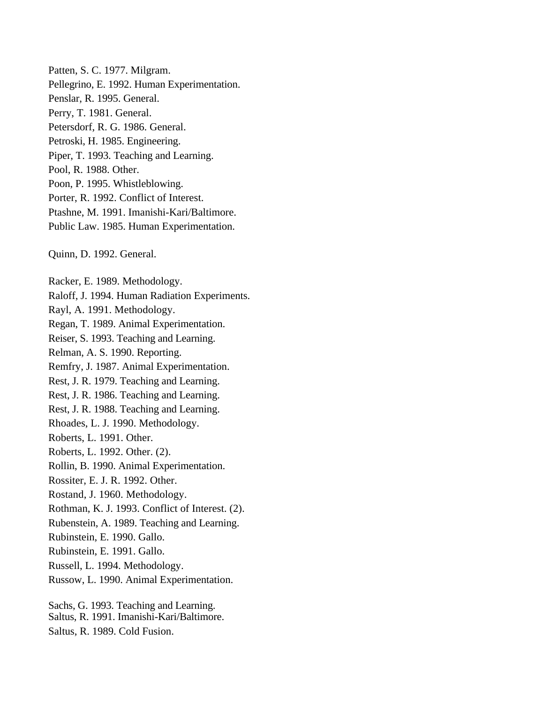Patten, S. C. 1977. Milgram. Pellegrino, E. 1992. Human Experimentation. Penslar, R. 1995. General. Perry, T. 1981. General. Petersdorf, R. G. 1986. General. Petroski, H. 1985. Engineering. Piper, T. 1993. Teaching and Learning. Pool, R. 1988. Other. Poon, P. 1995. Whistleblowing. Porter, R. 1992. Conflict of Interest. Ptashne, M. 1991. Imanishi-Kari/Baltimore. Public Law. 1985. Human Experimentation. Quinn, D. 1992. General. Racker, E. 1989. Methodology. Raloff, J. 1994. Human Radiation Experiments. Rayl, A. 1991. Methodology. Regan, T. 1989. Animal Experimentation. Reiser, S. 1993. Teaching and Learning. Relman, A. S. 1990. Reporting. Remfry, J. 1987. Animal Experimentation. Rest, J. R. 1979. Teaching and Learning. Rest, J. R. 1986. Teaching and Learning. Rest, J. R. 1988. Teaching and Learning. Rhoades, L. J. 1990. Methodology. Roberts, L. 1991. Other. Roberts, L. 1992. Other. (2). Rollin, B. 1990. Animal Experimentation. Rossiter, E. J. R. 1992. Other. Rostand, J. 1960. Methodology. Rothman, K. J. 1993. Conflict of Interest. (2). Rubenstein, A. 1989. Teaching and Learning. Rubinstein, E. 1990. Gallo. Rubinstein, E. 1991. Gallo. Russell, L. 1994. Methodology. Russow, L. 1990. Animal Experimentation. Sachs, G. 1993. Teaching and Learning.

Saltus, R. 1991. Imanishi-Kari/Baltimore.

Saltus, R. 1989. Cold Fusion.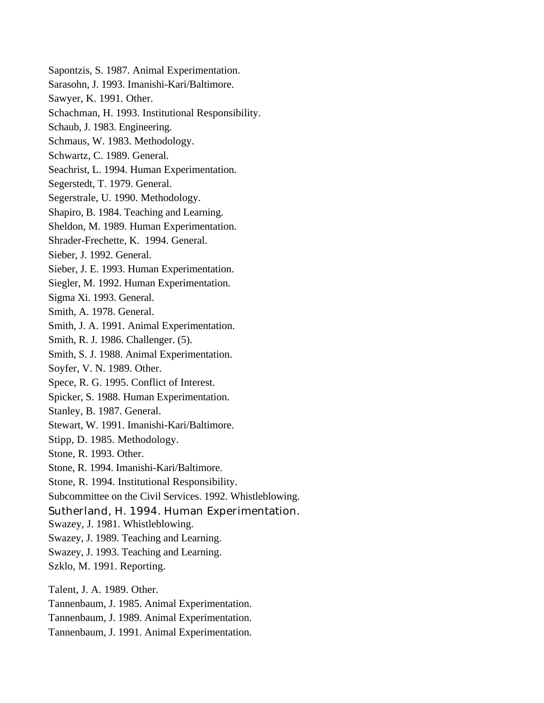Sapontzis, S. 1987. Animal Experimentation. Sarasohn, J. 1993. Imanishi-Kari/Baltimore. Sawyer, K. 1991. Other. Schachman, H. 1993. Institutional Responsibility. Schaub, J. 1983. Engineering. Schmaus, W. 1983. Methodology. Schwartz, C. 1989. General. Seachrist, L. 1994. Human Experimentation. Segerstedt, T. 1979. General. Segerstrale, U. 1990. Methodology. Shapiro, B. 1984. Teaching and Learning. Sheldon, M. 1989. Human Experimentation. Shrader-Frechette, K. 1994. General. Sieber, J. 1992. General. Sieber, J. E. 1993. Human Experimentation. Siegler, M. 1992. Human Experimentation. Sigma Xi. 1993. General. Smith, A. 1978. General. Smith, J. A. 1991. Animal Experimentation. Smith, R. J. 1986. Challenger. (5). Smith, S. J. 1988. Animal Experimentation. Soyfer, V. N. 1989. Other. Spece, R. G. 1995. Conflict of Interest. Spicker, S. 1988. Human Experimentation. Stanley, B. 1987. General. Stewart, W. 1991. Imanishi-Kari/Baltimore. Stipp, D. 1985. Methodology. Stone, R. 1993. Other. Stone, R. 1994. Imanishi-Kari/Baltimore. Stone, R. 1994. Institutional Responsibility. Subcommittee on the Civil Services. 1992. Whistleblowing. Sutherland, H. 1994. Human Experimentation. Swazey, J. 1981. Whistleblowing. Swazey, J. 1989. Teaching and Learning. Swazey, J. 1993. Teaching and Learning. Szklo, M. 1991. Reporting. Talent, J. A. 1989. Other. Tannenbaum, J. 1985. Animal Experimentation. Tannenbaum, J. 1989. Animal Experimentation.

Tannenbaum, J. 1991. Animal Experimentation.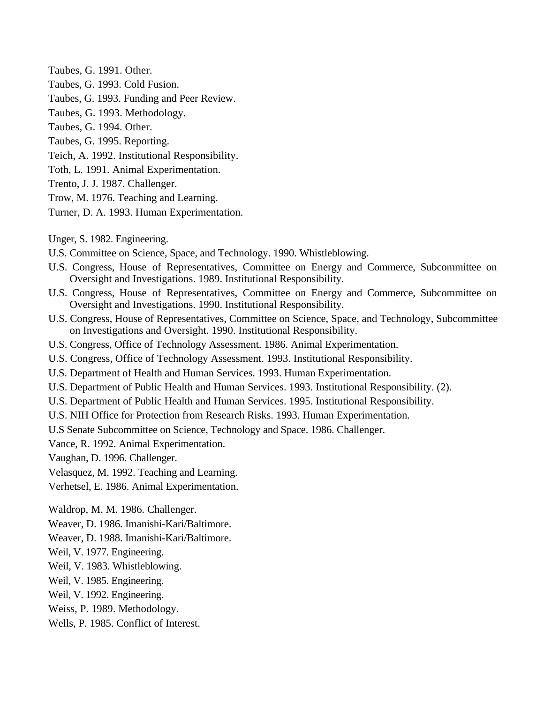- Taubes, G. 1991. Other.
- Taubes, G. 1993. Cold Fusion.
- Taubes, G. 1993. Funding and Peer Review.
- Taubes, G. 1993. Methodology.
- Taubes, G. 1994. Other.
- Taubes, G. 1995. Reporting.
- Teich, A. 1992. Institutional Responsibility.
- Toth, L. 1991. Animal Experimentation.
- Trento, J. J. 1987. Challenger.
- Trow, M. 1976. Teaching and Learning.
- Turner, D. A. 1993. Human Experimentation.

Unger, S. 1982. Engineering.

- U.S. Committee on Science, Space, and Technology. 1990. Whistleblowing.
- U.S. Congress, House of Representatives, Committee on Energy and Commerce, Subcommittee on Oversight and Investigations. 1989. Institutional Responsibility.
- U.S. Congress, House of Representatives, Committee on Energy and Commerce, Subcommittee on Oversight and Investigations. 1990. Institutional Responsibility.
- U.S. Congress, House of Representatives, Committee on Science, Space, and Technology, Subcommittee on Investigations and Oversight. 1990. Institutional Responsibility.
- U.S. Congress, Office of Technology Assessment. 1986. Animal Experimentation.
- U.S. Congress, Office of Technology Assessment. 1993. Institutional Responsibility.
- U.S. Department of Health and Human Services. 1993. Human Experimentation.
- U.S. Department of Public Health and Human Services. 1993. Institutional Responsibility. (2).
- U.S. Department of Public Health and Human Services. 1995. Institutional Responsibility.
- U.S. NIH Office for Protection from Research Risks. 1993. Human Experimentation.
- U.S Senate Subcommittee on Science, Technology and Space. 1986. Challenger.

Vance, R. 1992. Animal Experimentation.

Vaughan, D. 1996. Challenger.

- Velasquez, M. 1992. Teaching and Learning.
- Verhetsel, E. 1986. Animal Experimentation.

Waldrop, M. M. 1986. Challenger.

- Weaver, D. 1986. Imanishi-Kari/Baltimore.
- Weaver, D. 1988. Imanishi-Kari/Baltimore.
- Weil, V. 1977. Engineering.
- Weil, V. 1983. Whistleblowing.
- Weil, V. 1985. Engineering.
- Weil, V. 1992. Engineering.
- Weiss, P. 1989. Methodology.
- Wells, P. 1985. Conflict of Interest.